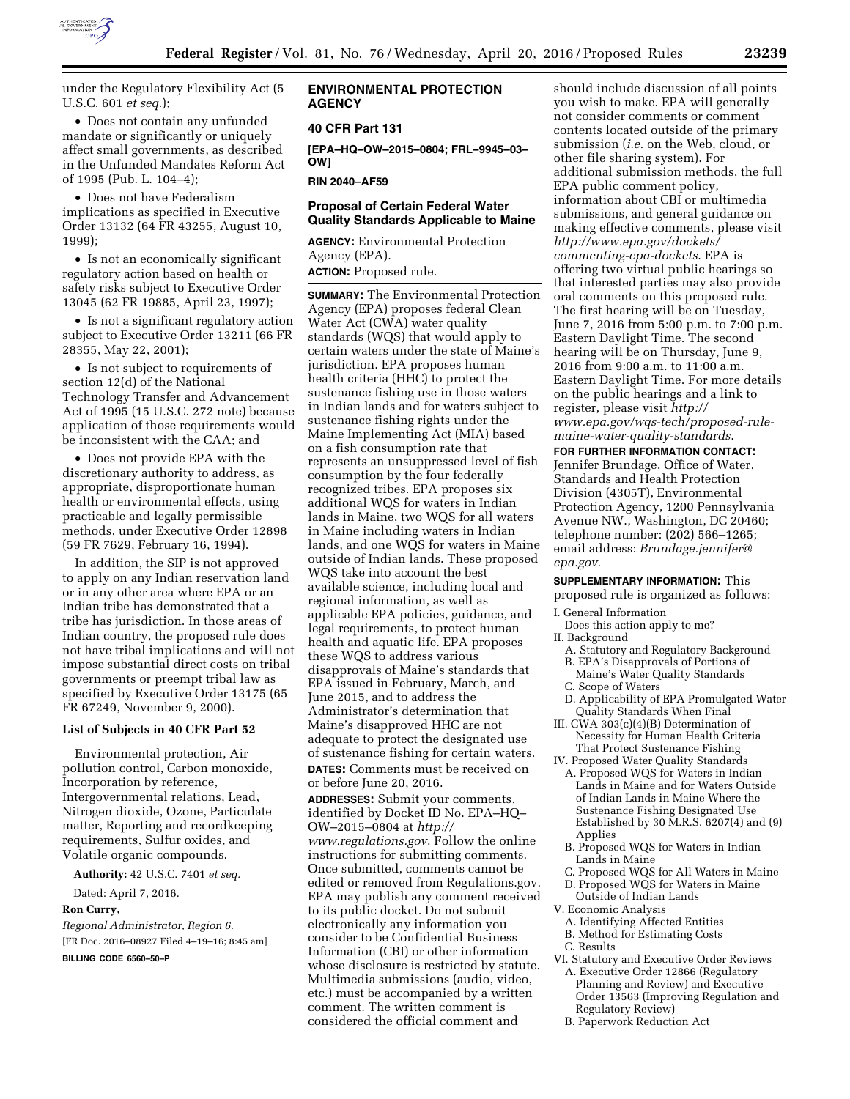

under the Regulatory Flexibility Act (5 U.S.C. 601 *et seq.*);

• Does not contain any unfunded mandate or significantly or uniquely affect small governments, as described in the Unfunded Mandates Reform Act of 1995 (Pub. L. 104–4);

• Does not have Federalism implications as specified in Executive Order 13132 (64 FR 43255, August 10, 1999);

• Is not an economically significant regulatory action based on health or safety risks subject to Executive Order 13045 (62 FR 19885, April 23, 1997);

• Is not a significant regulatory action subject to Executive Order 13211 (66 FR 28355, May 22, 2001);

• Is not subject to requirements of section 12(d) of the National Technology Transfer and Advancement Act of 1995 (15 U.S.C. 272 note) because application of those requirements would be inconsistent with the CAA; and

• Does not provide EPA with the discretionary authority to address, as appropriate, disproportionate human health or environmental effects, using practicable and legally permissible methods, under Executive Order 12898 (59 FR 7629, February 16, 1994).

In addition, the SIP is not approved to apply on any Indian reservation land or in any other area where EPA or an Indian tribe has demonstrated that a tribe has jurisdiction. In those areas of Indian country, the proposed rule does not have tribal implications and will not impose substantial direct costs on tribal governments or preempt tribal law as specified by Executive Order 13175 (65 FR 67249, November 9, 2000).

#### **List of Subjects in 40 CFR Part 52**

Environmental protection, Air pollution control, Carbon monoxide, Incorporation by reference, Intergovernmental relations, Lead, Nitrogen dioxide, Ozone, Particulate matter, Reporting and recordkeeping requirements, Sulfur oxides, and Volatile organic compounds.

**Authority:** 42 U.S.C. 7401 *et seq.* 

Dated: April 7, 2016.

#### **Ron Curry,**

*Regional Administrator, Region 6.*  [FR Doc. 2016–08927 Filed 4–19–16; 8:45 am]

**BILLING CODE 6560–50–P** 

## **ENVIRONMENTAL PROTECTION AGENCY**

## **40 CFR Part 131**

**[EPA–HQ–OW–2015–0804; FRL–9945–03– OW]** 

**RIN 2040–AF59** 

# **Proposal of Certain Federal Water Quality Standards Applicable to Maine**

**AGENCY:** Environmental Protection Agency (EPA). **ACTION:** Proposed rule.

**SUMMARY:** The Environmental Protection Agency (EPA) proposes federal Clean Water Act (CWA) water quality standards (WQS) that would apply to certain waters under the state of Maine's jurisdiction. EPA proposes human health criteria (HHC) to protect the sustenance fishing use in those waters in Indian lands and for waters subject to sustenance fishing rights under the Maine Implementing Act (MIA) based on a fish consumption rate that represents an unsuppressed level of fish consumption by the four federally recognized tribes. EPA proposes six additional WQS for waters in Indian lands in Maine, two WQS for all waters in Maine including waters in Indian lands, and one WQS for waters in Maine outside of Indian lands. These proposed WQS take into account the best available science, including local and regional information, as well as applicable EPA policies, guidance, and legal requirements, to protect human health and aquatic life. EPA proposes these WQS to address various disapprovals of Maine's standards that EPA issued in February, March, and June 2015, and to address the Administrator's determination that Maine's disapproved HHC are not adequate to protect the designated use of sustenance fishing for certain waters. **DATES:** Comments must be received on or before June 20, 2016. **ADDRESSES:** Submit your comments, identified by Docket ID No. EPA–HQ– OW–2015–0804 at *[http://](http://www.regulations.gov) [www.regulations.gov](http://www.regulations.gov)*. Follow the online instructions for submitting comments. Once submitted, comments cannot be edited or removed from Regulations.gov. EPA may publish any comment received to its public docket. Do not submit electronically any information you consider to be Confidential Business Information (CBI) or other information whose disclosure is restricted by statute. Multimedia submissions (audio, video, etc.) must be accompanied by a written comment. The written comment is considered the official comment and

should include discussion of all points you wish to make. EPA will generally not consider comments or comment contents located outside of the primary submission (*i.e.* on the Web, cloud, or other file sharing system). For additional submission methods, the full EPA public comment policy, information about CBI or multimedia submissions, and general guidance on making effective comments, please visit *[http://www.epa.gov/dockets/](http://www.epa.gov/dockets/commenting-epa-dockets) [commenting-epa-dockets](http://www.epa.gov/dockets/commenting-epa-dockets)*. EPA is offering two virtual public hearings so that interested parties may also provide oral comments on this proposed rule. The first hearing will be on Tuesday, June 7, 2016 from 5:00 p.m. to 7:00 p.m. Eastern Daylight Time. The second hearing will be on Thursday, June 9, 2016 from 9:00 a.m. to 11:00 a.m. Eastern Daylight Time. For more details on the public hearings and a link to register, please visit *[http://](http://www.epa.gov/wqs-tech/proposed-rule-maine-water-quality-standards) [www.epa.gov/wqs-tech/proposed-rule](http://www.epa.gov/wqs-tech/proposed-rule-maine-water-quality-standards)[maine-water-quality-standards](http://www.epa.gov/wqs-tech/proposed-rule-maine-water-quality-standards)*.

**FOR FURTHER INFORMATION CONTACT:**  Jennifer Brundage, Office of Water, Standards and Health Protection Division (4305T), Environmental Protection Agency, 1200 Pennsylvania Avenue NW., Washington, DC 20460; telephone number: (202) 566–1265; email address: *[Brundage.jennifer@](mailto:Brundage.jennifer@epa.gov) [epa.gov](mailto:Brundage.jennifer@epa.gov)*.

### **SUPPLEMENTARY INFORMATION:** This proposed rule is organized as follows:

- I. General Information
- Does this action apply to me? II. Background
- A. Statutory and Regulatory Background
- B. EPA's Disapprovals of Portions of Maine's Water Quality Standards
- C. Scope of Waters
- D. Applicability of EPA Promulgated Water Quality Standards When Final
- III. CWA 303(c)(4)(B) Determination of Necessity for Human Health Criteria That Protect Sustenance Fishing
- IV. Proposed Water Quality Standards A. Proposed WQS for Waters in Indian Lands in Maine and for Waters Outside of Indian Lands in Maine Where the Sustenance Fishing Designated Use Established by 30 M.R.S. 6207(4) and (9) Applies
	- B. Proposed WQS for Waters in Indian Lands in Maine
	- C. Proposed WQS for All Waters in Maine
- D. Proposed WQS for Waters in Maine
- Outside of Indian Lands V. Economic Analysis
	- A. Identifying Affected Entities
	- B. Method for Estimating Costs
- C. Results
- VI. Statutory and Executive Order Reviews A. Executive Order 12866 (Regulatory Planning and Review) and Executive Order 13563 (Improving Regulation and Regulatory Review)
	- B. Paperwork Reduction Act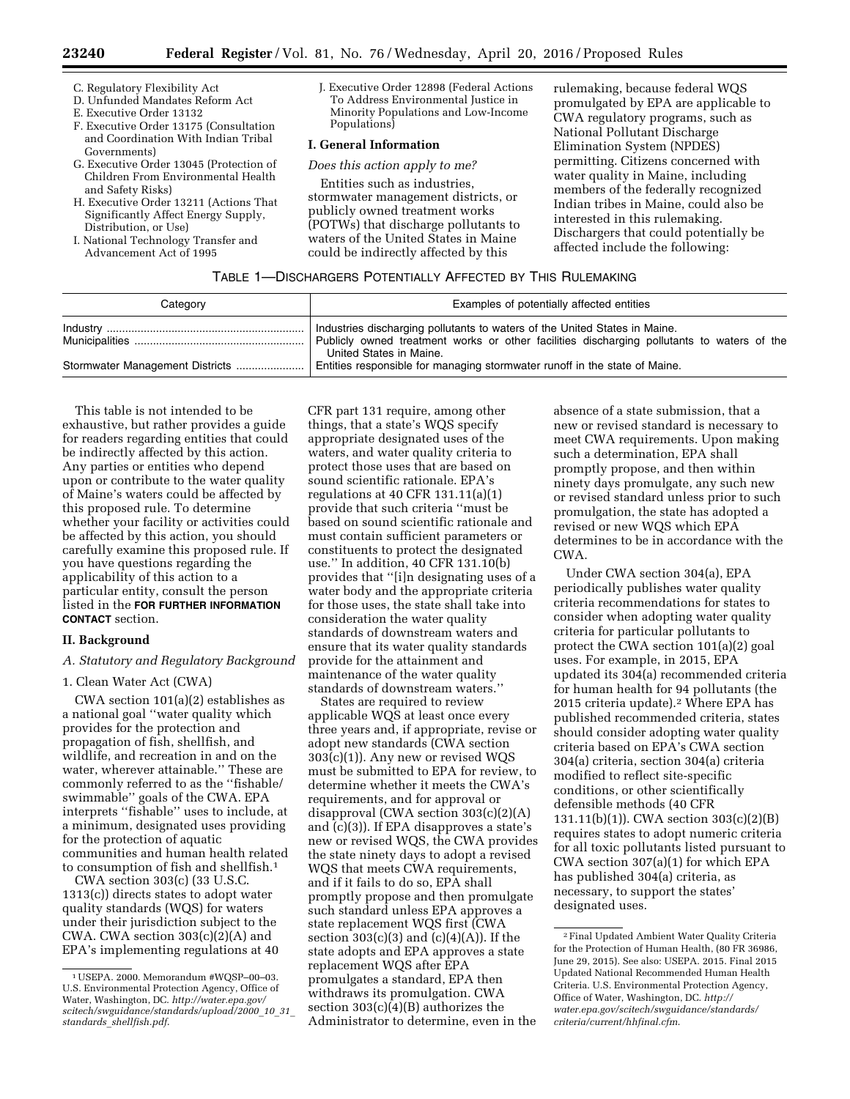- C. Regulatory Flexibility Act
- D. Unfunded Mandates Reform Act
- E. Executive Order 13132
- F. Executive Order 13175 (Consultation and Coordination With Indian Tribal Governments)
- G. Executive Order 13045 (Protection of Children From Environmental Health and Safety Risks)
- H. Executive Order 13211 (Actions That Significantly Affect Energy Supply, Distribution, or Use)
- I. National Technology Transfer and Advancement Act of 1995

J. Executive Order 12898 (Federal Actions To Address Environmental Justice in Minority Populations and Low-Income Populations)

## **I. General Information**

*Does this action apply to me?* 

Entities such as industries, stormwater management districts, or publicly owned treatment works (POTWs) that discharge pollutants to waters of the United States in Maine could be indirectly affected by this

rulemaking, because federal WQS promulgated by EPA are applicable to CWA regulatory programs, such as National Pollutant Discharge Elimination System (NPDES) permitting. Citizens concerned with water quality in Maine, including members of the federally recognized Indian tribes in Maine, could also be interested in this rulemaking. Dischargers that could potentially be affected include the following:

#### TABLE 1—DISCHARGERS POTENTIALLY AFFECTED BY THIS RULEMAKING

| Category | Examples of potentially affected entities                                  |
|----------|----------------------------------------------------------------------------|
|          | Industries discharging pollutants to waters of the United States in Maine. |
|          | United States in Maine.                                                    |
|          | Entities responsible for managing stormwater runoff in the state of Maine. |

This table is not intended to be exhaustive, but rather provides a guide for readers regarding entities that could be indirectly affected by this action. Any parties or entities who depend upon or contribute to the water quality of Maine's waters could be affected by this proposed rule. To determine whether your facility or activities could be affected by this action, you should carefully examine this proposed rule. If you have questions regarding the applicability of this action to a particular entity, consult the person listed in the **FOR FURTHER INFORMATION CONTACT** section.

## **II. Background**

# *A. Statutory and Regulatory Background*

## 1. Clean Water Act (CWA)

CWA section 101(a)(2) establishes as a national goal ''water quality which provides for the protection and propagation of fish, shellfish, and wildlife, and recreation in and on the water, wherever attainable.'' These are commonly referred to as the ''fishable/ swimmable'' goals of the CWA. EPA interprets ''fishable'' uses to include, at a minimum, designated uses providing for the protection of aquatic communities and human health related to consumption of fish and shellfish.1

CWA section 303(c) (33 U.S.C. 1313(c)) directs states to adopt water quality standards (WQS) for waters under their jurisdiction subject to the CWA. CWA section 303(c)(2)(A) and EPA's implementing regulations at 40

CFR part 131 require, among other things, that a state's WQS specify appropriate designated uses of the waters, and water quality criteria to protect those uses that are based on sound scientific rationale. EPA's regulations at 40 CFR 131.11(a)(1) provide that such criteria ''must be based on sound scientific rationale and must contain sufficient parameters or constituents to protect the designated use.'' In addition, 40 CFR 131.10(b) provides that ''[i]n designating uses of a water body and the appropriate criteria for those uses, the state shall take into consideration the water quality standards of downstream waters and ensure that its water quality standards provide for the attainment and maintenance of the water quality standards of downstream waters.''

States are required to review applicable WQS at least once every three years and, if appropriate, revise or adopt new standards (CWA section 303(c)(1)). Any new or revised WQS must be submitted to EPA for review, to determine whether it meets the CWA's requirements, and for approval or disapproval (CWA section 303(c)(2)(A) and (c)(3)). If EPA disapproves a state's new or revised WQS, the CWA provides the state ninety days to adopt a revised WQS that meets CWA requirements, and if it fails to do so, EPA shall promptly propose and then promulgate such standard unless EPA approves a state replacement WQS first (CWA section  $303(c)(3)$  and  $(c)(4)(A)$ . If the state adopts and EPA approves a state replacement WQS after EPA promulgates a standard, EPA then withdraws its promulgation. CWA section  $303(c)(4)(B)$  authorizes the Administrator to determine, even in the

absence of a state submission, that a new or revised standard is necessary to meet CWA requirements. Upon making such a determination, EPA shall promptly propose, and then within ninety days promulgate, any such new or revised standard unless prior to such promulgation, the state has adopted a revised or new WQS which EPA determines to be in accordance with the CWA.

Under CWA section 304(a), EPA periodically publishes water quality criteria recommendations for states to consider when adopting water quality criteria for particular pollutants to protect the CWA section 101(a)(2) goal uses. For example, in 2015, EPA updated its 304(a) recommended criteria for human health for 94 pollutants (the 2015 criteria update).2 Where EPA has published recommended criteria, states should consider adopting water quality criteria based on EPA's CWA section 304(a) criteria, section 304(a) criteria modified to reflect site-specific conditions, or other scientifically defensible methods (40 CFR 131.11(b)(1)). CWA section 303(c)(2)(B) requires states to adopt numeric criteria for all toxic pollutants listed pursuant to CWA section 307(a)(1) for which EPA has published 304(a) criteria, as necessary, to support the states' designated uses.

<sup>1</sup>USEPA. 2000. Memorandum #WQSP–00–03. U.S. Environmental Protection Agency, Office of Water, Washington, DC. *[http://water.epa.gov/](http://water.epa.gov/scitech/swguidance/standards/upload/2000_10_31_standards_shellfish.pdf) [scitech/swguidance/standards/upload/2000](http://water.epa.gov/scitech/swguidance/standards/upload/2000_10_31_standards_shellfish.pdf)*\_*10*\_*31*\_ *standards*\_*[shellfish.pdf](http://water.epa.gov/scitech/swguidance/standards/upload/2000_10_31_standards_shellfish.pdf)*.

<sup>2</sup>Final Updated Ambient Water Quality Criteria for the Protection of Human Health, (80 FR 36986, June 29, 2015). See also: USEPA. 2015. Final 2015 Updated National Recommended Human Health Criteria. U.S. Environmental Protection Agency, Office of Water, Washington, DC. *[http://](http://water.epa.gov/scitech/swguidance/standards/criteria/current/hhfinal.cfm) [water.epa.gov/scitech/swguidance/standards/](http://water.epa.gov/scitech/swguidance/standards/criteria/current/hhfinal.cfm) [criteria/current/hhfinal.cfm](http://water.epa.gov/scitech/swguidance/standards/criteria/current/hhfinal.cfm)*.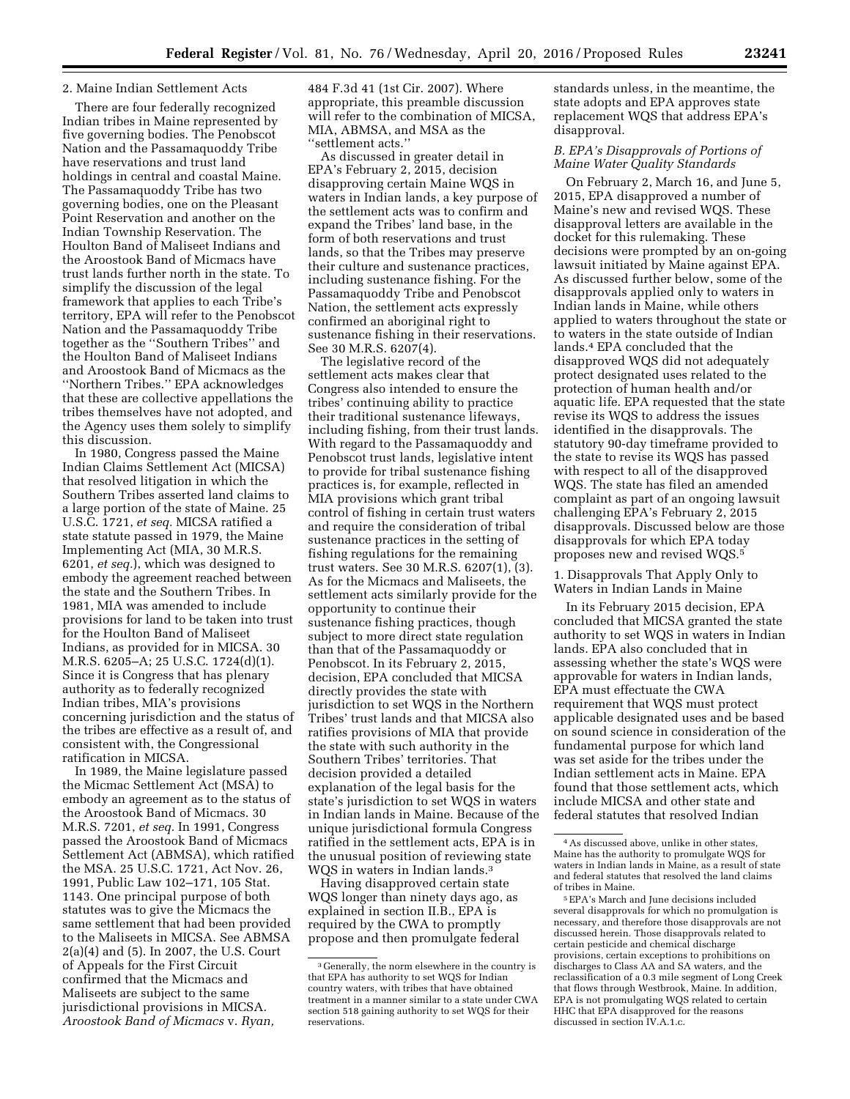### 2. Maine Indian Settlement Acts

There are four federally recognized Indian tribes in Maine represented by five governing bodies. The Penobscot Nation and the Passamaquoddy Tribe have reservations and trust land holdings in central and coastal Maine. The Passamaquoddy Tribe has two governing bodies, one on the Pleasant Point Reservation and another on the Indian Township Reservation. The Houlton Band of Maliseet Indians and the Aroostook Band of Micmacs have trust lands further north in the state. To simplify the discussion of the legal framework that applies to each Tribe's territory, EPA will refer to the Penobscot Nation and the Passamaquoddy Tribe together as the ''Southern Tribes'' and the Houlton Band of Maliseet Indians and Aroostook Band of Micmacs as the ''Northern Tribes.'' EPA acknowledges that these are collective appellations the tribes themselves have not adopted, and the Agency uses them solely to simplify this discussion.

In 1980, Congress passed the Maine Indian Claims Settlement Act (MICSA) that resolved litigation in which the Southern Tribes asserted land claims to a large portion of the state of Maine. 25 U.S.C. 1721, *et seq.* MICSA ratified a state statute passed in 1979, the Maine Implementing Act (MIA, 30 M.R.S. 6201, *et seq.*), which was designed to embody the agreement reached between the state and the Southern Tribes. In 1981, MIA was amended to include provisions for land to be taken into trust for the Houlton Band of Maliseet Indians, as provided for in MICSA. 30 M.R.S. 6205–A; 25 U.S.C. 1724(d)(1). Since it is Congress that has plenary authority as to federally recognized Indian tribes, MIA's provisions concerning jurisdiction and the status of the tribes are effective as a result of, and consistent with, the Congressional ratification in MICSA.

In 1989, the Maine legislature passed the Micmac Settlement Act (MSA) to embody an agreement as to the status of the Aroostook Band of Micmacs. 30 M.R.S. 7201, *et seq.* In 1991, Congress passed the Aroostook Band of Micmacs Settlement Act (ABMSA), which ratified the MSA. 25 U.S.C. 1721, Act Nov. 26, 1991, Public Law 102–171, 105 Stat. 1143. One principal purpose of both statutes was to give the Micmacs the same settlement that had been provided to the Maliseets in MICSA. See ABMSA 2(a)(4) and (5). In 2007, the U.S. Court of Appeals for the First Circuit confirmed that the Micmacs and Maliseets are subject to the same jurisdictional provisions in MICSA. *Aroostook Band of Micmacs* v. *Ryan,* 

484 F.3d 41 (1st Cir. 2007). Where appropriate, this preamble discussion will refer to the combination of MICSA, MIA, ABMSA, and MSA as the ''settlement acts.''

As discussed in greater detail in EPA's February 2, 2015, decision disapproving certain Maine WQS in waters in Indian lands, a key purpose of the settlement acts was to confirm and expand the Tribes' land base, in the form of both reservations and trust lands, so that the Tribes may preserve their culture and sustenance practices, including sustenance fishing. For the Passamaquoddy Tribe and Penobscot Nation, the settlement acts expressly confirmed an aboriginal right to sustenance fishing in their reservations. See 30 M.R.S. 6207(4).

The legislative record of the settlement acts makes clear that Congress also intended to ensure the tribes' continuing ability to practice their traditional sustenance lifeways, including fishing, from their trust lands. With regard to the Passamaquoddy and Penobscot trust lands, legislative intent to provide for tribal sustenance fishing practices is, for example, reflected in MIA provisions which grant tribal control of fishing in certain trust waters and require the consideration of tribal sustenance practices in the setting of fishing regulations for the remaining trust waters. See 30 M.R.S. 6207(1), (3). As for the Micmacs and Maliseets, the settlement acts similarly provide for the opportunity to continue their sustenance fishing practices, though subject to more direct state regulation than that of the Passamaquoddy or Penobscot. In its February 2, 2015, decision, EPA concluded that MICSA directly provides the state with jurisdiction to set WQS in the Northern Tribes' trust lands and that MICSA also ratifies provisions of MIA that provide the state with such authority in the Southern Tribes' territories. That decision provided a detailed explanation of the legal basis for the state's jurisdiction to set WQS in waters in Indian lands in Maine. Because of the unique jurisdictional formula Congress ratified in the settlement acts, EPA is in the unusual position of reviewing state WQS in waters in Indian lands.<sup>3</sup>

Having disapproved certain state WQS longer than ninety days ago, as explained in section II.B., EPA is required by the CWA to promptly propose and then promulgate federal standards unless, in the meantime, the state adopts and EPA approves state replacement WQS that address EPA's disapproval.

# *B. EPA's Disapprovals of Portions of Maine Water Quality Standards*

On February 2, March 16, and June 5, 2015, EPA disapproved a number of Maine's new and revised WQS. These disapproval letters are available in the docket for this rulemaking. These decisions were prompted by an on-going lawsuit initiated by Maine against EPA. As discussed further below, some of the disapprovals applied only to waters in Indian lands in Maine, while others applied to waters throughout the state or to waters in the state outside of Indian lands.4 EPA concluded that the disapproved WQS did not adequately protect designated uses related to the protection of human health and/or aquatic life. EPA requested that the state revise its WQS to address the issues identified in the disapprovals. The statutory 90-day timeframe provided to the state to revise its WQS has passed with respect to all of the disapproved WQS. The state has filed an amended complaint as part of an ongoing lawsuit challenging EPA's February 2, 2015 disapprovals. Discussed below are those disapprovals for which EPA today proposes new and revised WQS.5

1. Disapprovals That Apply Only to Waters in Indian Lands in Maine

In its February 2015 decision, EPA concluded that MICSA granted the state authority to set WQS in waters in Indian lands. EPA also concluded that in assessing whether the state's WQS were approvable for waters in Indian lands, EPA must effectuate the CWA requirement that WQS must protect applicable designated uses and be based on sound science in consideration of the fundamental purpose for which land was set aside for the tribes under the Indian settlement acts in Maine. EPA found that those settlement acts, which include MICSA and other state and federal statutes that resolved Indian

<sup>3</sup> Generally, the norm elsewhere in the country is that EPA has authority to set WQS for Indian country waters, with tribes that have obtained treatment in a manner similar to a state under CWA section 518 gaining authority to set WQS for their reservations.

<sup>4</sup>As discussed above, unlike in other states, Maine has the authority to promulgate WQS for waters in Indian lands in Maine, as a result of state and federal statutes that resolved the land claims of tribes in Maine.

<sup>5</sup>EPA's March and June decisions included several disapprovals for which no promulgation is necessary, and therefore those disapprovals are not discussed herein. Those disapprovals related to certain pesticide and chemical discharge provisions, certain exceptions to prohibitions on discharges to Class AA and SA waters, and the reclassification of a 0.3 mile segment of Long Creek that flows through Westbrook, Maine. In addition, EPA is not promulgating WQS related to certain HHC that EPA disapproved for the reasons discussed in section IV.A.1.c.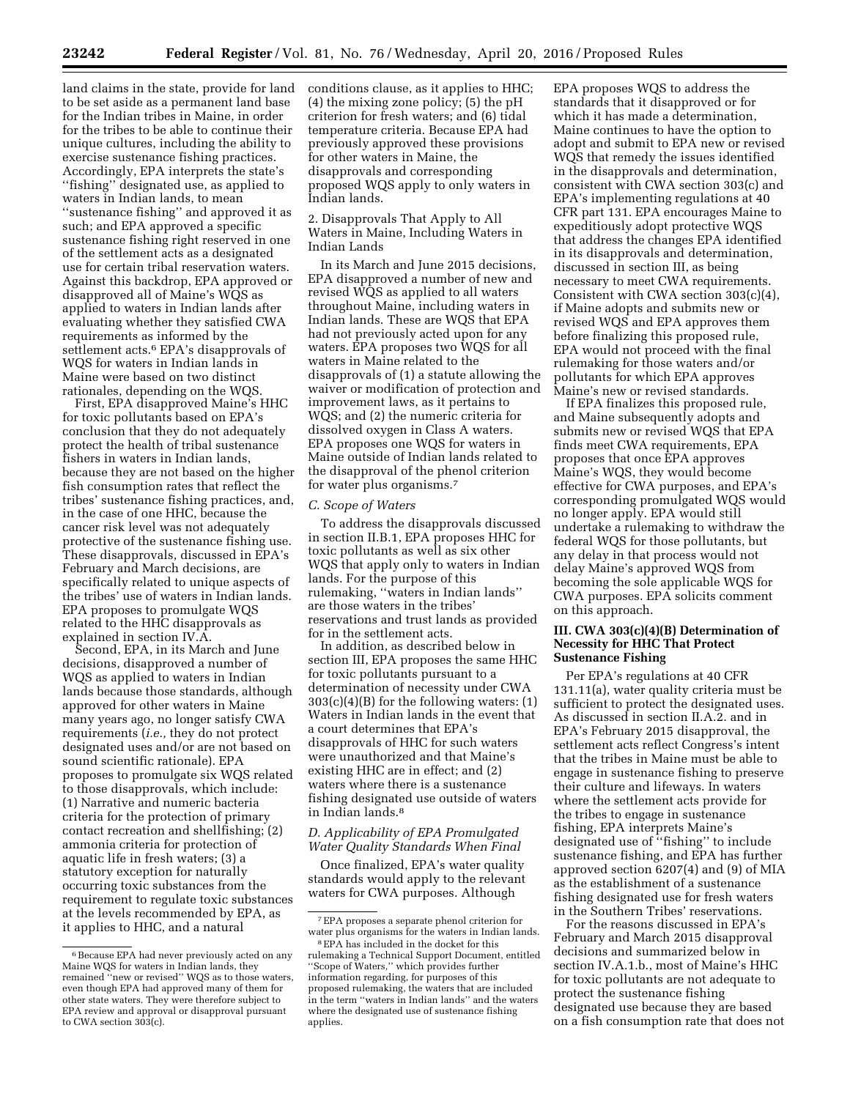land claims in the state, provide for land to be set aside as a permanent land base for the Indian tribes in Maine, in order for the tribes to be able to continue their unique cultures, including the ability to exercise sustenance fishing practices. Accordingly, EPA interprets the state's ''fishing'' designated use, as applied to waters in Indian lands, to mean ''sustenance fishing'' and approved it as such; and EPA approved a specific sustenance fishing right reserved in one of the settlement acts as a designated use for certain tribal reservation waters. Against this backdrop, EPA approved or disapproved all of Maine's WQS as applied to waters in Indian lands after evaluating whether they satisfied CWA requirements as informed by the settlement acts.<sup>6</sup> EPA's disapprovals of WQS for waters in Indian lands in Maine were based on two distinct rationales, depending on the WQS.

First, EPA disapproved Maine's HHC for toxic pollutants based on EPA's conclusion that they do not adequately protect the health of tribal sustenance fishers in waters in Indian lands, because they are not based on the higher fish consumption rates that reflect the tribes' sustenance fishing practices, and, in the case of one HHC, because the cancer risk level was not adequately protective of the sustenance fishing use. These disapprovals, discussed in EPA's February and March decisions, are specifically related to unique aspects of the tribes' use of waters in Indian lands. EPA proposes to promulgate WQS related to the HHC disapprovals as explained in section IV.A.

Second, EPA, in its March and June decisions, disapproved a number of WQS as applied to waters in Indian lands because those standards, although approved for other waters in Maine many years ago, no longer satisfy CWA requirements (*i.e.,* they do not protect designated uses and/or are not based on sound scientific rationale). EPA proposes to promulgate six WQS related to those disapprovals, which include: (1) Narrative and numeric bacteria criteria for the protection of primary contact recreation and shellfishing; (2) ammonia criteria for protection of aquatic life in fresh waters; (3) a statutory exception for naturally occurring toxic substances from the requirement to regulate toxic substances at the levels recommended by EPA, as it applies to HHC, and a natural

conditions clause, as it applies to HHC; (4) the mixing zone policy; (5) the pH criterion for fresh waters; and (6) tidal temperature criteria. Because EPA had previously approved these provisions for other waters in Maine, the disapprovals and corresponding proposed WQS apply to only waters in Indian lands.

2. Disapprovals That Apply to All Waters in Maine, Including Waters in Indian Lands

In its March and June 2015 decisions, EPA disapproved a number of new and revised WQS as applied to all waters throughout Maine, including waters in Indian lands. These are WQS that EPA had not previously acted upon for any waters. EPA proposes two WQS for all waters in Maine related to the disapprovals of (1) a statute allowing the waiver or modification of protection and improvement laws, as it pertains to WQS; and (2) the numeric criteria for dissolved oxygen in Class A waters. EPA proposes one WQS for waters in Maine outside of Indian lands related to the disapproval of the phenol criterion for water plus organisms.7

#### *C. Scope of Waters*

To address the disapprovals discussed in section II.B.1, EPA proposes HHC for toxic pollutants as well as six other WQS that apply only to waters in Indian lands. For the purpose of this rulemaking, ''waters in Indian lands'' are those waters in the tribes' reservations and trust lands as provided for in the settlement acts.

In addition, as described below in section III, EPA proposes the same HHC for toxic pollutants pursuant to a determination of necessity under CWA 303(c)(4)(B) for the following waters: (1) Waters in Indian lands in the event that a court determines that EPA's disapprovals of HHC for such waters were unauthorized and that Maine's existing HHC are in effect; and (2) waters where there is a sustenance fishing designated use outside of waters in Indian lands.8

## *D. Applicability of EPA Promulgated Water Quality Standards When Final*

Once finalized, EPA's water quality standards would apply to the relevant waters for CWA purposes. Although

EPA proposes WQS to address the standards that it disapproved or for which it has made a determination, Maine continues to have the option to adopt and submit to EPA new or revised WQS that remedy the issues identified in the disapprovals and determination, consistent with CWA section 303(c) and EPA's implementing regulations at 40 CFR part 131. EPA encourages Maine to expeditiously adopt protective WQS that address the changes EPA identified in its disapprovals and determination, discussed in section III, as being necessary to meet CWA requirements. Consistent with CWA section 303(c)(4), if Maine adopts and submits new or revised WQS and EPA approves them before finalizing this proposed rule, EPA would not proceed with the final rulemaking for those waters and/or pollutants for which EPA approves Maine's new or revised standards.

If EPA finalizes this proposed rule, and Maine subsequently adopts and submits new or revised WQS that EPA finds meet CWA requirements, EPA proposes that once EPA approves Maine's WQS, they would become effective for CWA purposes, and EPA's corresponding promulgated WQS would no longer apply. EPA would still undertake a rulemaking to withdraw the federal WQS for those pollutants, but any delay in that process would not delay Maine's approved WQS from becoming the sole applicable WQS for CWA purposes. EPA solicits comment on this approach.

### **III. CWA 303(c)(4)(B) Determination of Necessity for HHC That Protect Sustenance Fishing**

Per EPA's regulations at 40 CFR 131.11(a), water quality criteria must be sufficient to protect the designated uses. As discussed in section II.A.2. and in EPA's February 2015 disapproval, the settlement acts reflect Congress's intent that the tribes in Maine must be able to engage in sustenance fishing to preserve their culture and lifeways. In waters where the settlement acts provide for the tribes to engage in sustenance fishing, EPA interprets Maine's designated use of ''fishing'' to include sustenance fishing, and EPA has further approved section 6207(4) and (9) of MIA as the establishment of a sustenance fishing designated use for fresh waters in the Southern Tribes' reservations.

For the reasons discussed in EPA's February and March 2015 disapproval decisions and summarized below in section IV.A.1.b., most of Maine's HHC for toxic pollutants are not adequate to protect the sustenance fishing designated use because they are based on a fish consumption rate that does not

<sup>6</sup>Because EPA had never previously acted on any Maine WQS for waters in Indian lands, they remained ''new or revised'' WQS as to those waters, even though EPA had approved many of them for other state waters. They were therefore subject to EPA review and approval or disapproval pursuant to CWA section  $303(c)$ .

<sup>7</sup>EPA proposes a separate phenol criterion for water plus organisms for the waters in Indian lands.

<sup>8</sup>EPA has included in the docket for this rulemaking a Technical Support Document, entitled ''Scope of Waters,'' which provides further information regarding, for purposes of this proposed rulemaking, the waters that are included in the term ''waters in Indian lands'' and the waters where the designated use of sustenance fishing applies.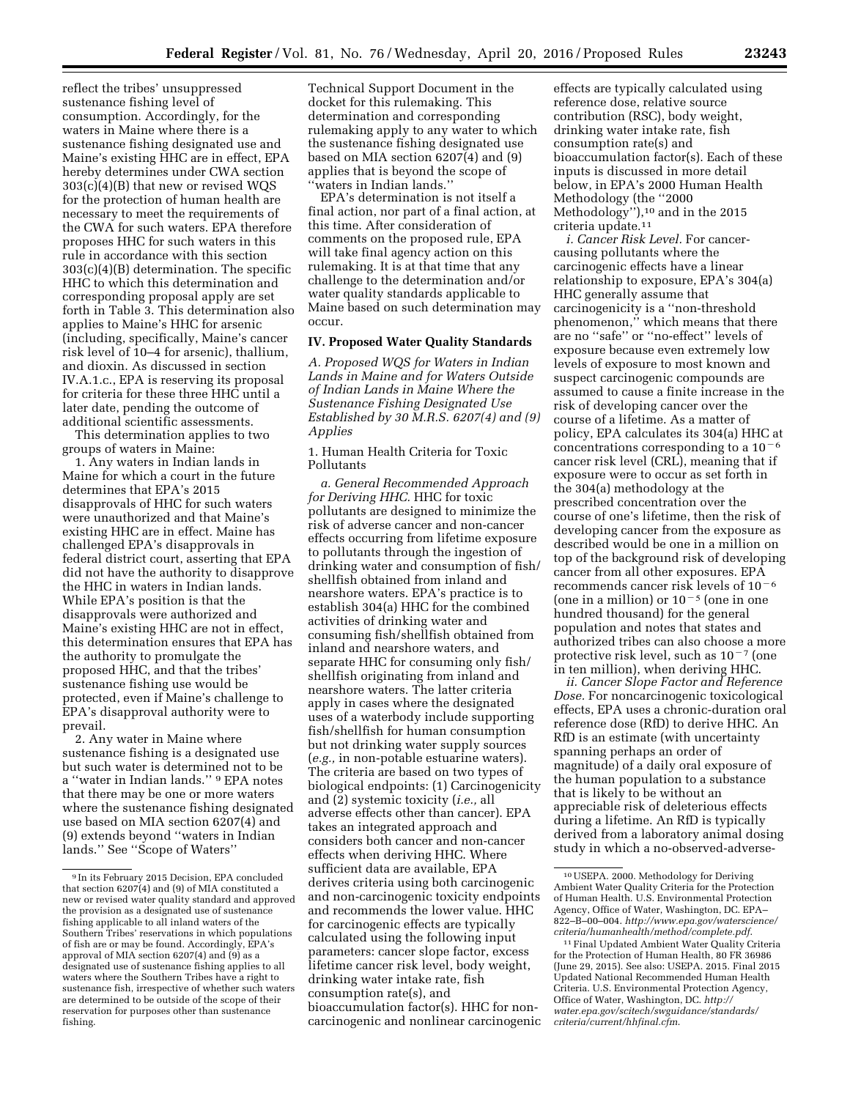reflect the tribes' unsuppressed sustenance fishing level of consumption. Accordingly, for the waters in Maine where there is a sustenance fishing designated use and Maine's existing HHC are in effect, EPA hereby determines under CWA section 303(c)(4)(B) that new or revised WQS for the protection of human health are necessary to meet the requirements of the CWA for such waters. EPA therefore proposes HHC for such waters in this rule in accordance with this section 303(c)(4)(B) determination. The specific HHC to which this determination and corresponding proposal apply are set forth in Table 3. This determination also applies to Maine's HHC for arsenic (including, specifically, Maine's cancer risk level of 10–4 for arsenic), thallium, and dioxin. As discussed in section IV.A.1.c., EPA is reserving its proposal for criteria for these three HHC until a later date, pending the outcome of additional scientific assessments.

This determination applies to two groups of waters in Maine:

1. Any waters in Indian lands in Maine for which a court in the future determines that EPA's 2015 disapprovals of HHC for such waters were unauthorized and that Maine's existing HHC are in effect. Maine has challenged EPA's disapprovals in federal district court, asserting that EPA did not have the authority to disapprove the HHC in waters in Indian lands. While EPA's position is that the disapprovals were authorized and Maine's existing HHC are not in effect, this determination ensures that EPA has the authority to promulgate the proposed HHC, and that the tribes' sustenance fishing use would be protected, even if Maine's challenge to EPA's disapproval authority were to prevail.

2. Any water in Maine where sustenance fishing is a designated use but such water is determined not to be a ''water in Indian lands.'' 9 EPA notes that there may be one or more waters where the sustenance fishing designated use based on MIA section 6207(4) and (9) extends beyond ''waters in Indian lands.'' See ''Scope of Waters''

Technical Support Document in the docket for this rulemaking. This determination and corresponding rulemaking apply to any water to which the sustenance fishing designated use based on MIA section 6207(4) and (9) applies that is beyond the scope of ''waters in Indian lands.''

EPA's determination is not itself a final action, nor part of a final action, at this time. After consideration of comments on the proposed rule, EPA will take final agency action on this rulemaking. It is at that time that any challenge to the determination and/or water quality standards applicable to Maine based on such determination may occur.

## **IV. Proposed Water Quality Standards**

*A. Proposed WQS for Waters in Indian Lands in Maine and for Waters Outside of Indian Lands in Maine Where the Sustenance Fishing Designated Use Established by 30 M.R.S. 6207(4) and (9) Applies* 

1. Human Health Criteria for Toxic Pollutants

*a. General Recommended Approach for Deriving HHC.* HHC for toxic pollutants are designed to minimize the risk of adverse cancer and non-cancer effects occurring from lifetime exposure to pollutants through the ingestion of drinking water and consumption of fish/ shellfish obtained from inland and nearshore waters. EPA's practice is to establish 304(a) HHC for the combined activities of drinking water and consuming fish/shellfish obtained from inland and nearshore waters, and separate HHC for consuming only fish/ shellfish originating from inland and nearshore waters. The latter criteria apply in cases where the designated uses of a waterbody include supporting fish/shellfish for human consumption but not drinking water supply sources (*e.g.,* in non-potable estuarine waters). The criteria are based on two types of biological endpoints: (1) Carcinogenicity and (2) systemic toxicity (*i.e.,* all adverse effects other than cancer). EPA takes an integrated approach and considers both cancer and non-cancer effects when deriving HHC. Where sufficient data are available, EPA derives criteria using both carcinogenic and non-carcinogenic toxicity endpoints and recommends the lower value. HHC for carcinogenic effects are typically calculated using the following input parameters: cancer slope factor, excess lifetime cancer risk level, body weight, drinking water intake rate, fish consumption rate(s), and bioaccumulation factor(s). HHC for noncarcinogenic and nonlinear carcinogenic

effects are typically calculated using reference dose, relative source contribution (RSC), body weight, drinking water intake rate, fish consumption rate(s) and bioaccumulation factor(s). Each of these inputs is discussed in more detail below, in EPA's 2000 Human Health Methodology (the ''2000 Methodology''),10 and in the 2015 criteria update.11

*i. Cancer Risk Level.* For cancercausing pollutants where the carcinogenic effects have a linear relationship to exposure, EPA's 304(a) HHC generally assume that carcinogenicity is a ''non-threshold phenomenon,'' which means that there are no ''safe'' or ''no-effect'' levels of exposure because even extremely low levels of exposure to most known and suspect carcinogenic compounds are assumed to cause a finite increase in the risk of developing cancer over the course of a lifetime. As a matter of policy, EPA calculates its 304(a) HHC at concentrations corresponding to a  $10<sup>-6</sup>$ cancer risk level (CRL), meaning that if exposure were to occur as set forth in the 304(a) methodology at the prescribed concentration over the course of one's lifetime, then the risk of developing cancer from the exposure as described would be one in a million on top of the background risk of developing cancer from all other exposures. EPA recommends cancer risk levels of  $10^{-6}$ (one in a million) or  $10^{-5}$  (one in one hundred thousand) for the general population and notes that states and authorized tribes can also choose a more protective risk level, such as  $10^{-7}$  (one in ten million), when deriving HHC.

*ii. Cancer Slope Factor and Reference Dose.* For noncarcinogenic toxicological effects, EPA uses a chronic-duration oral reference dose (RfD) to derive HHC. An RfD is an estimate (with uncertainty spanning perhaps an order of magnitude) of a daily oral exposure of the human population to a substance that is likely to be without an appreciable risk of deleterious effects during a lifetime. An RfD is typically derived from a laboratory animal dosing study in which a no-observed-adverse-

<sup>9</sup> In its February 2015 Decision, EPA concluded that section 6207(4) and (9) of MIA constituted a new or revised water quality standard and approved the provision as a designated use of sustenance fishing applicable to all inland waters of the Southern Tribes' reservations in which populations of fish are or may be found. Accordingly, EPA's approval of MIA section 6207(4) and (9) as a designated use of sustenance fishing applies to all waters where the Southern Tribes have a right to sustenance fish, irrespective of whether such waters are determined to be outside of the scope of their reservation for purposes other than sustenance fishing.

<sup>10</sup>USEPA. 2000. Methodology for Deriving Ambient Water Quality Criteria for the Protection of Human Health. U.S. Environmental Protection Agency, Office of Water, Washington, DC. EPA– 822–B–00–004. *[http://www.epa.gov/waterscience/](http://www.epa.gov/waterscience/criteria/humanhealth/method/complete.pdf) [criteria/humanhealth/method/complete.pdf](http://www.epa.gov/waterscience/criteria/humanhealth/method/complete.pdf)*.

<sup>11</sup>Final Updated Ambient Water Quality Criteria for the Protection of Human Health, 80 FR 36986 (June 29, 2015). See also: USEPA. 2015. Final 2015 Updated National Recommended Human Health Criteria. U.S. Environmental Protection Agency, Office of Water, Washington, DC. *[http://](http://water.epa.gov/scitech/swguidance/standards/criteria/current/hhfinal.cfm) [water.epa.gov/scitech/swguidance/standards/](http://water.epa.gov/scitech/swguidance/standards/criteria/current/hhfinal.cfm) [criteria/current/hhfinal.cfm](http://water.epa.gov/scitech/swguidance/standards/criteria/current/hhfinal.cfm)*.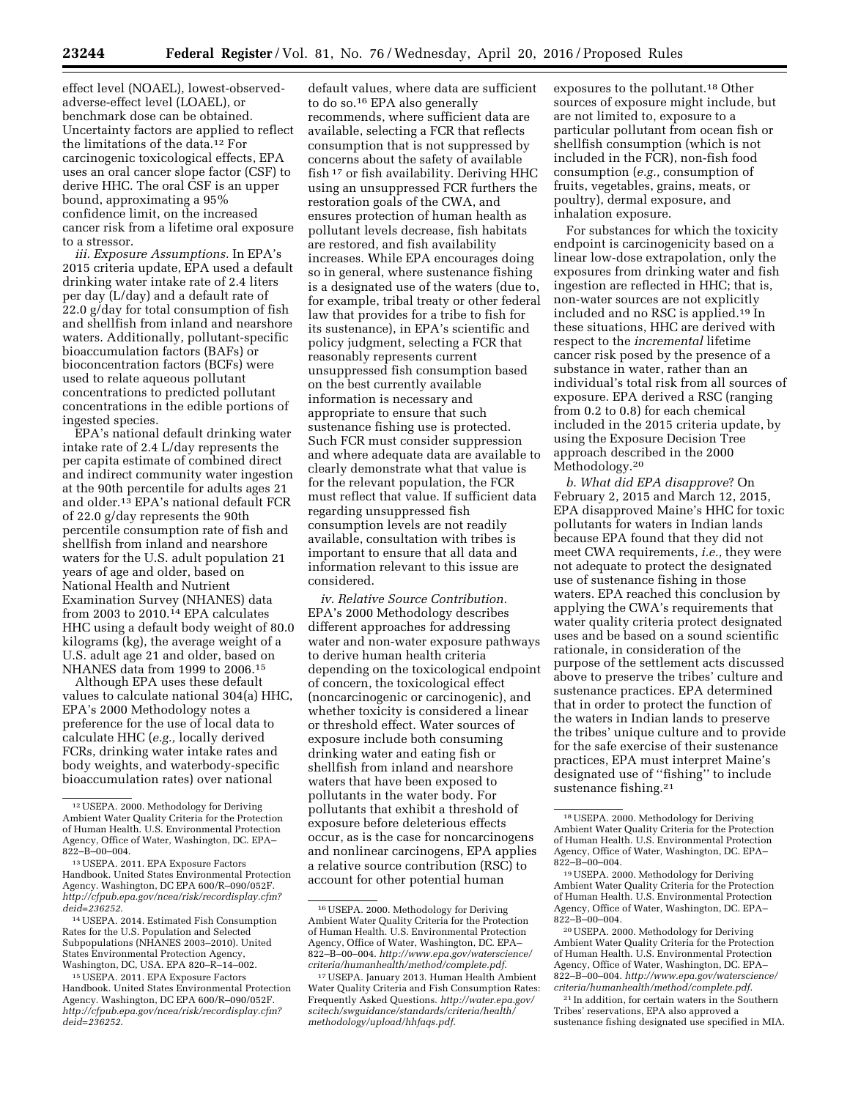effect level (NOAEL), lowest-observedadverse-effect level (LOAEL), or benchmark dose can be obtained. Uncertainty factors are applied to reflect the limitations of the data.12 For carcinogenic toxicological effects, EPA uses an oral cancer slope factor (CSF) to derive HHC. The oral CSF is an upper bound, approximating a 95% confidence limit, on the increased cancer risk from a lifetime oral exposure to a stressor.

*iii. Exposure Assumptions.* In EPA's 2015 criteria update, EPA used a default drinking water intake rate of 2.4 liters per day (L/day) and a default rate of 22.0 g/day for total consumption of fish and shellfish from inland and nearshore waters. Additionally, pollutant-specific bioaccumulation factors (BAFs) or bioconcentration factors (BCFs) were used to relate aqueous pollutant concentrations to predicted pollutant concentrations in the edible portions of ingested species.

EPA's national default drinking water intake rate of 2.4 L/day represents the per capita estimate of combined direct and indirect community water ingestion at the 90th percentile for adults ages 21 and older.13 EPA's national default FCR of 22.0 g/day represents the 90th percentile consumption rate of fish and shellfish from inland and nearshore waters for the U.S. adult population 21 years of age and older, based on National Health and Nutrient Examination Survey (NHANES) data from 2003 to 2010.14 EPA calculates HHC using a default body weight of 80.0 kilograms (kg), the average weight of a U.S. adult age 21 and older, based on NHANES data from 1999 to 2006.15

Although EPA uses these default values to calculate national 304(a) HHC, EPA's 2000 Methodology notes a preference for the use of local data to calculate HHC (*e.g.,* locally derived FCRs, drinking water intake rates and body weights, and waterbody-specific bioaccumulation rates) over national

default values, where data are sufficient to do so.16 EPA also generally recommends, where sufficient data are available, selecting a FCR that reflects consumption that is not suppressed by concerns about the safety of available fish 17 or fish availability. Deriving HHC using an unsuppressed FCR furthers the restoration goals of the CWA, and ensures protection of human health as pollutant levels decrease, fish habitats are restored, and fish availability increases. While EPA encourages doing so in general, where sustenance fishing is a designated use of the waters (due to, for example, tribal treaty or other federal law that provides for a tribe to fish for its sustenance), in EPA's scientific and policy judgment, selecting a FCR that reasonably represents current unsuppressed fish consumption based on the best currently available information is necessary and appropriate to ensure that such sustenance fishing use is protected. Such FCR must consider suppression and where adequate data are available to clearly demonstrate what that value is for the relevant population, the FCR must reflect that value. If sufficient data regarding unsuppressed fish consumption levels are not readily available, consultation with tribes is important to ensure that all data and information relevant to this issue are considered.

*iv. Relative Source Contribution.*  EPA's 2000 Methodology describes different approaches for addressing water and non-water exposure pathways to derive human health criteria depending on the toxicological endpoint of concern, the toxicological effect (noncarcinogenic or carcinogenic), and whether toxicity is considered a linear or threshold effect. Water sources of exposure include both consuming drinking water and eating fish or shellfish from inland and nearshore waters that have been exposed to pollutants in the water body. For pollutants that exhibit a threshold of exposure before deleterious effects occur, as is the case for noncarcinogens and nonlinear carcinogens, EPA applies a relative source contribution (RSC) to account for other potential human

exposures to the pollutant.18 Other sources of exposure might include, but are not limited to, exposure to a particular pollutant from ocean fish or shellfish consumption (which is not included in the FCR), non-fish food consumption (*e.g.,* consumption of fruits, vegetables, grains, meats, or poultry), dermal exposure, and inhalation exposure.

For substances for which the toxicity endpoint is carcinogenicity based on a linear low-dose extrapolation, only the exposures from drinking water and fish ingestion are reflected in HHC; that is, non-water sources are not explicitly included and no RSC is applied.19 In these situations, HHC are derived with respect to the *incremental* lifetime cancer risk posed by the presence of a substance in water, rather than an individual's total risk from all sources of exposure. EPA derived a RSC (ranging from 0.2 to 0.8) for each chemical included in the 2015 criteria update, by using the Exposure Decision Tree approach described in the 2000 Methodology.<sup>20</sup>

*b. What did EPA disapprove*? On February 2, 2015 and March 12, 2015, EPA disapproved Maine's HHC for toxic pollutants for waters in Indian lands because EPA found that they did not meet CWA requirements, *i.e.,* they were not adequate to protect the designated use of sustenance fishing in those waters. EPA reached this conclusion by applying the CWA's requirements that water quality criteria protect designated uses and be based on a sound scientific rationale, in consideration of the purpose of the settlement acts discussed above to preserve the tribes' culture and sustenance practices. EPA determined that in order to protect the function of the waters in Indian lands to preserve the tribes' unique culture and to provide for the safe exercise of their sustenance practices, EPA must interpret Maine's designated use of ''fishing'' to include sustenance fishing.<sup>21</sup>

<sup>12</sup>USEPA. 2000. Methodology for Deriving Ambient Water Quality Criteria for the Protection of Human Health. U.S. Environmental Protection Agency, Office of Water, Washington, DC. EPA– 822–B–00–004.

<sup>13</sup>USEPA. 2011. EPA Exposure Factors Handbook. United States Environmental Protection Agency. Washington, DC EPA 600/R–090/052F. *[http://cfpub.epa.gov/ncea/risk/recordisplay.cfm?](http://cfpub.epa.gov/ncea/risk/recordisplay.cfm?deid=236252) [deid=236252](http://cfpub.epa.gov/ncea/risk/recordisplay.cfm?deid=236252)*.

<sup>14</sup>USEPA. 2014. Estimated Fish Consumption Rates for the U.S. Population and Selected Subpopulations (NHANES 2003–2010). United States Environmental Protection Agency, Washington, DC, USA. EPA 820–R–14–002.

<sup>15</sup>USEPA. 2011. EPA Exposure Factors Handbook. United States Environmental Protection Agency. Washington, DC EPA 600/R–090/052F. *[http://cfpub.epa.gov/ncea/risk/recordisplay.cfm?](http://cfpub.epa.gov/ncea/risk/recordisplay.cfm?deid=236252) [deid=236252](http://cfpub.epa.gov/ncea/risk/recordisplay.cfm?deid=236252)*.

<sup>16</sup>USEPA. 2000. Methodology for Deriving Ambient Water Quality Criteria for the Protection of Human Health. U.S. Environmental Protection Agency, Office of Water, Washington, DC. EPA– 822–B–00–004. *[http://www.epa.gov/waterscience/](http://www.epa.gov/waterscience/criteria/humanhealth/method/complete.pdf) [criteria/humanhealth/method/complete.pdf](http://www.epa.gov/waterscience/criteria/humanhealth/method/complete.pdf)*.

<sup>17</sup>USEPA. January 2013. Human Health Ambient Water Quality Criteria and Fish Consumption Rates: Frequently Asked Questions. *[http://water.epa.gov/](http://water.epa.gov/scitech/swguidance/standards/criteria/health/methodology/upload/hhfaqs.pdf) [scitech/swguidance/standards/criteria/health/](http://water.epa.gov/scitech/swguidance/standards/criteria/health/methodology/upload/hhfaqs.pdf) [methodology/upload/hhfaqs.pdf](http://water.epa.gov/scitech/swguidance/standards/criteria/health/methodology/upload/hhfaqs.pdf)*.

<sup>18</sup>USEPA. 2000. Methodology for Deriving Ambient Water Quality Criteria for the Protection of Human Health. U.S. Environmental Protection Agency, Office of Water, Washington, DC. EPA– 822–B–00–004.

<sup>19</sup>USEPA. 2000. Methodology for Deriving Ambient Water Quality Criteria for the Protection of Human Health. U.S. Environmental Protection Agency, Office of Water, Washington, DC. EPA– 822–B–00–004.

<sup>20</sup>USEPA. 2000. Methodology for Deriving Ambient Water Quality Criteria for the Protection of Human Health. U.S. Environmental Protection Agency, Office of Water, Washington, DC. EPA– 822–B–00–004. *[http://www.epa.gov/waterscience/](http://www.epa.gov/waterscience/criteria/humanhealth/method/complete.pdf) [criteria/humanhealth/method/complete.pdf](http://www.epa.gov/waterscience/criteria/humanhealth/method/complete.pdf)*.

<sup>21</sup> In addition, for certain waters in the Southern Tribes' reservations, EPA also approved a sustenance fishing designated use specified in MIA.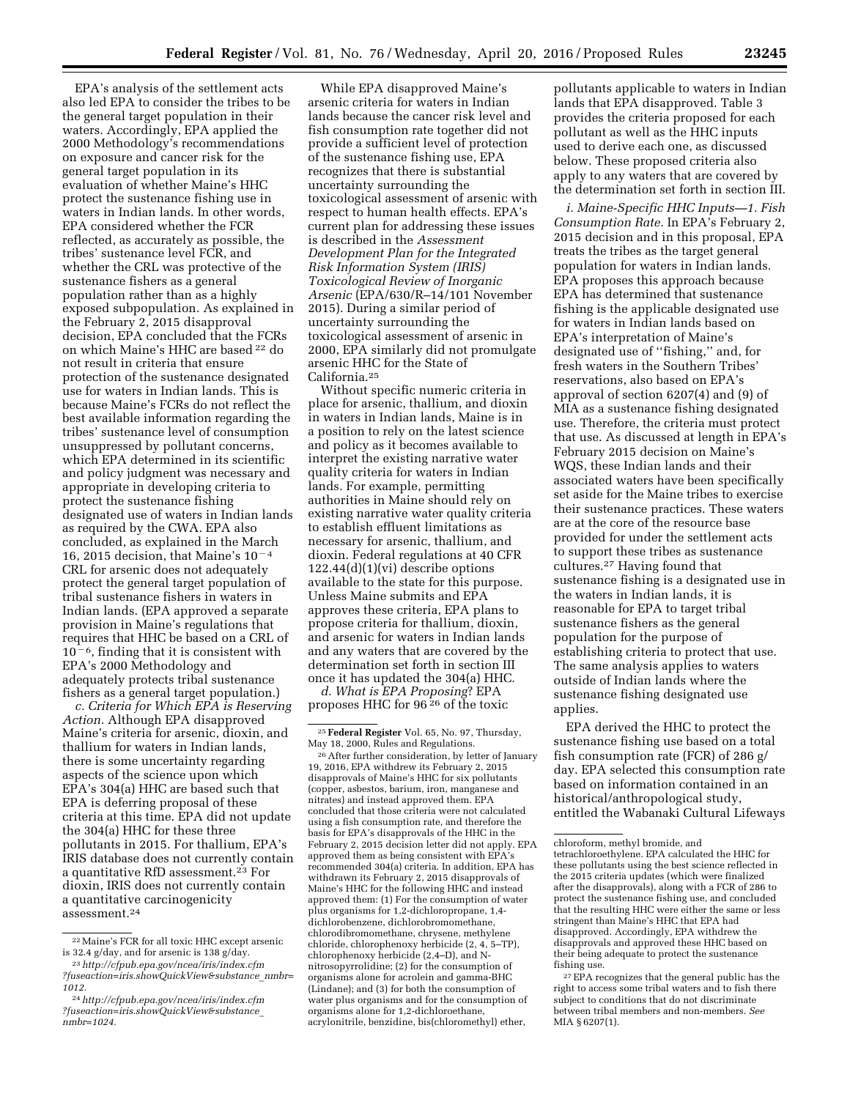EPA's analysis of the settlement acts also led EPA to consider the tribes to be the general target population in their waters. Accordingly, EPA applied the 2000 Methodology's recommendations on exposure and cancer risk for the general target population in its evaluation of whether Maine's HHC protect the sustenance fishing use in waters in Indian lands. In other words, EPA considered whether the FCR reflected, as accurately as possible, the tribes' sustenance level FCR, and whether the CRL was protective of the sustenance fishers as a general population rather than as a highly exposed subpopulation. As explained in the February 2, 2015 disapproval decision, EPA concluded that the FCRs on which Maine's HHC are based 22 do not result in criteria that ensure protection of the sustenance designated use for waters in Indian lands. This is because Maine's FCRs do not reflect the best available information regarding the tribes' sustenance level of consumption unsuppressed by pollutant concerns, which EPA determined in its scientific and policy judgment was necessary and appropriate in developing criteria to protect the sustenance fishing designated use of waters in Indian lands as required by the CWA. EPA also concluded, as explained in the March 16, 2015 decision, that Maine's  $10<sup>-4</sup>$ CRL for arsenic does not adequately protect the general target population of tribal sustenance fishers in waters in Indian lands. (EPA approved a separate provision in Maine's regulations that requires that HHC be based on a CRL of  $10<sup>-6</sup>$ , finding that it is consistent with EPA's 2000 Methodology and adequately protects tribal sustenance fishers as a general target population.)

*c. Criteria for Which EPA is Reserving Action.* Although EPA disapproved Maine's criteria for arsenic, dioxin, and thallium for waters in Indian lands, there is some uncertainty regarding aspects of the science upon which EPA's 304(a) HHC are based such that EPA is deferring proposal of these criteria at this time. EPA did not update the 304(a) HHC for these three pollutants in 2015. For thallium, EPA's IRIS database does not currently contain a quantitative RfD assessment.23 For dioxin, IRIS does not currently contain a quantitative carcinogenicity assessment. $^{\rm 24}$ 

While EPA disapproved Maine's arsenic criteria for waters in Indian lands because the cancer risk level and fish consumption rate together did not provide a sufficient level of protection of the sustenance fishing use, EPA recognizes that there is substantial uncertainty surrounding the toxicological assessment of arsenic with respect to human health effects. EPA's current plan for addressing these issues is described in the *Assessment Development Plan for the Integrated Risk Information System (IRIS) Toxicological Review of Inorganic Arsenic* (EPA/630/R–14/101 November 2015). During a similar period of uncertainty surrounding the toxicological assessment of arsenic in 2000, EPA similarly did not promulgate arsenic HHC for the State of California.25

Without specific numeric criteria in place for arsenic, thallium, and dioxin in waters in Indian lands, Maine is in a position to rely on the latest science and policy as it becomes available to interpret the existing narrative water quality criteria for waters in Indian lands. For example, permitting authorities in Maine should rely on existing narrative water quality criteria to establish effluent limitations as necessary for arsenic, thallium, and dioxin. Federal regulations at 40 CFR  $122.44(d)(1)(vi)$  describe options available to the state for this purpose. Unless Maine submits and EPA approves these criteria, EPA plans to propose criteria for thallium, dioxin, and arsenic for waters in Indian lands and any waters that are covered by the determination set forth in section III once it has updated the 304(a) HHC.

*d. What is EPA Proposing*? EPA proposes HHC for 96 26 of the toxic

26After further consideration, by letter of January 19, 2016, EPA withdrew its February 2, 2015 disapprovals of Maine's HHC for six pollutants (copper, asbestos, barium, iron, manganese and nitrates) and instead approved them. EPA concluded that those criteria were not calculated using a fish consumption rate, and therefore the basis for EPA's disapprovals of the HHC in the February 2, 2015 decision letter did not apply. EPA approved them as being consistent with EPA's recommended 304(a) criteria. In addition, EPA has withdrawn its February 2, 2015 disapprovals of Maine's HHC for the following HHC and instead approved them: (1) For the consumption of water plus organisms for 1,2-dichloropropane, 1,4 dichlorobenzene, dichlorobromomethane, chlorodibromomethane, chrysene, methylene chloride, chlorophenoxy herbicide (2, 4, 5–TP), chlorophenoxy herbicide (2,4–D), and Nnitrosopyrrolidine; (2) for the consumption of organisms alone for acrolein and gamma-BHC (Lindane); and (3) for both the consumption of water plus organisms and for the consumption of organisms alone for 1,2-dichloroethane, acrylonitrile, benzidine, bis(chloromethyl) ether,

pollutants applicable to waters in Indian lands that EPA disapproved. Table 3 provides the criteria proposed for each pollutant as well as the HHC inputs used to derive each one, as discussed below. These proposed criteria also apply to any waters that are covered by the determination set forth in section III.

*i. Maine-Specific HHC Inputs—1. Fish Consumption Rate.* In EPA's February 2, 2015 decision and in this proposal, EPA treats the tribes as the target general population for waters in Indian lands. EPA proposes this approach because EPA has determined that sustenance fishing is the applicable designated use for waters in Indian lands based on EPA's interpretation of Maine's designated use of ''fishing,'' and, for fresh waters in the Southern Tribes' reservations, also based on EPA's approval of section 6207(4) and (9) of MIA as a sustenance fishing designated use. Therefore, the criteria must protect that use. As discussed at length in EPA's February 2015 decision on Maine's WQS, these Indian lands and their associated waters have been specifically set aside for the Maine tribes to exercise their sustenance practices. These waters are at the core of the resource base provided for under the settlement acts to support these tribes as sustenance cultures.27 Having found that sustenance fishing is a designated use in the waters in Indian lands, it is reasonable for EPA to target tribal sustenance fishers as the general population for the purpose of establishing criteria to protect that use. The same analysis applies to waters outside of Indian lands where the sustenance fishing designated use applies.

EPA derived the HHC to protect the sustenance fishing use based on a total fish consumption rate (FCR) of 286 g/ day. EPA selected this consumption rate based on information contained in an historical/anthropological study, entitled the Wabanaki Cultural Lifeways

<sup>22</sup>Maine's FCR for all toxic HHC except arsenic is 32.4 g/day, and for arsenic is 138 g/day.

<sup>23</sup>*[http://cfpub.epa.gov/ncea/iris/index.cfm](http://cfpub.epa.gov/ncea/iris/index.cfm?fuseaction=iris.showQuickView&substance_nmbr=1012) [?fuseaction=iris.showQuickView&substance](http://cfpub.epa.gov/ncea/iris/index.cfm?fuseaction=iris.showQuickView&substance_nmbr=1012)*\_*nmbr= [1012.](http://cfpub.epa.gov/ncea/iris/index.cfm?fuseaction=iris.showQuickView&substance_nmbr=1012)* 

<sup>24</sup>*[http://cfpub.epa.gov/ncea/iris/index.cfm](http://cfpub.epa.gov/ncea/iris/index.cfm?fuseaction=iris.showQuickView&substance_nmbr=1024) [?fuseaction=iris.showQuickView&substance](http://cfpub.epa.gov/ncea/iris/index.cfm?fuseaction=iris.showQuickView&substance_nmbr=1024)*\_ *[nmbr=1024.](http://cfpub.epa.gov/ncea/iris/index.cfm?fuseaction=iris.showQuickView&substance_nmbr=1024)* 

<sup>25</sup>**Federal Register** Vol. 65, No. 97, Thursday, May 18, 2000, Rules and Regulations.

chloroform, methyl bromide, and tetrachloroethylene. EPA calculated the HHC for these pollutants using the best science reflected in the 2015 criteria updates (which were finalized after the disapprovals), along with a FCR of 286 to protect the sustenance fishing use, and concluded that the resulting HHC were either the same or less stringent than Maine's HHC that EPA had disapproved. Accordingly, EPA withdrew the disapprovals and approved these HHC based on their being adequate to protect the sustenance fishing use.

<sup>27</sup>EPA recognizes that the general public has the right to access some tribal waters and to fish there subject to conditions that do not discriminate between tribal members and non-members. *See*  MIA § 6207(1).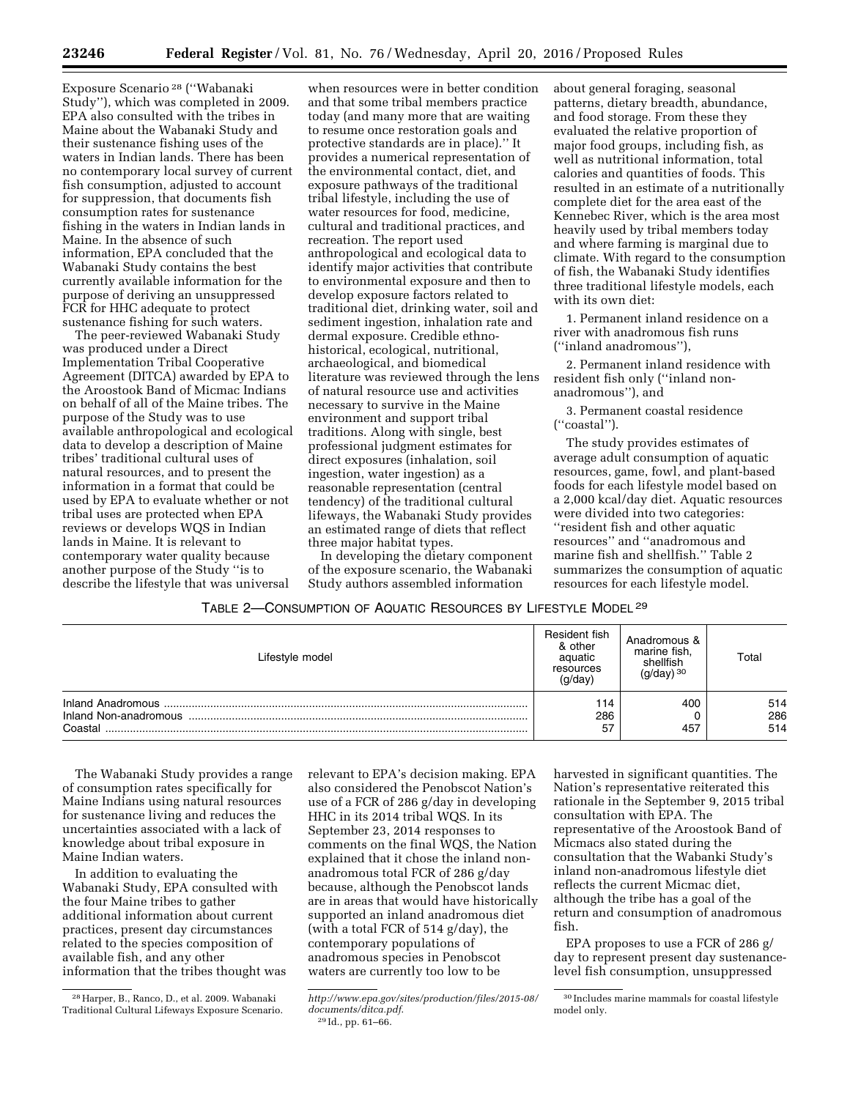Exposure Scenario 28 (''Wabanaki Study''), which was completed in 2009. EPA also consulted with the tribes in Maine about the Wabanaki Study and their sustenance fishing uses of the waters in Indian lands. There has been no contemporary local survey of current fish consumption, adjusted to account for suppression, that documents fish consumption rates for sustenance fishing in the waters in Indian lands in Maine. In the absence of such information, EPA concluded that the Wabanaki Study contains the best currently available information for the purpose of deriving an unsuppressed FCR for HHC adequate to protect sustenance fishing for such waters.

The peer-reviewed Wabanaki Study was produced under a Direct Implementation Tribal Cooperative Agreement (DITCA) awarded by EPA to the Aroostook Band of Micmac Indians on behalf of all of the Maine tribes. The purpose of the Study was to use available anthropological and ecological data to develop a description of Maine tribes' traditional cultural uses of natural resources, and to present the information in a format that could be used by EPA to evaluate whether or not tribal uses are protected when EPA reviews or develops WQS in Indian lands in Maine. It is relevant to contemporary water quality because another purpose of the Study ''is to describe the lifestyle that was universal

when resources were in better condition and that some tribal members practice today (and many more that are waiting to resume once restoration goals and protective standards are in place).'' It provides a numerical representation of the environmental contact, diet, and exposure pathways of the traditional tribal lifestyle, including the use of water resources for food, medicine, cultural and traditional practices, and recreation. The report used anthropological and ecological data to identify major activities that contribute to environmental exposure and then to develop exposure factors related to traditional diet, drinking water, soil and sediment ingestion, inhalation rate and dermal exposure. Credible ethnohistorical, ecological, nutritional, archaeological, and biomedical literature was reviewed through the lens of natural resource use and activities necessary to survive in the Maine environment and support tribal traditions. Along with single, best professional judgment estimates for direct exposures (inhalation, soil ingestion, water ingestion) as a reasonable representation (central tendency) of the traditional cultural lifeways, the Wabanaki Study provides an estimated range of diets that reflect three major habitat types.

In developing the dietary component of the exposure scenario, the Wabanaki Study authors assembled information

about general foraging, seasonal patterns, dietary breadth, abundance, and food storage. From these they evaluated the relative proportion of major food groups, including fish, as well as nutritional information, total calories and quantities of foods. This resulted in an estimate of a nutritionally complete diet for the area east of the Kennebec River, which is the area most heavily used by tribal members today and where farming is marginal due to climate. With regard to the consumption of fish, the Wabanaki Study identifies three traditional lifestyle models, each with its own diet:

1. Permanent inland residence on a river with anadromous fish runs (''inland anadromous''),

2. Permanent inland residence with resident fish only (''inland nonanadromous''), and

3. Permanent coastal residence (''coastal'').

The study provides estimates of average adult consumption of aquatic resources, game, fowl, and plant-based foods for each lifestyle model based on a 2,000 kcal/day diet. Aquatic resources were divided into two categories: ''resident fish and other aquatic resources'' and ''anadromous and marine fish and shellfish.'' Table 2 summarizes the consumption of aquatic resources for each lifestyle model.

## TABLE 2—CONSUMPTION OF AQUATIC RESOURCES BY LIFESTYLE MODEL 29

| Lifestyle model                                       | Resident fish<br>& other<br>aquatic<br>resources<br>(g/day) | Anadromous &<br>marine fish,<br>shellfish<br>$(g/day)$ 30 | Total             |
|-------------------------------------------------------|-------------------------------------------------------------|-----------------------------------------------------------|-------------------|
| Inland Anadromous<br>Inland Non-anadromous<br>Coastal | 114<br>286<br>57                                            | 400<br>457                                                | 514<br>286<br>514 |

The Wabanaki Study provides a range of consumption rates specifically for Maine Indians using natural resources for sustenance living and reduces the uncertainties associated with a lack of knowledge about tribal exposure in Maine Indian waters.

In addition to evaluating the Wabanaki Study, EPA consulted with the four Maine tribes to gather additional information about current practices, present day circumstances related to the species composition of available fish, and any other information that the tribes thought was relevant to EPA's decision making. EPA also considered the Penobscot Nation's use of a FCR of 286 g/day in developing HHC in its 2014 tribal WQS. In its September 23, 2014 responses to comments on the final WQS, the Nation explained that it chose the inland nonanadromous total FCR of 286 g/day because, although the Penobscot lands are in areas that would have historically supported an inland anadromous diet (with a total FCR of 514 g/day), the contemporary populations of anadromous species in Penobscot waters are currently too low to be

29 Id., pp. 61–66.

harvested in significant quantities. The Nation's representative reiterated this rationale in the September 9, 2015 tribal consultation with EPA. The representative of the Aroostook Band of Micmacs also stated during the consultation that the Wabanki Study's inland non-anadromous lifestyle diet reflects the current Micmac diet, although the tribe has a goal of the return and consumption of anadromous fish.

EPA proposes to use a FCR of 286 g/ day to represent present day sustenancelevel fish consumption, unsuppressed

<sup>28</sup>Harper, B., Ranco, D., et al. 2009. Wabanaki Traditional Cultural Lifeways Exposure Scenario.

*[http://www.epa.gov/sites/production/files/2015-08/](http://www.epa.gov/sites/production/files/2015-08/documents/ditca.pdf) [documents/ditca.pdf](http://www.epa.gov/sites/production/files/2015-08/documents/ditca.pdf)*.

<sup>30</sup> Includes marine mammals for coastal lifestyle model only.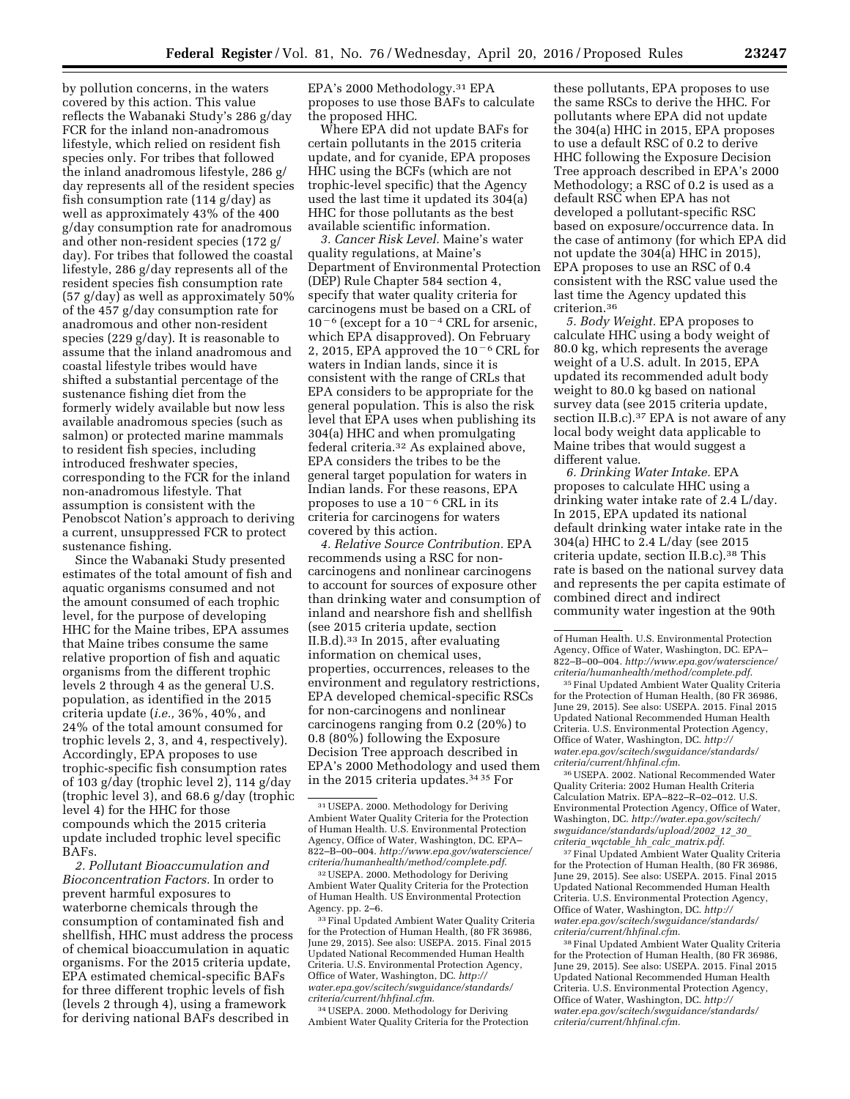by pollution concerns, in the waters covered by this action. This value reflects the Wabanaki Study's 286 g/day FCR for the inland non-anadromous lifestyle, which relied on resident fish species only. For tribes that followed the inland anadromous lifestyle, 286 g/ day represents all of the resident species fish consumption rate (114 g/day) as well as approximately 43% of the 400 g/day consumption rate for anadromous and other non-resident species (172 g/ day). For tribes that followed the coastal lifestyle, 286 g/day represents all of the resident species fish consumption rate (57 g/day) as well as approximately 50% of the 457 g/day consumption rate for anadromous and other non-resident species (229 g/day). It is reasonable to assume that the inland anadromous and coastal lifestyle tribes would have shifted a substantial percentage of the sustenance fishing diet from the formerly widely available but now less available anadromous species (such as salmon) or protected marine mammals to resident fish species, including introduced freshwater species, corresponding to the FCR for the inland non-anadromous lifestyle. That assumption is consistent with the Penobscot Nation's approach to deriving a current, unsuppressed FCR to protect sustenance fishing.

Since the Wabanaki Study presented estimates of the total amount of fish and aquatic organisms consumed and not the amount consumed of each trophic level, for the purpose of developing HHC for the Maine tribes, EPA assumes that Maine tribes consume the same relative proportion of fish and aquatic organisms from the different trophic levels 2 through 4 as the general U.S. population, as identified in the 2015 criteria update (*i.e.,* 36%, 40%, and 24% of the total amount consumed for trophic levels 2, 3, and 4, respectively). Accordingly, EPA proposes to use trophic-specific fish consumption rates of 103 g/day (trophic level 2), 114 g/day (trophic level 3), and 68.6 g/day (trophic level 4) for the HHC for those compounds which the 2015 criteria update included trophic level specific BAFs.

*2. Pollutant Bioaccumulation and Bioconcentration Factors.* In order to prevent harmful exposures to waterborne chemicals through the consumption of contaminated fish and shellfish, HHC must address the process of chemical bioaccumulation in aquatic organisms. For the 2015 criteria update, EPA estimated chemical-specific BAFs for three different trophic levels of fish (levels 2 through 4), using a framework for deriving national BAFs described in

EPA's 2000 Methodology.31 EPA proposes to use those BAFs to calculate the proposed HHC.

Where EPA did not update BAFs for certain pollutants in the 2015 criteria update, and for cyanide, EPA proposes HHC using the BCFs (which are not trophic-level specific) that the Agency used the last time it updated its 304(a) HHC for those pollutants as the best available scientific information.

*3. Cancer Risk Level.* Maine's water quality regulations, at Maine's Department of Environmental Protection (DEP) Rule Chapter 584 section 4, specify that water quality criteria for carcinogens must be based on a CRL of  $10^{-6}$  (except for a  $10^{-4}$  CRL for arsenic, which EPA disapproved). On February 2, 2015, EPA approved the  $10^{-6}$  CRL for waters in Indian lands, since it is consistent with the range of CRLs that EPA considers to be appropriate for the general population. This is also the risk level that EPA uses when publishing its 304(a) HHC and when promulgating federal criteria.32 As explained above, EPA considers the tribes to be the general target population for waters in Indian lands. For these reasons, EPA proposes to use a  $10^{-6}$  CRL in its criteria for carcinogens for waters covered by this action.

*4. Relative Source Contribution.* EPA recommends using a RSC for noncarcinogens and nonlinear carcinogens to account for sources of exposure other than drinking water and consumption of inland and nearshore fish and shellfish (see 2015 criteria update, section II.B.d).33 In 2015, after evaluating information on chemical uses, properties, occurrences, releases to the environment and regulatory restrictions, EPA developed chemical-specific RSCs for non-carcinogens and nonlinear carcinogens ranging from 0.2 (20%) to 0.8 (80%) following the Exposure Decision Tree approach described in EPA's 2000 Methodology and used them in the 2015 criteria updates.34 35 For

32USEPA. 2000. Methodology for Deriving Ambient Water Quality Criteria for the Protection of Human Health. US Environmental Protection Agency. pp. 2–6.

33Final Updated Ambient Water Quality Criteria for the Protection of Human Health, (80 FR 36986, June 29, 2015). See also: USEPA. 2015. Final 2015 Updated National Recommended Human Health Criteria. U.S. Environmental Protection Agency, Office of Water, Washington, DC. *[http://](http://water.epa.gov/scitech/swguidance/standards/criteria/current/hhfinal.cfm) [water.epa.gov/scitech/swguidance/standards/](http://water.epa.gov/scitech/swguidance/standards/criteria/current/hhfinal.cfm) [criteria/current/hhfinal.cfm](http://water.epa.gov/scitech/swguidance/standards/criteria/current/hhfinal.cfm)*.

34USEPA. 2000. Methodology for Deriving Ambient Water Quality Criteria for the Protection

these pollutants, EPA proposes to use the same RSCs to derive the HHC. For pollutants where EPA did not update the 304(a) HHC in 2015, EPA proposes to use a default RSC of 0.2 to derive HHC following the Exposure Decision Tree approach described in EPA's 2000 Methodology; a RSC of 0.2 is used as a default RSC when EPA has not developed a pollutant-specific RSC based on exposure/occurrence data. In the case of antimony (for which EPA did not update the 304(a) HHC in 2015), EPA proposes to use an RSC of 0.4 consistent with the RSC value used the last time the Agency updated this criterion.36

*5. Body Weight.* EPA proposes to calculate HHC using a body weight of 80.0 kg, which represents the average weight of a U.S. adult. In 2015, EPA updated its recommended adult body weight to 80.0 kg based on national survey data (see 2015 criteria update, section II.B.c).<sup>37</sup> EPA is not aware of any local body weight data applicable to Maine tribes that would suggest a different value.

*6. Drinking Water Intake.* EPA proposes to calculate HHC using a drinking water intake rate of 2.4 L/day. In 2015, EPA updated its national default drinking water intake rate in the 304(a) HHC to 2.4 L/day (see 2015 criteria update, section II.B.c).38 This rate is based on the national survey data and represents the per capita estimate of combined direct and indirect community water ingestion at the 90th

35Final Updated Ambient Water Quality Criteria for the Protection of Human Health, (80 FR 36986, June 29, 2015). See also: USEPA. 2015. Final 2015 Updated National Recommended Human Health Criteria. U.S. Environmental Protection Agency, Office of Water, Washington, DC. *[http://](http://water.epa.gov/scitech/swguidance/standards/criteria/current/hhfinal.cfm) [water.epa.gov/scitech/swguidance/standards/](http://water.epa.gov/scitech/swguidance/standards/criteria/current/hhfinal.cfm) [criteria/current/hhfinal.cfm](http://water.epa.gov/scitech/swguidance/standards/criteria/current/hhfinal.cfm)*.

36USEPA. 2002. National Recommended Water Quality Criteria: 2002 Human Health Criteria Calculation Matrix. EPA–822–R–02–012. U.S. Environmental Protection Agency, Office of Water, Washington, DC. *[http://water.epa.gov/scitech/](http://water.epa.gov/scitech/swguidance/standards/upload/2002_12_30_criteria_wqctable_hh_calc_matrix.pdf) [swguidance/standards/upload/2002](http://water.epa.gov/scitech/swguidance/standards/upload/2002_12_30_criteria_wqctable_hh_calc_matrix.pdf)*\_*12*\_*30*\_ *criteria*\_*wqctable*\_*hh*\_*calc*\_*[matrix.pdf](http://water.epa.gov/scitech/swguidance/standards/upload/2002_12_30_criteria_wqctable_hh_calc_matrix.pdf)*.

<sup>37</sup> Final Updated Ambient Water Quality Criteria for the Protection of Human Health, (80 FR 36986, June 29, 2015). See also: USEPA. 2015. Final 2015 Updated National Recommended Human Health Criteria. U.S. Environmental Protection Agency, Office of Water, Washington, DC. *[http://](http://water.epa.gov/scitech/swguidance/standards/criteria/current/hhfinal.cfm) [water.epa.gov/scitech/swguidance/standards/](http://water.epa.gov/scitech/swguidance/standards/criteria/current/hhfinal.cfm) [criteria/current/hhfinal.cfm](http://water.epa.gov/scitech/swguidance/standards/criteria/current/hhfinal.cfm)*.

38Final Updated Ambient Water Quality Criteria for the Protection of Human Health, (80 FR 36986, June 29, 2015). See also: USEPA. 2015. Final 2015 Updated National Recommended Human Health Criteria. U.S. Environmental Protection Agency, Office of Water, Washington, DC. *[http://](http://water.epa.gov/scitech/swguidance/standards/criteria/current/hhfinal.cfm) [water.epa.gov/scitech/swguidance/standards/](http://water.epa.gov/scitech/swguidance/standards/criteria/current/hhfinal.cfm) [criteria/current/hhfinal.cfm.](http://water.epa.gov/scitech/swguidance/standards/criteria/current/hhfinal.cfm)* 

<sup>31</sup>USEPA. 2000. Methodology for Deriving Ambient Water Quality Criteria for the Protection of Human Health. U.S. Environmental Protection Agency, Office of Water, Washington, DC. EPA– 822–B–00–004. *[http://www.epa.gov/waterscience/](http://www.epa.gov/waterscience/criteria/humanhealth/method/complete.pdf) [criteria/humanhealth/method/complete.pdf](http://www.epa.gov/waterscience/criteria/humanhealth/method/complete.pdf)*.

of Human Health. U.S. Environmental Protection Agency, Office of Water, Washington, DC. EPA– 822–B–00–004. *[http://www.epa.gov/waterscience/](http://www.epa.gov/waterscience/criteria/humanhealth/method/complete.pdf) [criteria/humanhealth/method/complete.pdf](http://www.epa.gov/waterscience/criteria/humanhealth/method/complete.pdf)*.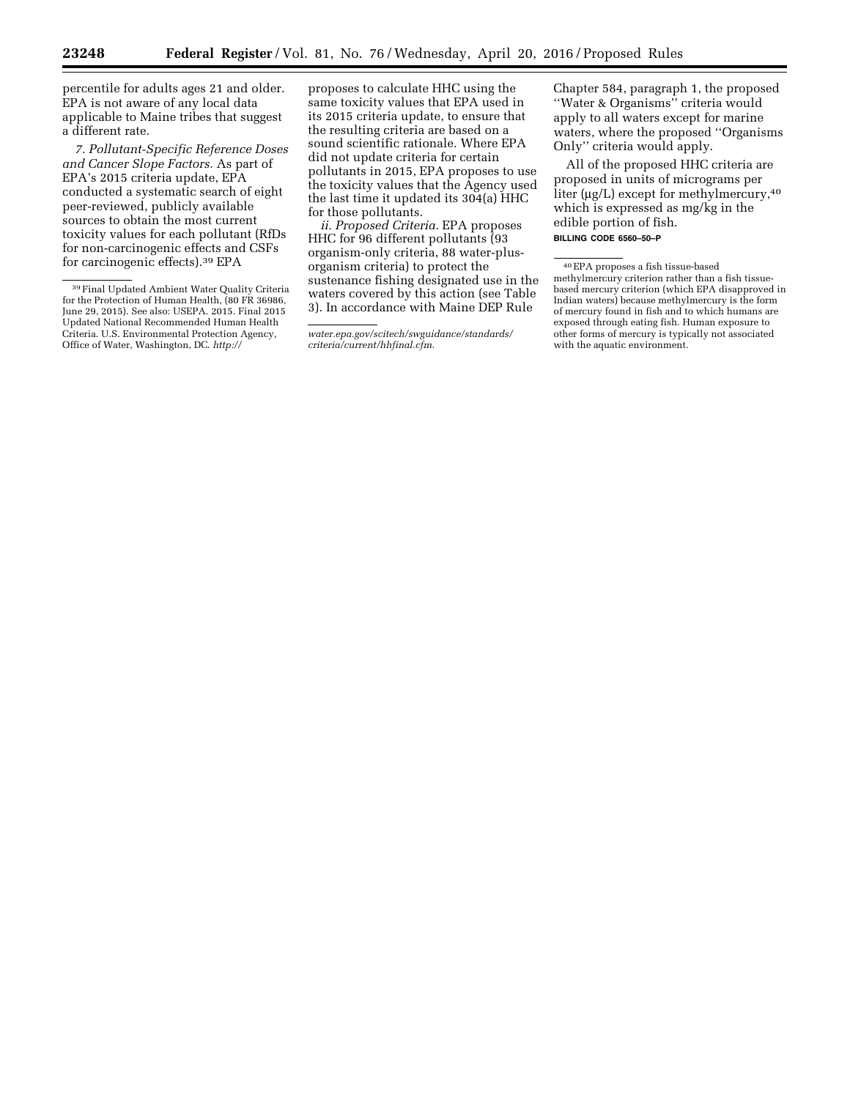percentile for adults ages 21 and older. EPA is not aware of any local data applicable to Maine tribes that suggest a different rate.

*7. Pollutant-Specific Reference Doses and Cancer Slope Factors.* As part of EPA's 2015 criteria update, EPA conducted a systematic search of eight peer-reviewed, publicly available sources to obtain the most current toxicity values for each pollutant (RfDs for non-carcinogenic effects and CSFs for carcinogenic effects).39 EPA

proposes to calculate HHC using the same toxicity values that EPA used in its 2015 criteria update, to ensure that the resulting criteria are based on a sound scientific rationale. Where EPA did not update criteria for certain pollutants in 2015, EPA proposes to use the toxicity values that the Agency used the last time it updated its 304(a) HHC for those pollutants.

*ii. Proposed Criteria.* EPA proposes HHC for 96 different pollutants (93 organism-only criteria, 88 water-plusorganism criteria) to protect the sustenance fishing designated use in the waters covered by this action (see Table 3). In accordance with Maine DEP Rule

Chapter 584, paragraph 1, the proposed ''Water & Organisms'' criteria would apply to all waters except for marine waters, where the proposed ''Organisms Only'' criteria would apply.

All of the proposed HHC criteria are proposed in units of micrograms per liter ( $\mu$ g/L) except for methylmercury,<sup>40</sup> which is expressed as mg/kg in the edible portion of fish.

<sup>&</sup>lt;sup>39</sup> Final Updated Ambient Water Quality Criteria for the Protection of Human Health, (80 FR 36986, June 29, 2015). See also: USEPA. 2015. Final 2015 Updated National Recommended Human Health Criteria. U.S. Environmental Protection Agency, Office of Water, Washington, DC. *[http://](http://water.epa.gov/scitech/swguidance/standards/criteria/current/hhfinal.cfm)*

*[water.epa.gov/scitech/swguidance/standards/](http://water.epa.gov/scitech/swguidance/standards/criteria/current/hhfinal.cfm) [criteria/current/hhfinal.cfm](http://water.epa.gov/scitech/swguidance/standards/criteria/current/hhfinal.cfm)*.

**BILLING CODE 6560–50–P** 

<sup>40</sup>EPA proposes a fish tissue-based methylmercury criterion rather than a fish tissuebased mercury criterion (which EPA disapproved in Indian waters) because methylmercury is the form of mercury found in fish and to which humans are exposed through eating fish. Human exposure to other forms of mercury is typically not associated with the aquatic environment.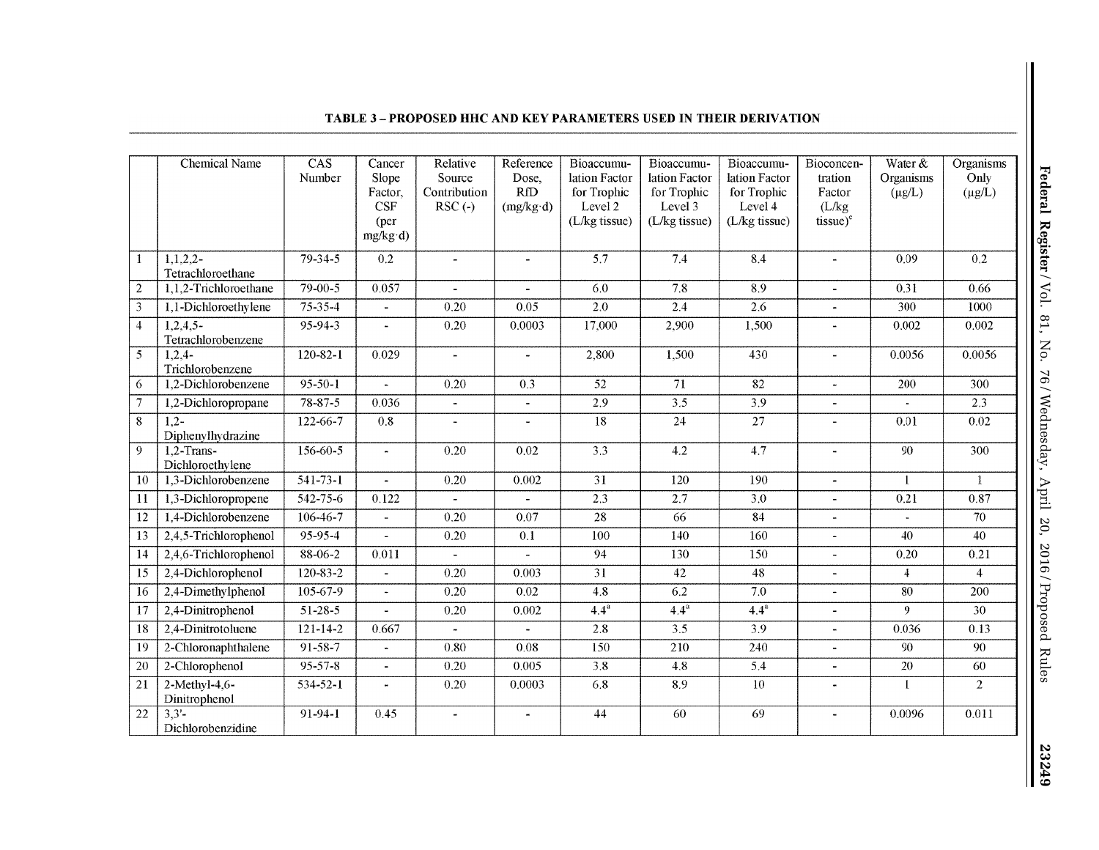|                 | Chemical Name                     | CAS<br>Number  | Cancer<br>Slope<br>Factor,<br>CSF<br>(per<br>$mg/kg \cdot d$ | Relative<br>Source<br>Contribution<br>$RSC(-)$ | Reference<br>Dose,<br>RfD<br>$(mg/kg \cdot d)$ | Bioaccumu-<br>lation Factor<br>for Trophic<br>Level 2<br>(L/kg tissue) | Bioaccumu-<br>lation Factor<br>for Trophic<br>Level 3<br>(L/kg tissue) | Bioaccumu-<br>lation Factor<br>for Trophic<br>Level 4<br>(L/kg tissue) | Bioconcen-<br>tration<br>Factor<br>(L/kg)<br>tissue) <sup>e</sup> | Water $&$<br>Organisms<br>$(\mu g/L)$ | <b>Organisms</b><br>Only<br>$(\mu g/L)$ |
|-----------------|-----------------------------------|----------------|--------------------------------------------------------------|------------------------------------------------|------------------------------------------------|------------------------------------------------------------------------|------------------------------------------------------------------------|------------------------------------------------------------------------|-------------------------------------------------------------------|---------------------------------------|-----------------------------------------|
| 1               | $1,1,2,2-$<br>Tetrachloroethane   | $79 - 34 - 5$  | 0.2                                                          | ä,                                             | $\rightarrow$                                  | $\overline{5.7}$                                                       | 7.4                                                                    | 8.4                                                                    |                                                                   | 0.09                                  | 0.2                                     |
| $\overline{2}$  | 1.1.2-Trichloroethane             | $79 - 00 - 5$  | 0.057                                                        | L.                                             | $\overline{a}$                                 | 6.0                                                                    | 7.8                                                                    | 8.9                                                                    | $\mathbf{r}$                                                      | 0.31                                  | 0.66                                    |
| $\overline{3}$  | 1,1-Dichloroethylene              | $75 - 35 - 4$  | $\omega$                                                     | 0.20                                           | 0.05                                           | 2.0                                                                    | 2.4                                                                    | 2.6                                                                    | $\tilde{\phantom{a}}$                                             | 300                                   | 1000                                    |
| $\overline{4}$  | $1,2,4,5-$<br>Tetrachlorobenzene  | $95 - 94 - 3$  | ä,                                                           | 0.20                                           | 0.0003                                         | 17,000                                                                 | 2,900                                                                  | 1,500                                                                  | $\blacksquare$                                                    | 0.002                                 | 0.002                                   |
| 5               | $1,2,4-$<br>Trichlorobenzene      | $120 - 82 - 1$ | 0.029                                                        | $\blacksquare$                                 | $\ddot{\phantom{1}}$                           | 2,800                                                                  | 1,500                                                                  | 430                                                                    | $\blacksquare$                                                    | 0.0056                                | 0.0056                                  |
| 6               | 1.2-Dichlorobenzene               | $95 - 50 - 1$  |                                                              | 0.20                                           | 0.3                                            | $\overline{52}$                                                        | $\overline{71}$                                                        | 82                                                                     | $\tilde{\phantom{a}}$                                             | 200                                   | 300                                     |
| $\overline{7}$  | 1,2-Dichloropropane               | $78 - 87 - 5$  | 0.036                                                        | $\blacksquare$                                 | $\blacksquare$                                 | 2.9                                                                    | 3.5                                                                    | 3.9                                                                    | $\blacksquare$                                                    | $\sim$                                | 2.3                                     |
| 8               | $1.2 -$<br>Diphenylhydrazine      | 122-66-7       | 0.8                                                          | L.                                             | $\ddot{\phantom{a}}$                           | 18                                                                     | 24                                                                     | $\overline{27}$                                                        | $\blacksquare$                                                    | 0.01                                  | 0.02                                    |
| 9               | $1.2$ -Trans-<br>Dichloroethylene | $156 - 60 - 5$ | $\blacksquare$                                               | 0.20                                           | 0.02                                           | $\overline{3.3}$                                                       | $\overline{4.2}$                                                       | 4.7                                                                    | $\blacksquare$                                                    | 90                                    | 300                                     |
| 10              | 1,3-Dichlorobenzene               | $541 - 73 - 1$ | $\blacksquare$                                               | 0.20                                           | 0.002                                          | $\overline{31}$                                                        | 120                                                                    | 190                                                                    | $\blacksquare$                                                    | $\mathbf{1}$                          | 1                                       |
| $\overline{11}$ | 1,3-Dichloropropene               | $542 - 75 - 6$ | 0.122                                                        | $\blacksquare$                                 | $\overline{\phantom{a}}$                       | $\overline{2.3}$                                                       | 2.7                                                                    | $\overline{3.0}$                                                       | $\blacksquare$                                                    | 0.21                                  | 0.87                                    |
| 12              | 1,4-Dichlorobenzene               | $106 - 46 - 7$ |                                                              | 0.20                                           | 0.07                                           | $\overline{28}$                                                        | $\overline{66}$                                                        | 84                                                                     |                                                                   |                                       | 70                                      |
| 13              | 2,4,5-Trichlorophenol             | $95 - 95 - 4$  | $\overline{a}$                                               | 0.20                                           | 0.1                                            | 100                                                                    | 140                                                                    | 160                                                                    | $\blacksquare$                                                    | 40                                    | 40                                      |
| 14              | 2,4,6-Trichlorophenol             | $88 - 06 - 2$  | 0.011                                                        | $\blacksquare$                                 | ä.                                             | $\overline{94}$                                                        | $\overline{130}$                                                       | 150                                                                    | $\blacksquare$                                                    | 0.20                                  | 0.21                                    |
| 15              | 2,4-Dichlorophenol                | $120 - 83 - 2$ | $\overline{\phantom{a}}$                                     | 0.20                                           | 0.003                                          | $\overline{31}$                                                        | 42                                                                     | 48                                                                     | $\blacksquare$                                                    | $\overline{4}$                        | $\overline{4}$                          |
| 16              | $2,4$ -Dimethylphenol             | $105 - 67 - 9$ | ÷.                                                           | 0.20                                           | 0.02                                           | 4.8                                                                    | 6.2                                                                    | 7.0                                                                    | $\blacksquare$                                                    | 80                                    | 200                                     |
| 17              | 2,4-Dinitrophenol                 | $51 - 28 - 5$  |                                                              | $0.20\,$                                       | 0.002                                          | $\overline{4.4^a}$                                                     | $4.4^a$                                                                | $4.4^a$                                                                | $\blacksquare$                                                    | 9                                     | $\overline{30}$                         |
| 18              | 2,4-Dinitrotoluene                | $121 - 14 - 2$ | 0.667                                                        | ÷.                                             |                                                | 2.8                                                                    | 3.5                                                                    | 3.9                                                                    | $\bar{\phantom{a}}$                                               | 0.036                                 | 0.13                                    |
| 19              | 2-Chloronaphthalene               | 91-58-7        | $\ddot{\phantom{a}}$                                         | 0.80                                           | 0.08                                           | 150                                                                    | 210                                                                    | 240                                                                    | $\blacksquare$                                                    | 90                                    | 90                                      |
| 20              | 2-Chlorophenol                    | $95 - 57 - 8$  | $\overline{a}$                                               | 0.20                                           | 0.005                                          | $\overline{3.8}$                                                       | 4.8                                                                    | 5.4                                                                    | ä,                                                                | 20                                    | 60                                      |
| 21              | $2-Methyl-4,6-$<br>Dinitrophenol  | 534-52-1       | $\blacksquare$                                               | 0.20                                           | 0.0003                                         | 6.8                                                                    | 8.9                                                                    | 10                                                                     | $\blacksquare$                                                    | $\mathbf{1}$                          | $\overline{2}$                          |
| 22              | 3,3'<br>Dichlorobenzidine         | 91-94-1        | 0.45                                                         | $\hat{\mathbf{r}}$                             |                                                | 44                                                                     | 60                                                                     | 69                                                                     |                                                                   | 0.0096                                | 0.011                                   |

## **TABLE 3-PROPOSED HHC AND KEY PARAMETERS USED IN THEIR DERIVATION**

23249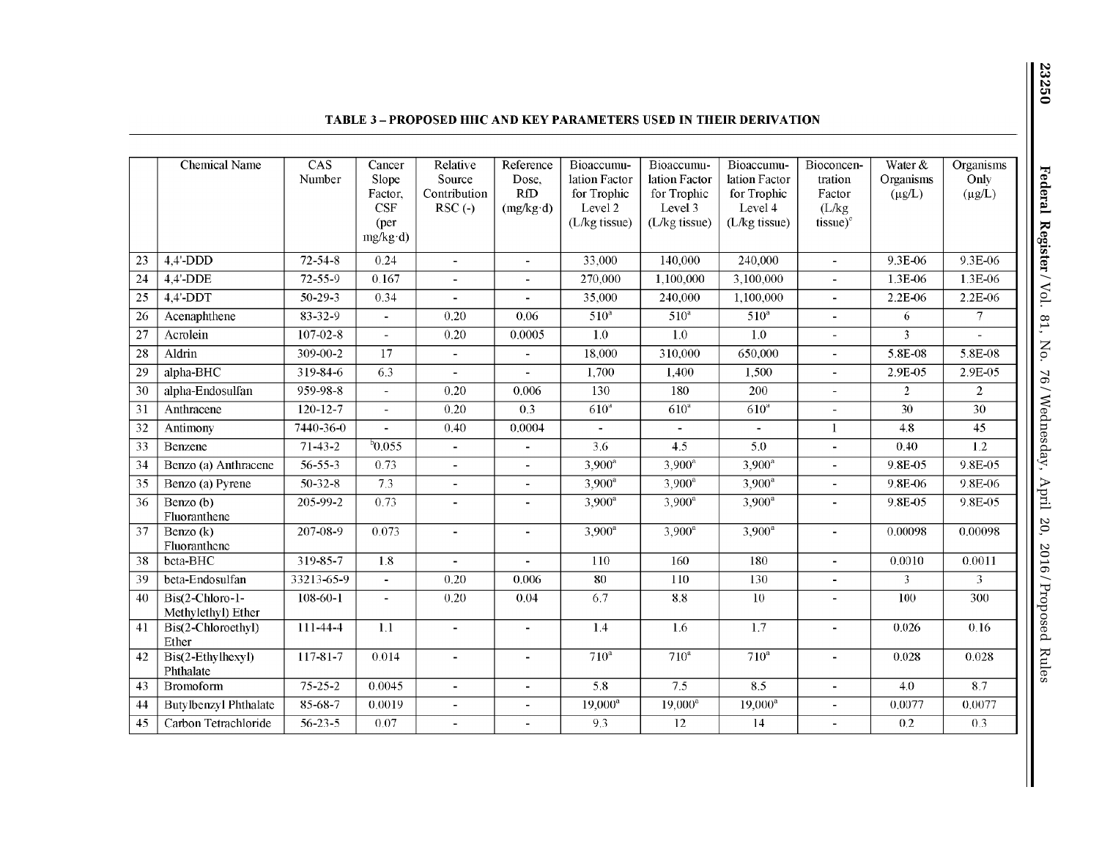|                 | <b>Chemical Name</b>                  | CAS            | Cancer                   | Relative                 | Reference         | Bioaccumu-       | Bioaccumu-                      | Bioaccumu-       | Bioconcen-               | Water $&$      | Organisms       |
|-----------------|---------------------------------------|----------------|--------------------------|--------------------------|-------------------|------------------|---------------------------------|------------------|--------------------------|----------------|-----------------|
|                 |                                       | Number         | Slope                    | Source                   | Dose,             | lation Factor    | lation Factor                   | lation Factor    | tration                  | Organisms      | Only            |
|                 |                                       |                | Factor,                  | Contribution             | RfD               | for Trophic      | for Trophic                     | for Trophic      | Factor                   | $(\mu g/L)$    | $(\mu g/L)$     |
|                 |                                       |                | CSF                      | $RSC(-)$                 | $(mg/kg \cdot d)$ | Level 2          | Level 3                         | Level 4          | (L/kg)                   |                |                 |
|                 |                                       |                | (per                     |                          |                   | (L/kg tissue)    | (L/kg tissue)                   | (L/kg tissue)    | $tissue)^e$              |                |                 |
|                 |                                       |                | $mg/kg \cdot d$          |                          |                   |                  |                                 |                  |                          |                |                 |
| $\overline{23}$ | $4.4'$ -DDD                           | $72 - 54 - 8$  | 0.24                     | $\blacksquare$           | $\blacksquare$    | 33,000           | 140,000                         | 240,000          | $\blacksquare$           | 9.3E-06        | 9.3E-06         |
| 24              | 4,4'-DDE                              | $72 - 55 - 9$  | 0.167                    | $\overline{a}$           |                   | 270.000          | 1.100.000                       | 3,100,000        |                          | 1.3E-06        | 1.3E-06         |
| 25              | $4.4'$ -DDT                           | $50 - 29 - 3$  | 0.34                     | $\blacksquare$           | $\overline{a}$    | 35,000           | 240.000                         | 1,100,000        | $\blacksquare$           | 2.2E-06        | 2.2E-06         |
| $\overline{26}$ | Acenaphthene                          | $83 - 32 - 9$  | $\blacksquare$           | 0.20                     | 0.06              | 510 <sup>a</sup> | 510 <sup>a</sup>                | $510^a$          | $\blacksquare$           | 6              | $\tau$          |
| $\overline{27}$ | Acrolein                              | $107 - 02 - 8$ | $\overline{\phantom{a}}$ | 0.20                     | 0.0005            | 1.0              | 1.0                             | $1.0\,$          | $\overline{\phantom{a}}$ | 3              |                 |
| $\overline{28}$ | Aldrin                                | $309 - 00 - 2$ | $\overline{17}$          | $\blacksquare$           | $\blacksquare$    | 18,000           | 310,000                         | 650,000          | $\blacksquare$           | 5.8E-08        | 5.8E-08         |
| 29              | alpha-BHC                             | 319-84-6       | 6.3                      | $\overline{a}$           | $\overline{a}$    | 1,700            | 1.400                           | 1,500            | $\blacksquare$           | 2.9E-05        | 2.9E-05         |
| $\overline{30}$ | alpha-Endosulfan                      | 959-98-8       | $\overline{\phantom{a}}$ | 0.20                     | 0.006             | 130              | 180                             | 200              | $\blacksquare$           | $\overline{2}$ | $\overline{2}$  |
| $\overline{31}$ | Anthracene                            | $120 - 12 - 7$ | $\blacksquare$           | 0.20                     | 0.3               | 610 <sup>4</sup> | 610 <sup>a</sup>                | 610 <sup>a</sup> | $\blacksquare$           | 30             | 30              |
| $\overline{32}$ | Antimony                              | 7440-36-0      |                          | 0.40                     | 0.0004            |                  |                                 | $\blacksquare$   | $\mathbf{1}$             | 4.8            | $\overline{45}$ |
| $\overline{33}$ | Benzene                               | $71 - 43 - 2$  | $^{6}$ 0.055             | $\blacksquare$           | $\blacksquare$    | 3.6              | 4.5                             | 5.0              | $\blacksquare$           | 0.40           | 1.2             |
| $\overline{34}$ | Benzo (a) Anthracene                  | $56 - 55 - 3$  | 0.73                     | $\mathbf{r}$             | $\sim$            | $3,900^{\circ}$  | $3,900^{\circ}$                 | $3,900^{\circ}$  | $\blacksquare$           | 9.8E-05        | $9.8E - 0.5$    |
| $\overline{35}$ | Benzo (a) Pyrene                      | $50 - 32 - 8$  | 7.3                      | $\sim$                   | $\mathbf{r}$      | $3,900^a$        | $3,900^a$                       | $3,900^a$        | $\blacksquare$           | 9.8E-06        | 9.8E-06         |
| $\overline{36}$ | Benzo (b)<br>Fluoranthene             | 205-99-2       | 0.73                     | $\mathbf{r}$             | $\blacksquare$    | $3.900^a$        | $3,900^a$                       | $3,900^a$        | $\blacksquare$           | 9.8E-05        | 9.8E-05         |
| 37              | Benzo (k)<br>Fluoranthene             | 207-08-9       | 0.073                    | $\overline{\phantom{a}}$ | $\blacksquare$    | $3,900^a$        | $\frac{1}{3}$ ,900 <sup>a</sup> | $3,900^a$        | $\blacksquare$           | 0.00098        | 0.00098         |
| 38              | bcta-BHC                              | 319-85-7       | 1.8                      | $\blacksquare$           |                   | 110              | 160                             | 180              | $\overline{\phantom{0}}$ | 0.0010         | 0.0011          |
| 39              | beta-Endosulfan                       | 33213-65-9     | $\blacksquare$           | 0.20                     | 0.006             | 80               | 110                             | 130              | $\blacksquare$           | 3              | 3               |
| 40              | Bis(2-Chloro-1-<br>Methylethyl) Ether | 108-60-1       | $\overline{\phantom{a}}$ | 0.20                     | 0.04              | 6.7              | 8.8                             | 10               |                          | 100            | 300             |
| 41              | Bis(2-Chloroethyl)<br>Ether           | 111-44-4       | 1.1                      | $\blacksquare$           | $\blacksquare$    | 1.4              | 1.6                             | 1.7              | $\blacksquare$           | 0.026          | 0.16            |
| $\overline{42}$ | Bis(2-Ethylhexyl)<br>Phthalate        | $117 - 81 - 7$ | 0.014                    | $\blacksquare$           | $\blacksquare$    | 710 <sup>a</sup> | 710 <sup>a</sup>                | $710^a$          | ٠                        | 0.028          | 0.028           |
| $\overline{43}$ | Bromoform                             | $75 - 25 - 2$  | 0.0045                   | $\overline{\phantom{a}}$ | $\blacksquare$    | $\overline{5.8}$ | 7.5                             | 8.5              | $\blacksquare$           | 4.0            | 8.7             |
| 44              | <b>Butylbenzyl Phthalate</b>          | 85-68-7        | 0.0019                   | $\mathbf{r}$             | $\blacksquare$    | $19,000^a$       | $19,000^a$                      | $19,000^a$       | $\overline{\phantom{0}}$ | 0.0077         | 0.0077          |
| 45              | Carbon Tetrachloride                  | $56 - 23 - 5$  | 0.07                     |                          |                   | 9.3              | $\overline{12}$                 | 14               |                          | 0.2            | 0.3             |

## **TABLE 3- PROPOSED HHC AND KEY PARAMETERS USED IN THEIR DERIVATION**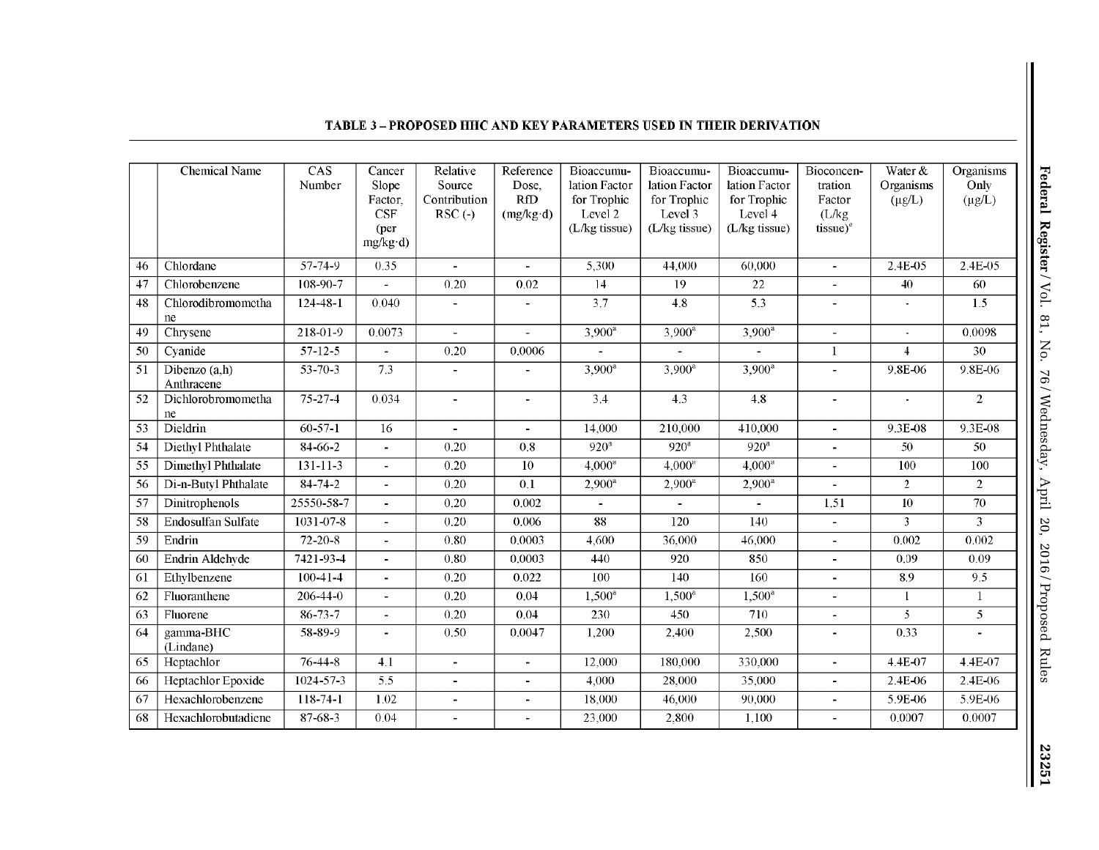|                 | <b>Chemical Name</b>        | CAS<br>Number    | Cancer<br>Slope<br>Factor,<br><b>CSF</b><br>(per<br>$mg/kg \cdot d$ | Relative<br>Source<br>Contribution<br>$RSC(-)$ | Reference<br>Dose,<br><b>RfD</b><br>(mg/kg d) | Bioaccumu-<br>lation Factor<br>for Trophic<br>Level 2<br>(L/kg tissue) | Bioaccumu-<br>lation Factor<br>for Trophic<br>Level 3<br>(L/kg tissue) | Bioaccumu-<br>lation Factor<br>for Trophic<br>Level 4<br>(L/kg tissue) | Bioconcen-<br>tration<br>Factor<br>(L/kg)<br>$tissue)^e$ | Water &<br>Organisms<br>$(\mu g/L)$ | Organisms<br>Only<br>$(\mu g/L)$ |
|-----------------|-----------------------------|------------------|---------------------------------------------------------------------|------------------------------------------------|-----------------------------------------------|------------------------------------------------------------------------|------------------------------------------------------------------------|------------------------------------------------------------------------|----------------------------------------------------------|-------------------------------------|----------------------------------|
| 46              | Chlordane                   | 57-74-9          | 0.35                                                                | $\blacksquare$                                 | $\blacksquare$                                | 5,300                                                                  | 44,000                                                                 | 60,000                                                                 | $\blacksquare$                                           | 2.4E-05                             | $2.4E - 0.5$                     |
| 47              | Chlorobenzene               | 108-90-7         |                                                                     | 0.20                                           | 0.02                                          | 14                                                                     | 19                                                                     | $\overline{22}$                                                        |                                                          | 40                                  | 60                               |
| 48              | Chlorodibromometha<br>ne    | $124 - 48 - 1$   | 0.040                                                               | $\blacksquare$                                 | ä,                                            | 3.7                                                                    | 4.8                                                                    | 5.3                                                                    | $\blacksquare$                                           | $\blacksquare$                      | 1.5                              |
| 49              | Chrysene                    | 218-01-9         | 0.0073                                                              | $\blacksquare$                                 |                                               | $3,900^{\circ}$                                                        | $3,900^a$                                                              | $3,900^{\circ}$                                                        | $\blacksquare$                                           | $\blacksquare$                      | 0.0098                           |
| 50              | Cyanide                     | $57 - 12 - 5$    | $\blacksquare$                                                      | 0.20                                           | 0.0006                                        |                                                                        | $\sim$                                                                 | $\blacksquare$                                                         | $\mathbf{1}$                                             | $\overline{4}$                      | 30                               |
| 51              | Dibenzo (a,h)<br>Anthracene | $53 - 70 - 3$    | 7.3                                                                 | $\blacksquare$                                 |                                               | $3,900^a$                                                              | $3.900^a$                                                              | $3.900^a$                                                              |                                                          | 9.8E-06                             | 9.8E-06                          |
| $\overline{52}$ | Dichlorobromometha<br>ne    | $75 - 27 - 4$    | 0.034                                                               | $\blacksquare$                                 | ÷.                                            | $\overline{3.4}$                                                       | $\overline{4.3}$                                                       | 4.8                                                                    | $\blacksquare$                                           | $\blacksquare$                      | $\overline{2}$                   |
| $\overline{53}$ | Dieldrin                    | $60-57-1$        | $\overline{16}$                                                     | $\blacksquare$                                 | $\blacksquare$                                | 14,000                                                                 | 210,000                                                                | 410,000                                                                | $\blacksquare$                                           | 9.3E-08                             | 9.3E-08                          |
| 54              | Diethyl Phthalate           | 84-66-2          | $\blacksquare$                                                      | 0.20                                           | 0.8                                           | $920^a$                                                                | $920^a$                                                                | $920^a$                                                                | $\blacksquare$                                           | 50                                  | 50                               |
| $\overline{55}$ | Dimethyl Phthalate          | $131 - 11 - 3$   | $\blacksquare$                                                      | 0.20                                           | 10                                            | 4.000 <sup>a</sup>                                                     | $4.000$ <sup>a</sup>                                                   | 4.000 <sup>a</sup>                                                     | $\blacksquare$                                           | 100                                 | 100                              |
| 56              | Di-n-Butyl Phthalate        | $84 - 74 - 2$    | $\blacksquare$                                                      | 0.20                                           | 0.1                                           | $2,900^{\circ}$                                                        | $2,900^a$                                                              | $2.900^a$                                                              |                                                          | $\overline{2}$                      | $\overline{2}$                   |
| 57              | Dinitrophenols              | $25550 - 58 - 7$ | $\blacksquare$                                                      | 0.20                                           | 0.002                                         | $\mathbf{r}$                                                           | $\sim$                                                                 | $\sim$                                                                 | 1.51                                                     | 10                                  | 70                               |
| 58              | Endosulfan Sulfate          | 1031-07-8        | $\mathbf{r}$                                                        | 0.20                                           | 0.006                                         | 88                                                                     | 120                                                                    | 140                                                                    | $\sim$                                                   | $\overline{3}$                      | $\overline{3}$                   |
| 59              | Endrin                      | $72 - 20 - 8$    | $\overline{\phantom{a}}$                                            | 0.80                                           | 0.0003                                        | 4,600                                                                  | 36.000                                                                 | 46,000                                                                 | $\blacksquare$                                           | 0.002                               | 0.002                            |
| 60              | Endrin Aldehyde             | 7421-93-4        | $\mathbf{r}$                                                        | 0.80                                           | 0.0003                                        | 440                                                                    | 920                                                                    | 850                                                                    | $\sim$                                                   | 0.09                                | 0.09                             |
| 61              | Ethylbenzene                | $100 - 41 - 4$   | $\sim$                                                              | 0.20                                           | 0.022                                         | 100                                                                    | 140                                                                    | 160                                                                    | $\blacksquare$                                           | 8.9                                 | 9.5                              |
| 62              | Fluoranthene                | $206 - 44 - 0$   | $\sim$                                                              | 0.20                                           | 0.04                                          | $1,500^{\circ}$                                                        | $1,500^{\circ}$                                                        | $1.500^a$                                                              | $\mathbf{r}$                                             | $\mathbf{1}$                        | 1                                |
| 63              | Fluorene                    | $86 - 73 - 7$    | $\overline{a}$                                                      | 0.20                                           | 0.04                                          | 230                                                                    | 450                                                                    | 710                                                                    |                                                          | $\overline{5}$                      | $\overline{5}$                   |
| 64              | gamma-BHC<br>(Lindane)      | 58-89-9          | $\blacksquare$                                                      | 0.50                                           | 0.0047                                        | 1,200                                                                  | 2,400                                                                  | 2,500                                                                  | $\blacksquare$                                           | 0.33                                |                                  |
| 65              | Heptachlor                  | $76 - 44 - 8$    | 4.1                                                                 | ÷.                                             | ä,                                            | 12,000                                                                 | 180,000                                                                | 330,000                                                                | $\sim$                                                   | 4.4E-07                             | 4.4E-07                          |
| 66              | Heptachlor Epoxide          | $1024 - 57 - 3$  | $\overline{5.5}$                                                    | ÷.                                             | $\blacksquare$                                | 4,000                                                                  | 28.000                                                                 | 35,000                                                                 | $\sim$                                                   | 2.4E-06                             | 2.4E-06                          |
| 67              | Hexachlorobenzene           | 118-74-1         | 1.02                                                                | $\blacksquare$                                 | $\blacksquare$                                | 18,000                                                                 | 46,000                                                                 | 90,000                                                                 |                                                          | 5.9E-06                             | 5.9E-06                          |
| 68              | Hexachlorobutadiene         | $87 - 68 - 3$    | 0.04                                                                | $\overline{\phantom{a}}$                       | $\overline{\phantom{a}}$                      | 23,000                                                                 | 2,800                                                                  | 1,100                                                                  |                                                          | 0.0007                              | 0.0007                           |

# **TABLE 3- PROPOSED HHC AND KEY PARAMETERS USED IN THEIR DERIVATION**

23251 Ш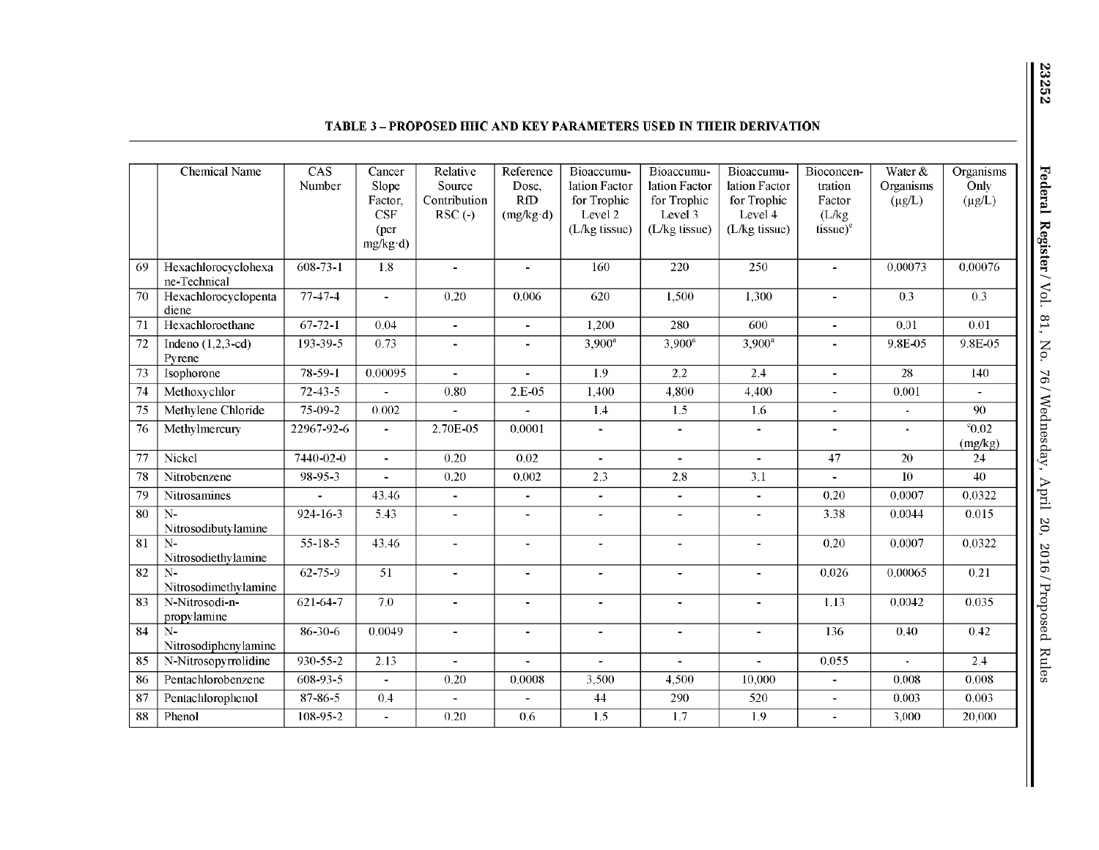|                 | <b>Chemical Name</b>          | CAS<br>Number   | Cancer<br>Slope | Relative<br>Source       | Reference<br>Dose, | Bioaccumu-<br>lation Factor | Bioaccumu-<br>lation Factor | Bioaccumu-<br>lation Factor | Bioconcen-<br>tration | Water &<br>Organisms | Organisms<br>Only  |
|-----------------|-------------------------------|-----------------|-----------------|--------------------------|--------------------|-----------------------------|-----------------------------|-----------------------------|-----------------------|----------------------|--------------------|
|                 |                               |                 | Factor.         | Contribution             | <b>RfD</b>         | for Trophic                 | for Trophic                 | for Trophic                 | Factor                | $(\mu g/L)$          | $(\mu g/L)$        |
|                 |                               |                 | <b>CSF</b>      | $RSC(-)$                 | (mg/kg d)          | Level 2                     | Level 3                     | Level 4                     | (L/kg)                |                      |                    |
|                 |                               |                 | (per)           |                          |                    | (L/kg tissue)               | (L/kg tissue)               | (L/kg tissue)               | $tissue)^e$           |                      |                    |
|                 |                               |                 | $mg/kg \cdot d$ |                          |                    |                             |                             |                             |                       |                      |                    |
| 69              | Hexachlorocyclohexa           | $608 - 73 - 1$  | 1.8             | $\blacksquare$           | $\blacksquare$     | 160                         | 220                         | 250                         | $\blacksquare$        | 0.00073              | 0.00076            |
|                 | ne-Technical                  |                 |                 |                          |                    |                             |                             |                             |                       |                      |                    |
| 70              | Hexachlorocyclopenta          | 77-47-4         | $\blacksquare$  | 0.20                     | 0.006              | 620                         | 1.500                       | 1,300                       | $\blacksquare$        | 0.3                  | 0.3                |
|                 | diene                         |                 |                 |                          |                    |                             |                             |                             |                       |                      |                    |
| 71              | Hexachloroethane              | $67 - 72 - 1$   | 0.04            | $\blacksquare$           | $\blacksquare$     | 1,200                       | 280                         | 600                         | $\blacksquare$        | 0.01                 | 0.01               |
| 72              | Indeno $(1,2,3-cd)$<br>Pyrene | 193-39-5        | 0.73            | $\blacksquare$           |                    | $3,900^a$                   | $3,900^a$                   | $3,900^a$                   |                       | 9.8E-05              | 9.8E-05            |
| 73              | Isophorone                    | $78 - 59 - 1$   | 0.00095         | $\mathbf{r}$             | $\blacksquare$     | 1.9                         | $\overline{2.2}$            | 2.4                         | $\blacksquare$        | 28                   | 140                |
| 74              | Methoxychlor                  | $72 - 43 - 5$   |                 | 0.80                     | 2.E-05             | 1,400                       | 4,800                       | 4,400                       | $\overline{a}$        | 0.001                |                    |
| 75              | Methylene Chloride            | $75-09-2$       | 0.002           |                          |                    | 1.4                         | 1.5                         | 1.6                         | $\overline{a}$        |                      | 90                 |
| 76              | Methylmercury                 | 22967-92-6      | $\sim$          | 2.70E-05                 | 0.0001             | $\blacksquare$              |                             | $\overline{\phantom{a}}$    |                       |                      | $\overline{60.02}$ |
|                 |                               |                 |                 |                          |                    |                             |                             |                             |                       |                      | (mg/kg)            |
| 77              | Nickel                        | $7440 - 02 - 0$ | $\blacksquare$  | 0.20                     | 0.02               | $\overline{a}$              | $\mathbf{r}$                | $\mathbf{r}$                | 47                    | 20                   | 24                 |
| 78              | Nitrobenzene                  | 98-95-3         | $\mathbf{r}$    | 0.20                     | 0.002              | 2.3                         | 2.8                         | 3.1                         | $\blacksquare$        | 10                   | 40                 |
| 79              | Nitrosamines                  | ÷               | 43.46           | $\blacksquare$           | $\blacksquare$     | ÷                           | $\blacksquare$              | $\blacksquare$              | 0.20                  | 0.0007               | 0.0322             |
| 80              | $N-$                          | 924-16-3        | 5.43            | $\overline{\phantom{a}}$ |                    | $\overline{a}$              |                             | $\overline{a}$              | 3.38                  | 0.0044               | 0.015              |
|                 | Nitrosodibutylamine           |                 |                 |                          |                    |                             |                             |                             |                       |                      |                    |
| $\overline{81}$ | $N-$                          | $55 - 18 - 5$   | 43.46           | $\overline{a}$           | $\overline{a}$     | $\overline{a}$              |                             |                             | 0.20                  | 0.0007               | 0.0322             |
|                 | Nitrosodiethylamine           |                 |                 |                          |                    |                             |                             |                             |                       |                      |                    |
| $\overline{82}$ | $N-$<br>Nitrosodimethylamine  | $62 - 75 - 9$   | $\overline{51}$ | $\blacksquare$           | $\blacksquare$     | $\overline{a}$              | $\blacksquare$              | $\blacksquare$              | 0.026                 | 0.00065              | 0.21               |
| $\overline{83}$ | N-Nitrosodi-n-                | $621 - 64 - 7$  | 7.0             | $\blacksquare$           | $\blacksquare$     | ÷                           | $\blacksquare$              | $\blacksquare$              | 1.13                  | 0.0042               | 0.035              |
|                 | propylamine                   |                 |                 |                          |                    |                             |                             |                             |                       |                      |                    |
| 84              | $N-$                          | 86-30-6         | 0.0049          | $\blacksquare$           | $\blacksquare$     | ۰                           | $\blacksquare$              | $\blacksquare$              | 136                   | 0.40                 | 0.42               |
|                 | Nitrosodiphenylamine          |                 |                 |                          |                    |                             |                             |                             |                       |                      |                    |
| 85              | N-Nitrosopyrrolidine          | 930-55-2        | 2.13            | $\overline{\phantom{a}}$ |                    | $\blacksquare$              | $\blacksquare$              | $\blacksquare$              | 0.055                 |                      | 2.4                |
| 86              | Pentachlorobenzene            | 608-93-5        | $\blacksquare$  | 0.20                     | 0.0008             | 3,500                       | 4,500                       | 10.000                      | $\blacksquare$        | 0.008                | 0.008              |
| 87              | Pentachlorophenol             | 87-86-5         | 0.4             |                          |                    | 44                          | 290                         | 520                         | $\overline{a}$        | 0.003                | 0.003              |
| 88              | Phenol                        | $108 - 95 - 2$  | $\mathbf{r}$    | 0.20                     | 0.6                | 1.5                         | $\overline{1.7}$            | 1.9                         |                       | 3,000                | 20,000             |

## **TABLE 3- PROPOSED HHC AND KEY PARAMETERS USED IN THEIR DERIVATION**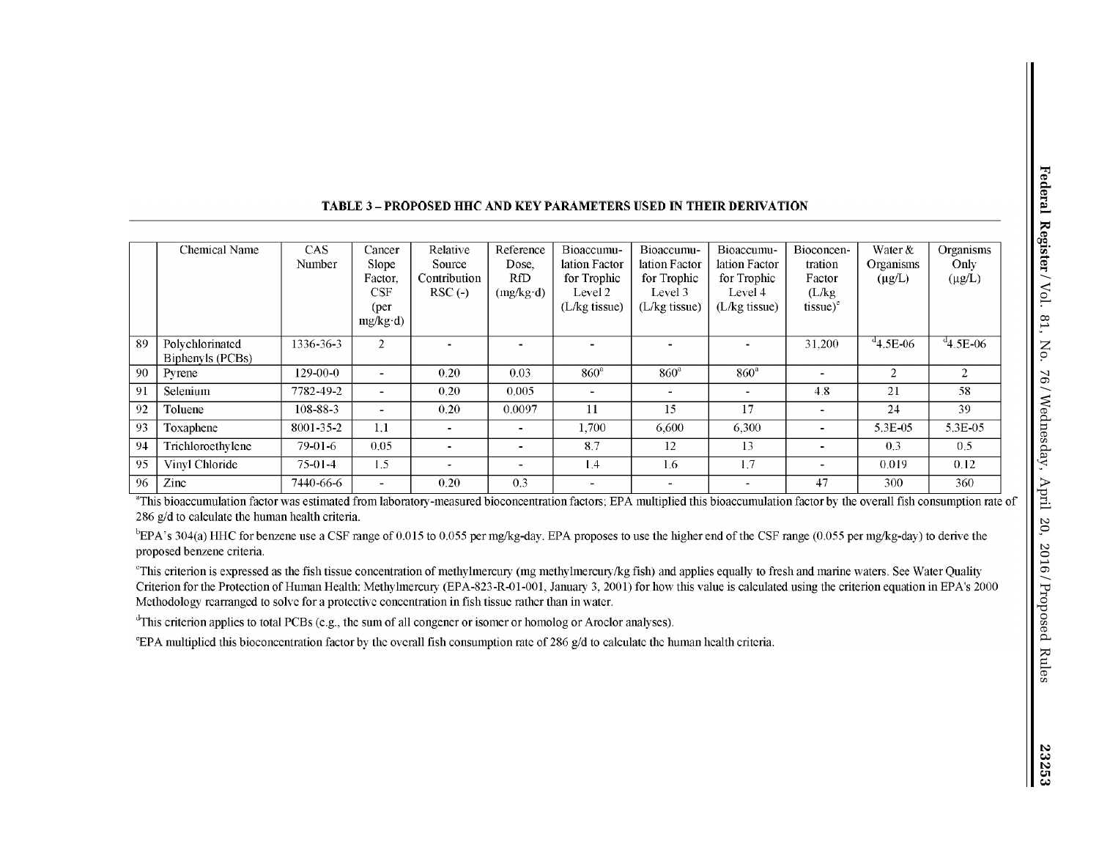|    | Chemical Name     | CAS       | Cancer          | Relative     | Reference         | Bioaccumu-      | Bioaccumu-               | Bioaccumu-      | Bioconcen-  | Water &          | Organisms      |
|----|-------------------|-----------|-----------------|--------------|-------------------|-----------------|--------------------------|-----------------|-------------|------------------|----------------|
|    |                   | Number    | Slope           | Source       | Dose.             | lation Factor   | lation Factor            | lation Factor   | tration     | <b>Organisms</b> | Only           |
|    |                   |           | Factor.         | Contribution | RfD               | for Trophic     | for Trophic              | for Trophic     | Factor      | $(\mu g/L)$      | $(\mu g/L)$    |
|    |                   |           | CSF             | $RSC(-)$     | $(mg/kg \cdot d)$ | Level 2         | Level 3                  | Level 4         | (L/kg)      |                  |                |
|    |                   |           | ( <i>per</i> )  |              |                   | $(L/kg$ tissue) | $(L/kg$ tissue)          | $(L/kg$ tissue) | $tissue)^e$ |                  |                |
|    |                   |           | $mg/kg \cdot d$ |              |                   |                 |                          |                 |             |                  |                |
| 89 | Polychlorinated   | 1336-36-3 | $\overline{2}$  |              |                   |                 |                          |                 | 31.200      | $4.5E-06$        | $4.5E-06$      |
|    | Biphenyls (PCBs)  |           |                 |              |                   |                 |                          |                 |             |                  |                |
| 90 | Pyrene            | 129-00-0  |                 | 0.20         | 0.03              | $860^a$         | $860^a$                  | $860^{\circ}$   |             | 2                | $\overline{2}$ |
| 91 | Selenium          | 7782-49-2 |                 | 0.20         | 0.005             | -               | $\sim$                   | $\blacksquare$  | 4.8         | 21               | 58             |
| 92 | Toluene           | 108-88-3  |                 | 0.20         | 0.0097            | 11              | 15                       | 17              |             | 24               | 39             |
| 93 | Toxaphene         | 8001-35-2 | 1.1             | -            |                   | 1.700           | 6.600                    | 6,300           |             | 5.3E-05          | 5.3E-05        |
| 94 | Trichloroethylene | 79-01-6   | 0.05            | -            |                   | 8.7             | 12                       | 13              |             | 0.3              | 0.5            |
| 95 | Vinyl Chloride    | $75-01-4$ | 1.5             |              |                   | 1.4             | 1.6                      | 1.7             |             | 0.019            | 0.12           |
| 96 | Zinc              | 7440-66-6 |                 | 0.20         | 0.3               | -               | $\overline{\phantom{a}}$ | $\blacksquare$  | 47          | 300              | 360            |

#### **TABLE 3-PROPOSED HHC AND KEY PARAMETERS USED IN THEIR DERIVATION**

"This bioaccumulation factor was estimated from laboratory-measured bioconcentration factors; EPA multiplied tlris bioaccumulation factor by the overall fish consumption rate of 286 g/d to calculate the human health criteria.

 $b$ EPA's 304(a) HHC for benzene use a CSF range of 0.015 to 0.055 per mg/kg-day. EPA proposes to use the higher end of the CSF range (0.055 per mg/kg-day) to derive the proposed benzene criteria.

"This criterion is expressed as the fish tissue concentration of methylmercury (mg methylmercury/kg fish) and applies equally to fresh and marine waters. See Water Quality Criterion for the Protection of Human Health: Methylmercury (EPA-823-R-01-001, January 3, 2001) for how this value is calculated using the criterion equation in EPA's 2000 Methodology rearranged to solve for a protective concentration in fish tissue rather than in water.

"This criterion applies to total PCBs (e.g., the sum of all congener or isomer or homolog or Aroclor analyses).

eEP A multiplied this bioconccntration factor by the overall fish consumption rate of 286 g/d to calculate the human health criteria.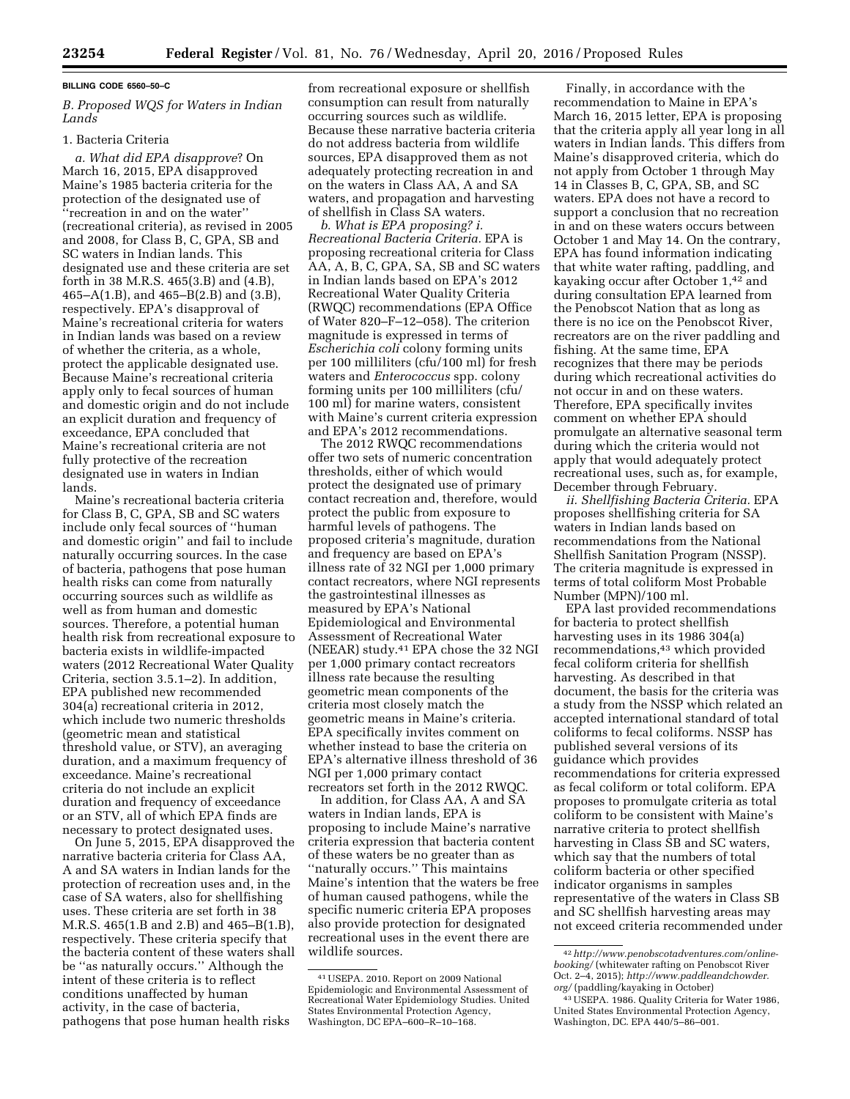#### **BILLING CODE 6560–50–C**

# *B. Proposed WQS for Waters in Indian Lands*

### 1. Bacteria Criteria

*a. What did EPA disapprove*? On March 16, 2015, EPA disapproved Maine's 1985 bacteria criteria for the protection of the designated use of ''recreation in and on the water'' (recreational criteria), as revised in 2005 and 2008, for Class B, C, GPA, SB and SC waters in Indian lands. This designated use and these criteria are set forth in 38 M.R.S. 465(3.B) and (4.B), 465–A(1.B), and 465–B(2.B) and (3.B), respectively. EPA's disapproval of Maine's recreational criteria for waters in Indian lands was based on a review of whether the criteria, as a whole, protect the applicable designated use. Because Maine's recreational criteria apply only to fecal sources of human and domestic origin and do not include an explicit duration and frequency of exceedance, EPA concluded that Maine's recreational criteria are not fully protective of the recreation designated use in waters in Indian lands.

Maine's recreational bacteria criteria for Class B, C, GPA, SB and SC waters include only fecal sources of ''human and domestic origin'' and fail to include naturally occurring sources. In the case of bacteria, pathogens that pose human health risks can come from naturally occurring sources such as wildlife as well as from human and domestic sources. Therefore, a potential human health risk from recreational exposure to bacteria exists in wildlife-impacted waters (2012 Recreational Water Quality Criteria, section 3.5.1–2). In addition, EPA published new recommended 304(a) recreational criteria in 2012, which include two numeric thresholds (geometric mean and statistical threshold value, or STV), an averaging duration, and a maximum frequency of exceedance. Maine's recreational criteria do not include an explicit duration and frequency of exceedance or an STV, all of which EPA finds are necessary to protect designated uses.

On June 5, 2015, EPA disapproved the narrative bacteria criteria for Class AA, A and SA waters in Indian lands for the protection of recreation uses and, in the case of SA waters, also for shellfishing uses. These criteria are set forth in 38 M.R.S. 465(1.B and 2.B) and 465–B(1.B), respectively. These criteria specify that the bacteria content of these waters shall be ''as naturally occurs.'' Although the intent of these criteria is to reflect conditions unaffected by human activity, in the case of bacteria, pathogens that pose human health risks

from recreational exposure or shellfish consumption can result from naturally occurring sources such as wildlife. Because these narrative bacteria criteria do not address bacteria from wildlife sources, EPA disapproved them as not adequately protecting recreation in and on the waters in Class AA, A and SA waters, and propagation and harvesting of shellfish in Class SA waters.

*b. What is EPA proposing? i. Recreational Bacteria Criteria.* EPA is proposing recreational criteria for Class AA, A, B, C, GPA, SA, SB and SC waters in Indian lands based on EPA's 2012 Recreational Water Quality Criteria (RWQC) recommendations (EPA Office of Water 820–F–12–058). The criterion magnitude is expressed in terms of *Escherichia coli* colony forming units per 100 milliliters (cfu/100 ml) for fresh waters and *Enterococcus* spp. colony forming units per 100 milliliters (cfu/ 100 ml) for marine waters, consistent with Maine's current criteria expression and EPA's 2012 recommendations.

The 2012 RWQC recommendations offer two sets of numeric concentration thresholds, either of which would protect the designated use of primary contact recreation and, therefore, would protect the public from exposure to harmful levels of pathogens. The proposed criteria's magnitude, duration and frequency are based on EPA's illness rate of 32 NGI per 1,000 primary contact recreators, where NGI represents the gastrointestinal illnesses as measured by EPA's National Epidemiological and Environmental Assessment of Recreational Water (NEEAR) study.41 EPA chose the 32 NGI per 1,000 primary contact recreators illness rate because the resulting geometric mean components of the criteria most closely match the geometric means in Maine's criteria. EPA specifically invites comment on whether instead to base the criteria on EPA's alternative illness threshold of 36 NGI per 1,000 primary contact recreators set forth in the 2012 RWQC.

In addition, for Class AA, A and SA waters in Indian lands, EPA is proposing to include Maine's narrative criteria expression that bacteria content of these waters be no greater than as ''naturally occurs.'' This maintains Maine's intention that the waters be free of human caused pathogens, while the specific numeric criteria EPA proposes also provide protection for designated recreational uses in the event there are wildlife sources.

Finally, in accordance with the recommendation to Maine in EPA's March 16, 2015 letter, EPA is proposing that the criteria apply all year long in all waters in Indian lands. This differs from Maine's disapproved criteria, which do not apply from October 1 through May 14 in Classes B, C, GPA, SB, and SC waters. EPA does not have a record to support a conclusion that no recreation in and on these waters occurs between October 1 and May 14. On the contrary, EPA has found information indicating that white water rafting, paddling, and kayaking occur after October 1,42 and during consultation EPA learned from the Penobscot Nation that as long as there is no ice on the Penobscot River, recreators are on the river paddling and fishing. At the same time, EPA recognizes that there may be periods during which recreational activities do not occur in and on these waters. Therefore, EPA specifically invites comment on whether EPA should promulgate an alternative seasonal term during which the criteria would not apply that would adequately protect recreational uses, such as, for example, December through February.

*ii. Shellfishing Bacteria Criteria.* EPA proposes shellfishing criteria for SA waters in Indian lands based on recommendations from the National Shellfish Sanitation Program (NSSP). The criteria magnitude is expressed in terms of total coliform Most Probable Number (MPN)/100 ml.

EPA last provided recommendations for bacteria to protect shellfish harvesting uses in its 1986 304(a) recommendations,43 which provided fecal coliform criteria for shellfish harvesting. As described in that document, the basis for the criteria was a study from the NSSP which related an accepted international standard of total coliforms to fecal coliforms. NSSP has published several versions of its guidance which provides recommendations for criteria expressed as fecal coliform or total coliform. EPA proposes to promulgate criteria as total coliform to be consistent with Maine's narrative criteria to protect shellfish harvesting in Class SB and SC waters, which say that the numbers of total coliform bacteria or other specified indicator organisms in samples representative of the waters in Class SB and SC shellfish harvesting areas may not exceed criteria recommended under

<sup>41</sup>USEPA. 2010. Report on 2009 National Epidemiologic and Environmental Assessment of Recreational Water Epidemiology Studies. United States Environmental Protection Agency, Washington, DC EPA–600–R–10–168.

<sup>42</sup>*[http://www.penobscotadventures.com/online](http://www.penobscotadventures.com/online-booking/)[booking/](http://www.penobscotadventures.com/online-booking/)* (whitewater rafting on Penobscot River Oct. 2–4, 2015); *[http://www.paddleandchowder.](http://www.paddleandchowder.org/) [org/](http://www.paddleandchowder.org/)* (paddling/kayaking in October)

<sup>43</sup>USEPA. 1986. Quality Criteria for Water 1986, United States Environmental Protection Agency, Washington, DC. EPA 440/5–86–001.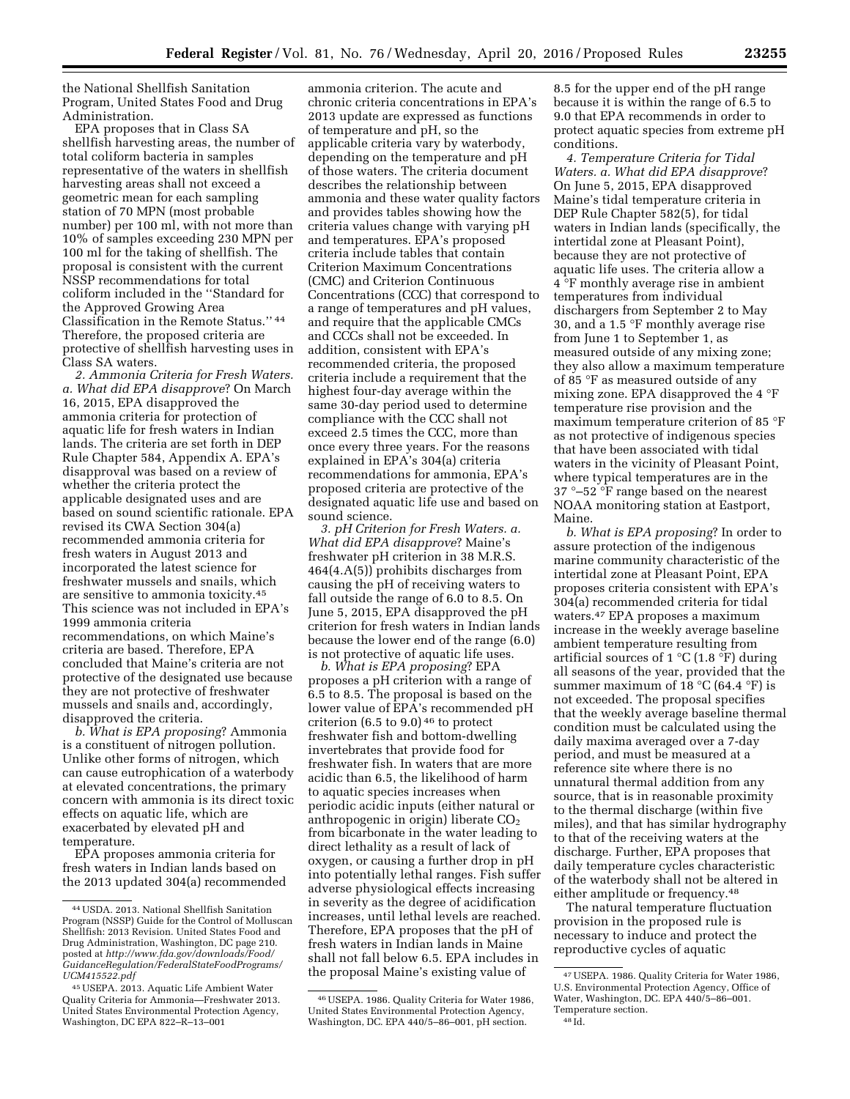the National Shellfish Sanitation Program, United States Food and Drug Administration.

EPA proposes that in Class SA shellfish harvesting areas, the number of total coliform bacteria in samples representative of the waters in shellfish harvesting areas shall not exceed a geometric mean for each sampling station of 70 MPN (most probable number) per 100 ml, with not more than 10% of samples exceeding 230 MPN per 100 ml for the taking of shellfish. The proposal is consistent with the current NSSP recommendations for total coliform included in the ''Standard for the Approved Growing Area Classification in the Remote Status.'' 44 Therefore, the proposed criteria are protective of shellfish harvesting uses in Class SA waters.

*2. Ammonia Criteria for Fresh Waters. a. What did EPA disapprove*? On March 16, 2015, EPA disapproved the ammonia criteria for protection of aquatic life for fresh waters in Indian lands. The criteria are set forth in DEP Rule Chapter 584, Appendix A. EPA's disapproval was based on a review of whether the criteria protect the applicable designated uses and are based on sound scientific rationale. EPA revised its CWA Section 304(a) recommended ammonia criteria for fresh waters in August 2013 and incorporated the latest science for freshwater mussels and snails, which are sensitive to ammonia toxicity.45 This science was not included in EPA's 1999 ammonia criteria recommendations, on which Maine's criteria are based. Therefore, EPA concluded that Maine's criteria are not protective of the designated use because they are not protective of freshwater mussels and snails and, accordingly, disapproved the criteria.

*b. What is EPA proposing*? Ammonia is a constituent of nitrogen pollution. Unlike other forms of nitrogen, which can cause eutrophication of a waterbody at elevated concentrations, the primary concern with ammonia is its direct toxic effects on aquatic life, which are exacerbated by elevated pH and temperature.

EPA proposes ammonia criteria for fresh waters in Indian lands based on the 2013 updated 304(a) recommended

ammonia criterion. The acute and chronic criteria concentrations in EPA's 2013 update are expressed as functions of temperature and pH, so the applicable criteria vary by waterbody, depending on the temperature and pH of those waters. The criteria document describes the relationship between ammonia and these water quality factors and provides tables showing how the criteria values change with varying pH and temperatures. EPA's proposed criteria include tables that contain Criterion Maximum Concentrations (CMC) and Criterion Continuous Concentrations (CCC) that correspond to a range of temperatures and pH values, and require that the applicable CMCs and CCCs shall not be exceeded. In addition, consistent with EPA's recommended criteria, the proposed criteria include a requirement that the highest four-day average within the same 30-day period used to determine compliance with the CCC shall not exceed 2.5 times the CCC, more than once every three years. For the reasons explained in EPA's 304(a) criteria recommendations for ammonia, EPA's proposed criteria are protective of the designated aquatic life use and based on sound science.

*3. pH Criterion for Fresh Waters. a. What did EPA disapprove*? Maine's freshwater pH criterion in 38 M.R.S. 464(4.A(5)) prohibits discharges from causing the pH of receiving waters to fall outside the range of 6.0 to 8.5. On June 5, 2015, EPA disapproved the pH criterion for fresh waters in Indian lands because the lower end of the range (6.0) is not protective of aquatic life uses.

*b. What is EPA proposing*? EPA proposes a pH criterion with a range of 6.5 to 8.5. The proposal is based on the lower value of EPA's recommended pH criterion  $(6.5 \text{ to } 9.0)$ <sup>46</sup> to protect freshwater fish and bottom-dwelling invertebrates that provide food for freshwater fish. In waters that are more acidic than 6.5, the likelihood of harm to aquatic species increases when periodic acidic inputs (either natural or anthropogenic in origin) liberate  $CO<sub>2</sub>$ from bicarbonate in the water leading to direct lethality as a result of lack of oxygen, or causing a further drop in pH into potentially lethal ranges. Fish suffer adverse physiological effects increasing in severity as the degree of acidification increases, until lethal levels are reached. Therefore, EPA proposes that the pH of fresh waters in Indian lands in Maine shall not fall below 6.5. EPA includes in the proposal Maine's existing value of

8.5 for the upper end of the pH range because it is within the range of 6.5 to 9.0 that EPA recommends in order to protect aquatic species from extreme pH conditions.

*4. Temperature Criteria for Tidal Waters. a. What did EPA disapprove*? On June 5, 2015, EPA disapproved Maine's tidal temperature criteria in DEP Rule Chapter 582(5), for tidal waters in Indian lands (specifically, the intertidal zone at Pleasant Point), because they are not protective of aquatic life uses. The criteria allow a 4 °F monthly average rise in ambient temperatures from individual dischargers from September 2 to May 30, and a 1.5 °F monthly average rise from June 1 to September 1, as measured outside of any mixing zone; they also allow a maximum temperature of 85 °F as measured outside of any mixing zone. EPA disapproved the 4 °F temperature rise provision and the maximum temperature criterion of 85 °F as not protective of indigenous species that have been associated with tidal waters in the vicinity of Pleasant Point, where typical temperatures are in the 37 °–52 °F range based on the nearest NOAA monitoring station at Eastport, Maine.

*b. What is EPA proposing*? In order to assure protection of the indigenous marine community characteristic of the intertidal zone at Pleasant Point, EPA proposes criteria consistent with EPA's 304(a) recommended criteria for tidal waters.47 EPA proposes a maximum increase in the weekly average baseline ambient temperature resulting from artificial sources of  $1 °C$  (1.8 °F) during all seasons of the year, provided that the summer maximum of 18  $^{\circ}$ C (64.4  $^{\circ}$ F) is not exceeded. The proposal specifies that the weekly average baseline thermal condition must be calculated using the daily maxima averaged over a 7-day period, and must be measured at a reference site where there is no unnatural thermal addition from any source, that is in reasonable proximity to the thermal discharge (within five miles), and that has similar hydrography to that of the receiving waters at the discharge. Further, EPA proposes that daily temperature cycles characteristic of the waterbody shall not be altered in either amplitude or frequency.48

The natural temperature fluctuation provision in the proposed rule is necessary to induce and protect the reproductive cycles of aquatic

<sup>44</sup>USDA. 2013. National Shellfish Sanitation Program (NSSP) Guide for the Control of Molluscan Shellfish: 2013 Revision. United States Food and Drug Administration, Washington, DC page 210. posted at *[http://www.fda.gov/downloads/Food/](http://www.fda.gov/downloads/Food/GuidanceRegulation/FederalStateFoodPrograms/UCM415522.pdf) [GuidanceRegulation/FederalStateFoodPrograms/](http://www.fda.gov/downloads/Food/GuidanceRegulation/FederalStateFoodPrograms/UCM415522.pdf) [UCM415522.pdf](http://www.fda.gov/downloads/Food/GuidanceRegulation/FederalStateFoodPrograms/UCM415522.pdf)* 

<sup>45</sup>USEPA. 2013. Aquatic Life Ambient Water Quality Criteria for Ammonia—Freshwater 2013. United States Environmental Protection Agency, Washington, DC EPA 822–R–13–001

<sup>46</sup>USEPA. 1986. Quality Criteria for Water 1986, United States Environmental Protection Agency, Washington, DC. EPA 440/5–86–001, pH section.

<sup>47</sup>USEPA. 1986. Quality Criteria for Water 1986, U.S. Environmental Protection Agency, Office of Water, Washington, DC. EPA 440/5–86–001. Temperature section.

<sup>48</sup> Id.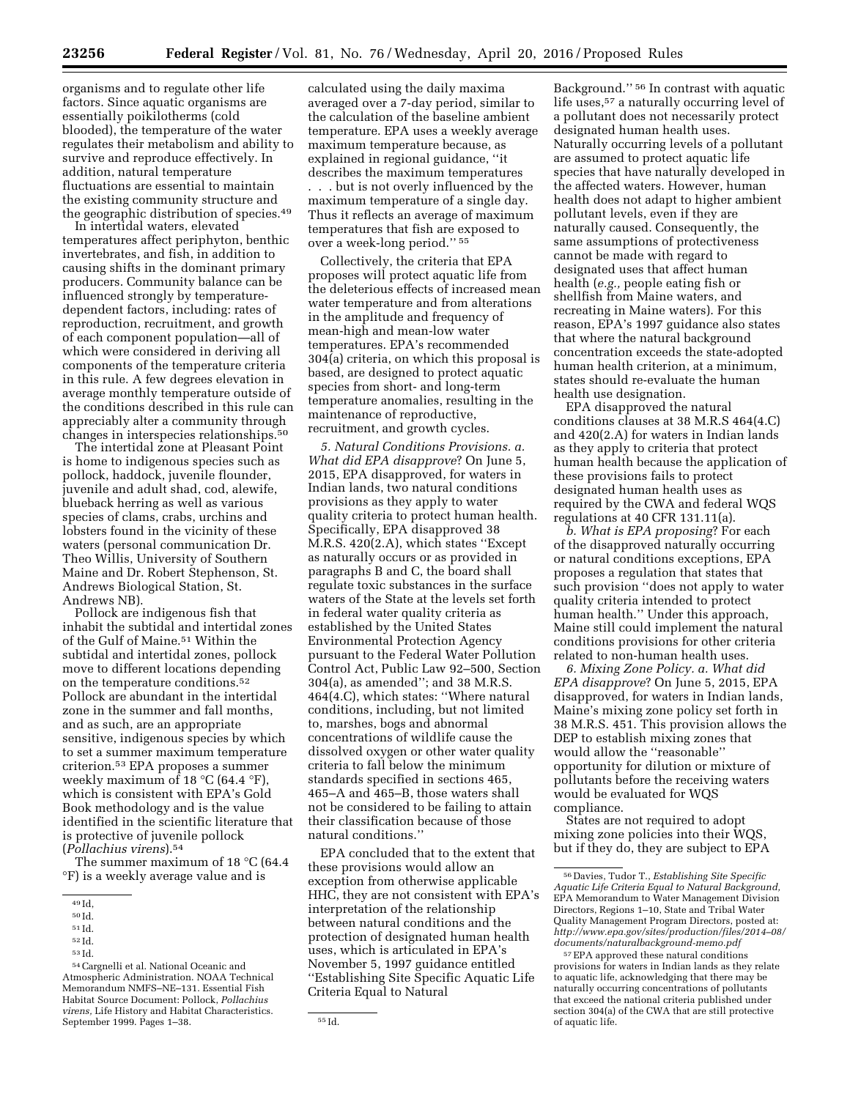organisms and to regulate other life factors. Since aquatic organisms are essentially poikilotherms (cold blooded), the temperature of the water regulates their metabolism and ability to survive and reproduce effectively. In addition, natural temperature fluctuations are essential to maintain the existing community structure and the geographic distribution of species.49

In intertidal waters, elevated temperatures affect periphyton, benthic invertebrates, and fish, in addition to causing shifts in the dominant primary producers. Community balance can be influenced strongly by temperaturedependent factors, including: rates of reproduction, recruitment, and growth of each component population—all of which were considered in deriving all components of the temperature criteria in this rule. A few degrees elevation in average monthly temperature outside of the conditions described in this rule can appreciably alter a community through changes in interspecies relationships.50

The intertidal zone at Pleasant Point is home to indigenous species such as pollock, haddock, juvenile flounder, juvenile and adult shad, cod, alewife, blueback herring as well as various species of clams, crabs, urchins and lobsters found in the vicinity of these waters (personal communication Dr. Theo Willis, University of Southern Maine and Dr. Robert Stephenson, St. Andrews Biological Station, St. Andrews NB).

Pollock are indigenous fish that inhabit the subtidal and intertidal zones of the Gulf of Maine.51 Within the subtidal and intertidal zones, pollock move to different locations depending on the temperature conditions.52 Pollock are abundant in the intertidal zone in the summer and fall months, and as such, are an appropriate sensitive, indigenous species by which to set a summer maximum temperature criterion.53 EPA proposes a summer weekly maximum of 18  $^{\circ}$ C (64.4  $^{\circ}$ F), which is consistent with EPA's Gold Book methodology and is the value identified in the scientific literature that is protective of juvenile pollock (*Pollachius virens*).54

The summer maximum of 18 °C (64.4 °F) is a weekly average value and is

calculated using the daily maxima averaged over a 7-day period, similar to the calculation of the baseline ambient temperature. EPA uses a weekly average maximum temperature because, as explained in regional guidance, ''it describes the maximum temperatures . . . but is not overly influenced by the maximum temperature of a single day. Thus it reflects an average of maximum temperatures that fish are exposed to over a week-long period.'' 55

Collectively, the criteria that EPA proposes will protect aquatic life from the deleterious effects of increased mean water temperature and from alterations in the amplitude and frequency of mean-high and mean-low water temperatures. EPA's recommended 304(a) criteria, on which this proposal is based, are designed to protect aquatic species from short- and long-term temperature anomalies, resulting in the maintenance of reproductive, recruitment, and growth cycles.

*5. Natural Conditions Provisions. a. What did EPA disapprove*? On June 5, 2015, EPA disapproved, for waters in Indian lands, two natural conditions provisions as they apply to water quality criteria to protect human health. Specifically, EPA disapproved 38 M.R.S. 420(2.A), which states ''Except as naturally occurs or as provided in paragraphs B and C, the board shall regulate toxic substances in the surface waters of the State at the levels set forth in federal water quality criteria as established by the United States Environmental Protection Agency pursuant to the Federal Water Pollution Control Act, Public Law 92–500, Section 304(a), as amended''; and 38 M.R.S. 464(4.C), which states: ''Where natural conditions, including, but not limited to, marshes, bogs and abnormal concentrations of wildlife cause the dissolved oxygen or other water quality criteria to fall below the minimum standards specified in sections 465, 465–A and 465–B, those waters shall not be considered to be failing to attain their classification because of those natural conditions.''

EPA concluded that to the extent that these provisions would allow an exception from otherwise applicable HHC, they are not consistent with EPA's interpretation of the relationship between natural conditions and the protection of designated human health uses, which is articulated in EPA's November 5, 1997 guidance entitled ''Establishing Site Specific Aquatic Life Criteria Equal to Natural

Background.'' 56 In contrast with aquatic life uses,<sup>57</sup> a naturally occurring level of a pollutant does not necessarily protect designated human health uses. Naturally occurring levels of a pollutant are assumed to protect aquatic life species that have naturally developed in the affected waters. However, human health does not adapt to higher ambient pollutant levels, even if they are naturally caused. Consequently, the same assumptions of protectiveness cannot be made with regard to designated uses that affect human health (*e.g.,* people eating fish or shellfish from Maine waters, and recreating in Maine waters). For this reason, EPA's 1997 guidance also states that where the natural background concentration exceeds the state-adopted human health criterion, at a minimum, states should re-evaluate the human health use designation.

EPA disapproved the natural conditions clauses at 38 M.R.S 464(4.C) and 420(2.A) for waters in Indian lands as they apply to criteria that protect human health because the application of these provisions fails to protect designated human health uses as required by the CWA and federal WQS regulations at 40 CFR 131.11(a).

*b. What is EPA proposing*? For each of the disapproved naturally occurring or natural conditions exceptions, EPA proposes a regulation that states that such provision ''does not apply to water quality criteria intended to protect human health.'' Under this approach, Maine still could implement the natural conditions provisions for other criteria related to non-human health uses.

*6. Mixing Zone Policy. a. What did EPA disapprove*? On June 5, 2015, EPA disapproved, for waters in Indian lands, Maine's mixing zone policy set forth in 38 M.R.S. 451. This provision allows the DEP to establish mixing zones that would allow the ''reasonable'' opportunity for dilution or mixture of pollutants before the receiving waters would be evaluated for WQS compliance.

States are not required to adopt mixing zone policies into their WQS, but if they do, they are subject to EPA

<sup>49</sup> Id,

<sup>50</sup> Id.

<sup>51</sup> Id.

<sup>52</sup> Id.

<sup>53</sup> Id.

<sup>54</sup>Cargnelli et al. National Oceanic and Atmospheric Administration. NOAA Technical Memorandum NMFS–NE–131. Essential Fish Habitat Source Document: Pollock, *Pollachius virens,* Life History and Habitat Characteristics. September 1999. Pages  $1-38$ .  $55$  Id.

<sup>56</sup> Davies, Tudor T., *Establishing Site Specific Aquatic Life Criteria Equal to Natural Background,*  EPA Memorandum to Water Management Division Directors, Regions 1–10, State and Tribal Water Quality Management Program Directors, posted at: *[http://www.epa.gov/sites/production/files/2014–08/](http://www.epa.gov/sites/production/files/2014-08/documents/naturalbackground-memo.pdf) [documents/naturalbackground-memo.pdf](http://www.epa.gov/sites/production/files/2014-08/documents/naturalbackground-memo.pdf)* 

<sup>57</sup>EPA approved these natural conditions provisions for waters in Indian lands as they relate to aquatic life, acknowledging that there may be naturally occurring concentrations of pollutants that exceed the national criteria published under section 304(a) of the CWA that are still protective of aquatic life.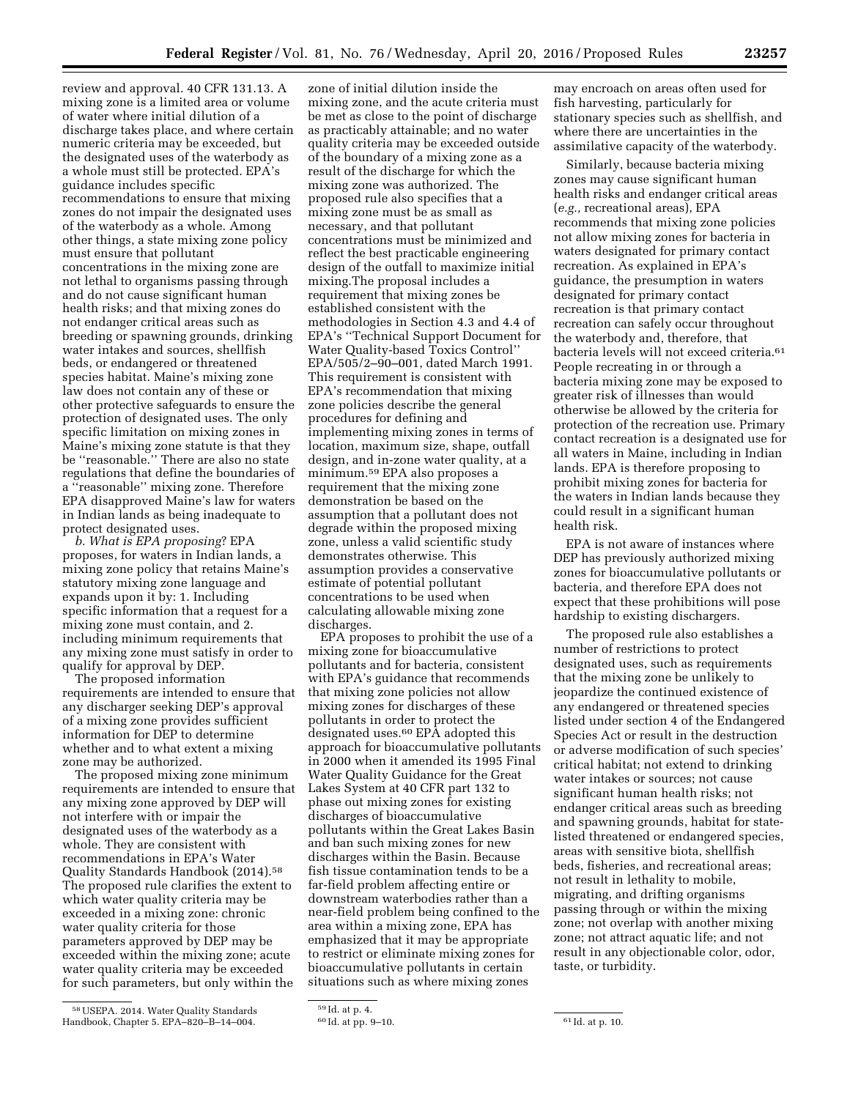review and approval. 40 CFR 131.13. A mixing zone is a limited area or volume of water where initial dilution of a discharge takes place, and where certain numeric criteria may be exceeded, but the designated uses of the waterbody as a whole must still be protected. EPA's guidance includes specific recommendations to ensure that mixing zones do not impair the designated uses of the waterbody as a whole. Among other things, a state mixing zone policy must ensure that pollutant concentrations in the mixing zone are not lethal to organisms passing through and do not cause significant human health risks; and that mixing zones do not endanger critical areas such as breeding or spawning grounds, drinking water intakes and sources, shellfish beds, or endangered or threatened species habitat. Maine's mixing zone law does not contain any of these or other protective safeguards to ensure the protection of designated uses. The only specific limitation on mixing zones in Maine's mixing zone statute is that they be ''reasonable.'' There are also no state regulations that define the boundaries of a ''reasonable'' mixing zone. Therefore EPA disapproved Maine's law for waters in Indian lands as being inadequate to protect designated uses.

*b. What is EPA proposing*? EPA proposes, for waters in Indian lands, a mixing zone policy that retains Maine's statutory mixing zone language and expands upon it by: 1. Including specific information that a request for a mixing zone must contain, and 2. including minimum requirements that any mixing zone must satisfy in order to qualify for approval by DEP.

The proposed information requirements are intended to ensure that any discharger seeking DEP's approval of a mixing zone provides sufficient information for DEP to determine whether and to what extent a mixing zone may be authorized.

The proposed mixing zone minimum requirements are intended to ensure that any mixing zone approved by DEP will not interfere with or impair the designated uses of the waterbody as a whole. They are consistent with recommendations in EPA's Water Quality Standards Handbook (2014).58 The proposed rule clarifies the extent to which water quality criteria may be exceeded in a mixing zone: chronic water quality criteria for those parameters approved by DEP may be exceeded within the mixing zone; acute water quality criteria may be exceeded for such parameters, but only within the

zone of initial dilution inside the mixing zone, and the acute criteria must be met as close to the point of discharge as practicably attainable; and no water quality criteria may be exceeded outside of the boundary of a mixing zone as a result of the discharge for which the mixing zone was authorized. The proposed rule also specifies that a mixing zone must be as small as necessary, and that pollutant concentrations must be minimized and reflect the best practicable engineering design of the outfall to maximize initial mixing.The proposal includes a requirement that mixing zones be established consistent with the methodologies in Section 4.3 and 4.4 of EPA's ''Technical Support Document for Water Quality-based Toxics Control'' EPA/505/2–90–001, dated March 1991. This requirement is consistent with EPA's recommendation that mixing zone policies describe the general procedures for defining and implementing mixing zones in terms of location, maximum size, shape, outfall design, and in-zone water quality, at a minimum.59 EPA also proposes a requirement that the mixing zone demonstration be based on the assumption that a pollutant does not degrade within the proposed mixing zone, unless a valid scientific study demonstrates otherwise. This assumption provides a conservative estimate of potential pollutant concentrations to be used when calculating allowable mixing zone discharges.

EPA proposes to prohibit the use of a mixing zone for bioaccumulative pollutants and for bacteria, consistent with EPA's guidance that recommends that mixing zone policies not allow mixing zones for discharges of these pollutants in order to protect the designated uses.<sup>60</sup> EPA adopted this approach for bioaccumulative pollutants in 2000 when it amended its 1995 Final Water Quality Guidance for the Great Lakes System at 40 CFR part 132 to phase out mixing zones for existing discharges of bioaccumulative pollutants within the Great Lakes Basin and ban such mixing zones for new discharges within the Basin. Because fish tissue contamination tends to be a far-field problem affecting entire or downstream waterbodies rather than a near-field problem being confined to the area within a mixing zone, EPA has emphasized that it may be appropriate to restrict or eliminate mixing zones for bioaccumulative pollutants in certain situations such as where mixing zones

may encroach on areas often used for fish harvesting, particularly for stationary species such as shellfish, and where there are uncertainties in the assimilative capacity of the waterbody.

Similarly, because bacteria mixing zones may cause significant human health risks and endanger critical areas (*e.g.,* recreational areas), EPA recommends that mixing zone policies not allow mixing zones for bacteria in waters designated for primary contact recreation. As explained in EPA's guidance, the presumption in waters designated for primary contact recreation is that primary contact recreation can safely occur throughout the waterbody and, therefore, that bacteria levels will not exceed criteria.61 People recreating in or through a bacteria mixing zone may be exposed to greater risk of illnesses than would otherwise be allowed by the criteria for protection of the recreation use. Primary contact recreation is a designated use for all waters in Maine, including in Indian lands. EPA is therefore proposing to prohibit mixing zones for bacteria for the waters in Indian lands because they could result in a significant human health risk.

EPA is not aware of instances where DEP has previously authorized mixing zones for bioaccumulative pollutants or bacteria, and therefore EPA does not expect that these prohibitions will pose hardship to existing dischargers.

The proposed rule also establishes a number of restrictions to protect designated uses, such as requirements that the mixing zone be unlikely to jeopardize the continued existence of any endangered or threatened species listed under section 4 of the Endangered Species Act or result in the destruction or adverse modification of such species' critical habitat; not extend to drinking water intakes or sources; not cause significant human health risks; not endanger critical areas such as breeding and spawning grounds, habitat for statelisted threatened or endangered species, areas with sensitive biota, shellfish beds, fisheries, and recreational areas; not result in lethality to mobile, migrating, and drifting organisms passing through or within the mixing zone; not overlap with another mixing zone; not attract aquatic life; and not result in any objectionable color, odor, taste, or turbidity.

<sup>58</sup>USEPA. 2014. Water Quality Standards Handbook, Chapter 5. EPA–820–B–14–004.

<sup>59</sup> Id. at p. 4.

<sup>60</sup> Id. at pp. 9–10. 61 Id. at p. 10.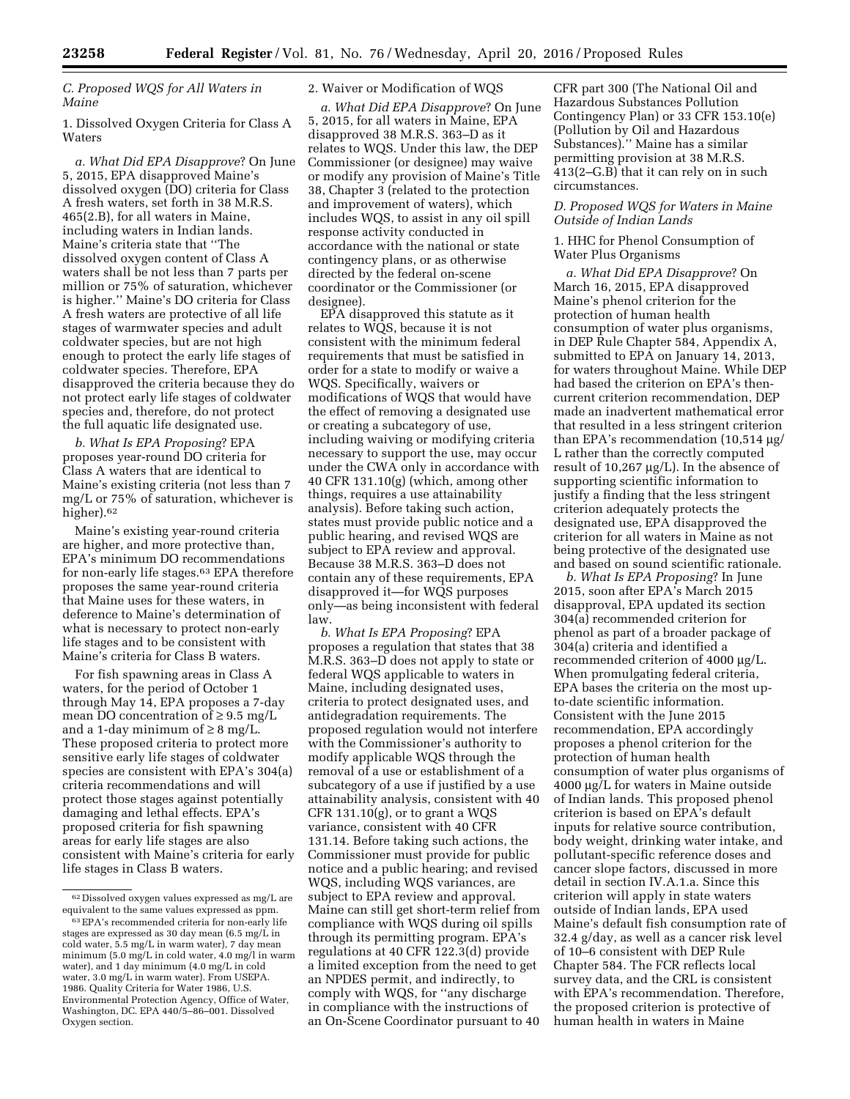*C. Proposed WQS for All Waters in Maine* 

1. Dissolved Oxygen Criteria for Class A Waters

*a. What Did EPA Disapprove*? On June 5, 2015, EPA disapproved Maine's dissolved oxygen (DO) criteria for Class A fresh waters, set forth in 38 M.R.S. 465(2.B), for all waters in Maine, including waters in Indian lands. Maine's criteria state that ''The dissolved oxygen content of Class A waters shall be not less than 7 parts per million or 75% of saturation, whichever is higher.'' Maine's DO criteria for Class A fresh waters are protective of all life stages of warmwater species and adult coldwater species, but are not high enough to protect the early life stages of coldwater species. Therefore, EPA disapproved the criteria because they do not protect early life stages of coldwater species and, therefore, do not protect the full aquatic life designated use.

*b. What Is EPA Proposing*? EPA proposes year-round DO criteria for Class A waters that are identical to Maine's existing criteria (not less than 7 mg/L or 75% of saturation, whichever is higher).<sup>62</sup>

Maine's existing year-round criteria are higher, and more protective than, EPA's minimum DO recommendations for non-early life stages.63 EPA therefore proposes the same year-round criteria that Maine uses for these waters, in deference to Maine's determination of what is necessary to protect non-early life stages and to be consistent with Maine's criteria for Class B waters.

For fish spawning areas in Class A waters, for the period of October 1 through May 14, EPA proposes a 7-day mean DO concentration of  $\geq 9.5$  mg/L and a 1-day minimum of  $\geq 8$  mg/L. These proposed criteria to protect more sensitive early life stages of coldwater species are consistent with EPA's 304(a) criteria recommendations and will protect those stages against potentially damaging and lethal effects. EPA's proposed criteria for fish spawning areas for early life stages are also consistent with Maine's criteria for early life stages in Class B waters.

#### 2. Waiver or Modification of WQS

*a. What Did EPA Disapprove*? On June 5, 2015, for all waters in Maine, EPA disapproved 38 M.R.S. 363–D as it relates to WQS. Under this law, the DEP Commissioner (or designee) may waive or modify any provision of Maine's Title 38, Chapter 3 (related to the protection and improvement of waters), which includes WQS, to assist in any oil spill response activity conducted in accordance with the national or state contingency plans, or as otherwise directed by the federal on-scene coordinator or the Commissioner (or designee).

EPA disapproved this statute as it relates to WQS, because it is not consistent with the minimum federal requirements that must be satisfied in order for a state to modify or waive a WQS. Specifically, waivers or modifications of WQS that would have the effect of removing a designated use or creating a subcategory of use, including waiving or modifying criteria necessary to support the use, may occur under the CWA only in accordance with 40 CFR 131.10(g) (which, among other things, requires a use attainability analysis). Before taking such action, states must provide public notice and a public hearing, and revised WQS are subject to EPA review and approval. Because 38 M.R.S. 363–D does not contain any of these requirements, EPA disapproved it—for WQS purposes only—as being inconsistent with federal law.

*b. What Is EPA Proposing*? EPA proposes a regulation that states that 38 M.R.S. 363–D does not apply to state or federal WQS applicable to waters in Maine, including designated uses, criteria to protect designated uses, and antidegradation requirements. The proposed regulation would not interfere with the Commissioner's authority to modify applicable WQS through the removal of a use or establishment of a subcategory of a use if justified by a use attainability analysis, consistent with 40 CFR 131.10(g), or to grant a WQS variance, consistent with 40 CFR 131.14. Before taking such actions, the Commissioner must provide for public notice and a public hearing; and revised WQS, including WQS variances, are subject to EPA review and approval. Maine can still get short-term relief from compliance with WQS during oil spills through its permitting program. EPA's regulations at 40 CFR 122.3(d) provide a limited exception from the need to get an NPDES permit, and indirectly, to comply with WQS, for ''any discharge in compliance with the instructions of an On-Scene Coordinator pursuant to 40

CFR part 300 (The National Oil and Hazardous Substances Pollution Contingency Plan) or 33 CFR 153.10(e) (Pollution by Oil and Hazardous Substances).'' Maine has a similar permitting provision at 38 M.R.S. 413(2–G.B) that it can rely on in such circumstances.

# *D. Proposed WQS for Waters in Maine Outside of Indian Lands*

## 1. HHC for Phenol Consumption of Water Plus Organisms

*a. What Did EPA Disapprove*? On March 16, 2015, EPA disapproved Maine's phenol criterion for the protection of human health consumption of water plus organisms, in DEP Rule Chapter 584, Appendix A, submitted to EPA on January 14, 2013, for waters throughout Maine. While DEP had based the criterion on EPA's thencurrent criterion recommendation, DEP made an inadvertent mathematical error that resulted in a less stringent criterion than EPA's recommendation  $(10,514 \mu g)$ L rather than the correctly computed result of 10,267  $\mu$ g/L). In the absence of supporting scientific information to justify a finding that the less stringent criterion adequately protects the designated use, EPA disapproved the criterion for all waters in Maine as not being protective of the designated use and based on sound scientific rationale.

*b. What Is EPA Proposing*? In June 2015, soon after EPA's March 2015 disapproval, EPA updated its section 304(a) recommended criterion for phenol as part of a broader package of 304(a) criteria and identified a recommended criterion of 4000 µg/L. When promulgating federal criteria, EPA bases the criteria on the most upto-date scientific information. Consistent with the June 2015 recommendation, EPA accordingly proposes a phenol criterion for the protection of human health consumption of water plus organisms of  $4000 \mu g/L$  for waters in Maine outside of Indian lands. This proposed phenol criterion is based on EPA's default inputs for relative source contribution, body weight, drinking water intake, and pollutant-specific reference doses and cancer slope factors, discussed in more detail in section IV.A.1.a. Since this criterion will apply in state waters outside of Indian lands, EPA used Maine's default fish consumption rate of 32.4 g/day, as well as a cancer risk level of 10–6 consistent with DEP Rule Chapter 584. The FCR reflects local survey data, and the CRL is consistent with EPA's recommendation. Therefore, the proposed criterion is protective of human health in waters in Maine

 $^{62}\, \mathrm{D}$ issolved oxygen values expressed as mg/L are equivalent to the same values expressed as ppm.

<sup>63</sup>EPA's recommended criteria for non-early life stages are expressed as 30 day mean (6.5 mg/L in cold water, 5.5 mg/L in warm water), 7 day mean minimum (5.0 mg/L in cold water, 4.0 mg/l in warm water), and 1 day minimum (4.0 mg/L in cold water, 3.0 mg/L in warm water). From USEPA. 1986. Quality Criteria for Water 1986, U.S. Environmental Protection Agency, Office of Water, Washington, DC. EPA 440/5–86–001. Dissolved Oxygen section.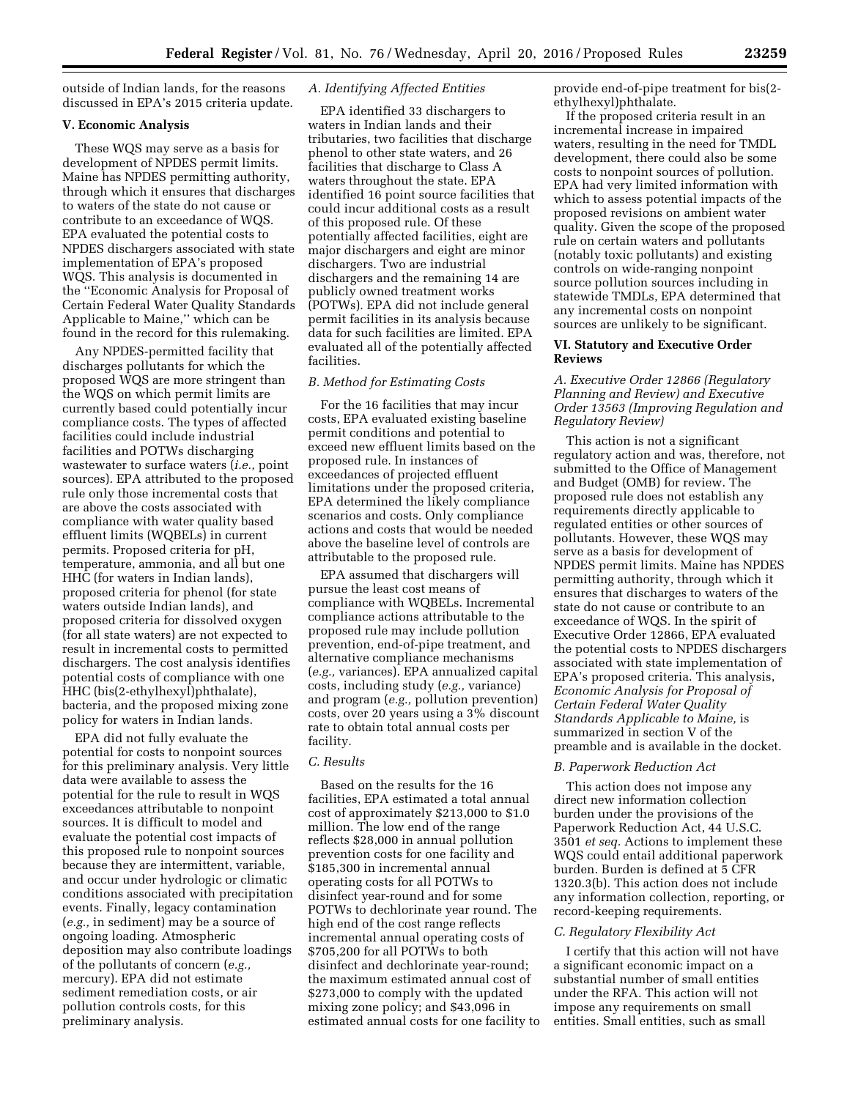outside of Indian lands, for the reasons discussed in EPA's 2015 criteria update.

### **V. Economic Analysis**

These WQS may serve as a basis for development of NPDES permit limits. Maine has NPDES permitting authority, through which it ensures that discharges to waters of the state do not cause or contribute to an exceedance of WQS. EPA evaluated the potential costs to NPDES dischargers associated with state implementation of EPA's proposed WQS. This analysis is documented in the ''Economic Analysis for Proposal of Certain Federal Water Quality Standards Applicable to Maine,'' which can be found in the record for this rulemaking.

Any NPDES-permitted facility that discharges pollutants for which the proposed WQS are more stringent than the WQS on which permit limits are currently based could potentially incur compliance costs. The types of affected facilities could include industrial facilities and POTWs discharging wastewater to surface waters (*i.e.,* point sources). EPA attributed to the proposed rule only those incremental costs that are above the costs associated with compliance with water quality based effluent limits (WQBELs) in current permits. Proposed criteria for pH, temperature, ammonia, and all but one HHC (for waters in Indian lands), proposed criteria for phenol (for state waters outside Indian lands), and proposed criteria for dissolved oxygen (for all state waters) are not expected to result in incremental costs to permitted dischargers. The cost analysis identifies potential costs of compliance with one HHC (bis(2-ethylhexyl)phthalate), bacteria, and the proposed mixing zone policy for waters in Indian lands.

EPA did not fully evaluate the potential for costs to nonpoint sources for this preliminary analysis. Very little data were available to assess the potential for the rule to result in WQS exceedances attributable to nonpoint sources. It is difficult to model and evaluate the potential cost impacts of this proposed rule to nonpoint sources because they are intermittent, variable, and occur under hydrologic or climatic conditions associated with precipitation events. Finally, legacy contamination (*e.g.,* in sediment) may be a source of ongoing loading. Atmospheric deposition may also contribute loadings of the pollutants of concern (*e.g.,*  mercury). EPA did not estimate sediment remediation costs, or air pollution controls costs, for this preliminary analysis.

## *A. Identifying Affected Entities*

EPA identified 33 dischargers to waters in Indian lands and their tributaries, two facilities that discharge phenol to other state waters, and 26 facilities that discharge to Class A waters throughout the state. EPA identified 16 point source facilities that could incur additional costs as a result of this proposed rule. Of these potentially affected facilities, eight are major dischargers and eight are minor dischargers. Two are industrial dischargers and the remaining 14 are publicly owned treatment works (POTWs). EPA did not include general permit facilities in its analysis because data for such facilities are limited. EPA evaluated all of the potentially affected facilities.

#### *B. Method for Estimating Costs*

For the 16 facilities that may incur costs, EPA evaluated existing baseline permit conditions and potential to exceed new effluent limits based on the proposed rule. In instances of exceedances of projected effluent limitations under the proposed criteria, EPA determined the likely compliance scenarios and costs. Only compliance actions and costs that would be needed above the baseline level of controls are attributable to the proposed rule.

EPA assumed that dischargers will pursue the least cost means of compliance with WQBELs. Incremental compliance actions attributable to the proposed rule may include pollution prevention, end-of-pipe treatment, and alternative compliance mechanisms (*e.g.,* variances). EPA annualized capital costs, including study (*e.g.,* variance) and program (*e.g.,* pollution prevention) costs, over 20 years using a 3% discount rate to obtain total annual costs per facility.

#### *C. Results*

Based on the results for the 16 facilities, EPA estimated a total annual cost of approximately \$213,000 to \$1.0 million. The low end of the range reflects \$28,000 in annual pollution prevention costs for one facility and \$185,300 in incremental annual operating costs for all POTWs to disinfect year-round and for some POTWs to dechlorinate year round. The high end of the cost range reflects incremental annual operating costs of \$705,200 for all POTWs to both disinfect and dechlorinate year-round; the maximum estimated annual cost of \$273,000 to comply with the updated mixing zone policy; and \$43,096 in estimated annual costs for one facility to provide end-of-pipe treatment for bis(2 ethylhexyl)phthalate.

If the proposed criteria result in an incremental increase in impaired waters, resulting in the need for TMDL development, there could also be some costs to nonpoint sources of pollution. EPA had very limited information with which to assess potential impacts of the proposed revisions on ambient water quality. Given the scope of the proposed rule on certain waters and pollutants (notably toxic pollutants) and existing controls on wide-ranging nonpoint source pollution sources including in statewide TMDLs, EPA determined that any incremental costs on nonpoint sources are unlikely to be significant.

#### **VI. Statutory and Executive Order Reviews**

## *A. Executive Order 12866 (Regulatory Planning and Review) and Executive Order 13563 (Improving Regulation and Regulatory Review)*

This action is not a significant regulatory action and was, therefore, not submitted to the Office of Management and Budget (OMB) for review. The proposed rule does not establish any requirements directly applicable to regulated entities or other sources of pollutants. However, these WQS may serve as a basis for development of NPDES permit limits. Maine has NPDES permitting authority, through which it ensures that discharges to waters of the state do not cause or contribute to an exceedance of WQS. In the spirit of Executive Order 12866, EPA evaluated the potential costs to NPDES dischargers associated with state implementation of EPA's proposed criteria. This analysis, *Economic Analysis for Proposal of Certain Federal Water Quality Standards Applicable to Maine,* is summarized in section V of the preamble and is available in the docket.

#### *B. Paperwork Reduction Act*

This action does not impose any direct new information collection burden under the provisions of the Paperwork Reduction Act, 44 U.S.C. 3501 *et seq.* Actions to implement these WQS could entail additional paperwork burden. Burden is defined at 5 CFR 1320.3(b). This action does not include any information collection, reporting, or record-keeping requirements.

#### *C. Regulatory Flexibility Act*

I certify that this action will not have a significant economic impact on a substantial number of small entities under the RFA. This action will not impose any requirements on small entities. Small entities, such as small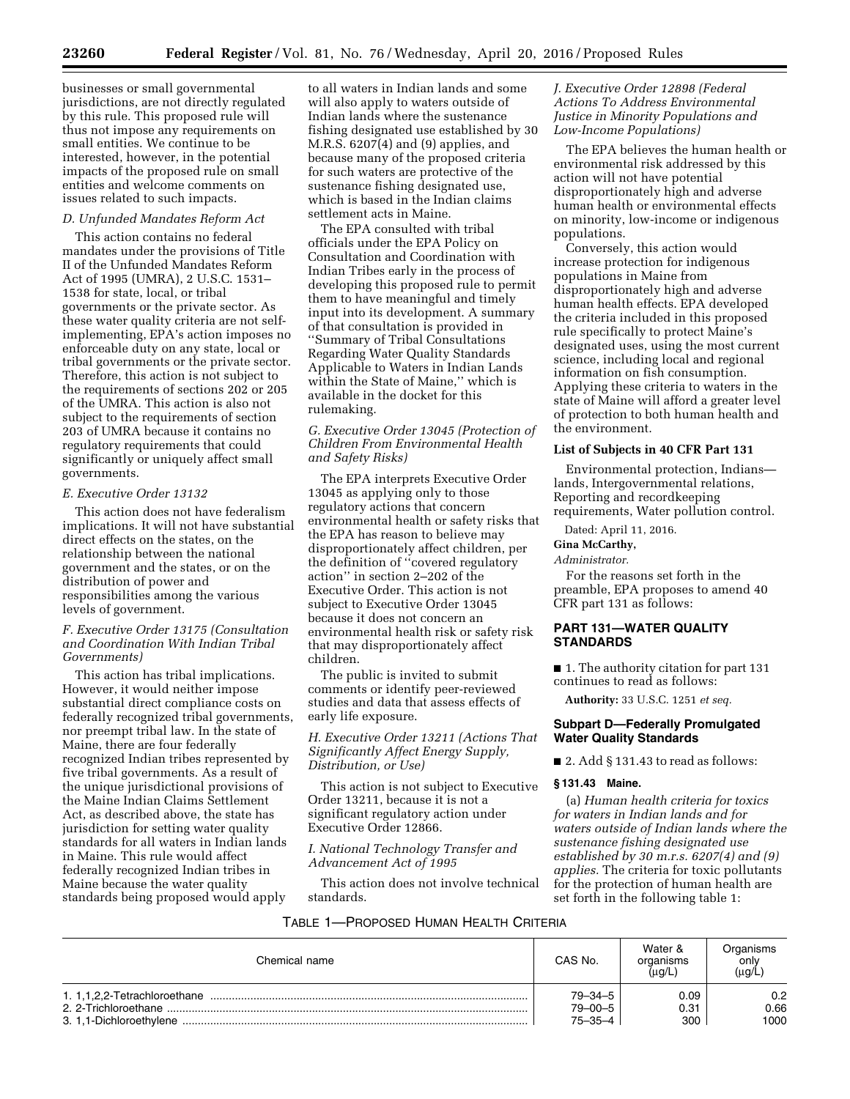businesses or small governmental jurisdictions, are not directly regulated by this rule. This proposed rule will thus not impose any requirements on small entities. We continue to be interested, however, in the potential impacts of the proposed rule on small entities and welcome comments on issues related to such impacts.

# *D. Unfunded Mandates Reform Act*

This action contains no federal mandates under the provisions of Title II of the Unfunded Mandates Reform Act of 1995 (UMRA), 2 U.S.C. 1531– 1538 for state, local, or tribal governments or the private sector. As these water quality criteria are not selfimplementing, EPA's action imposes no enforceable duty on any state, local or tribal governments or the private sector. Therefore, this action is not subject to the requirements of sections 202 or 205 of the UMRA. This action is also not subject to the requirements of section 203 of UMRA because it contains no regulatory requirements that could significantly or uniquely affect small governments.

#### *E. Executive Order 13132*

This action does not have federalism implications. It will not have substantial direct effects on the states, on the relationship between the national government and the states, or on the distribution of power and responsibilities among the various levels of government.

## *F. Executive Order 13175 (Consultation and Coordination With Indian Tribal Governments)*

This action has tribal implications. However, it would neither impose substantial direct compliance costs on federally recognized tribal governments, nor preempt tribal law. In the state of Maine, there are four federally recognized Indian tribes represented by five tribal governments. As a result of the unique jurisdictional provisions of the Maine Indian Claims Settlement Act, as described above, the state has jurisdiction for setting water quality standards for all waters in Indian lands in Maine. This rule would affect federally recognized Indian tribes in Maine because the water quality standards being proposed would apply

to all waters in Indian lands and some will also apply to waters outside of Indian lands where the sustenance fishing designated use established by 30 M.R.S. 6207(4) and (9) applies, and because many of the proposed criteria for such waters are protective of the sustenance fishing designated use, which is based in the Indian claims settlement acts in Maine.

The EPA consulted with tribal officials under the EPA Policy on Consultation and Coordination with Indian Tribes early in the process of developing this proposed rule to permit them to have meaningful and timely input into its development. A summary of that consultation is provided in ''Summary of Tribal Consultations Regarding Water Quality Standards Applicable to Waters in Indian Lands within the State of Maine,'' which is available in the docket for this rulemaking.

*G. Executive Order 13045 (Protection of Children From Environmental Health and Safety Risks)* 

The EPA interprets Executive Order 13045 as applying only to those regulatory actions that concern environmental health or safety risks that the EPA has reason to believe may disproportionately affect children, per the definition of ''covered regulatory action'' in section 2–202 of the Executive Order. This action is not subject to Executive Order 13045 because it does not concern an environmental health risk or safety risk that may disproportionately affect children.

The public is invited to submit comments or identify peer-reviewed studies and data that assess effects of early life exposure.

*H. Executive Order 13211 (Actions That Significantly Affect Energy Supply, Distribution, or Use)* 

This action is not subject to Executive Order 13211, because it is not a significant regulatory action under Executive Order 12866.

## *I. National Technology Transfer and Advancement Act of 1995*

This action does not involve technical standards.

## *J. Executive Order 12898 (Federal Actions To Address Environmental Justice in Minority Populations and Low-Income Populations)*

The EPA believes the human health or environmental risk addressed by this action will not have potential disproportionately high and adverse human health or environmental effects on minority, low-income or indigenous populations.

Conversely, this action would increase protection for indigenous populations in Maine from disproportionately high and adverse human health effects. EPA developed the criteria included in this proposed rule specifically to protect Maine's designated uses, using the most current science, including local and regional information on fish consumption. Applying these criteria to waters in the state of Maine will afford a greater level of protection to both human health and the environment.

#### **List of Subjects in 40 CFR Part 131**

Environmental protection, Indians lands, Intergovernmental relations, Reporting and recordkeeping requirements, Water pollution control.

Dated: April 11, 2016.

**Gina McCarthy,** 

#### *Administrator.*

For the reasons set forth in the preamble, EPA proposes to amend 40 CFR part 131 as follows:

## **PART 131—WATER QUALITY STANDARDS**

■ 1. The authority citation for part 131 continues to read as follows:

**Authority:** 33 U.S.C. 1251 *et seq.* 

## **Subpart D—Federally Promulgated Water Quality Standards**

 $\blacksquare$  2. Add § 131.43 to read as follows:

#### **§ 131.43 Maine.**

(a) *Human health criteria for toxics for waters in Indian lands and for waters outside of Indian lands where the sustenance fishing designated use established by 30 m.r.s. 6207(4) and (9) applies.* The criteria for toxic pollutants for the protection of human health are set forth in the following table 1:

#### TABLE 1—PROPOSED HUMAN HEALTH CRITERIA

| Chemical name           | CAS No.       | Water &<br>organisms<br>$(\mu$ g/L | Organisms<br>only<br>$(\mu$ g/L |
|-------------------------|---------------|------------------------------------|---------------------------------|
|                         | 79-34-5       | 0.09                               | 0.2                             |
| 2. 2-Trichloroethane    | $79 - 00 - 5$ | 0.31                               | 0.66                            |
| 3. 1.1-Dichloroethylene | 75–35–4       | 300                                | 1000                            |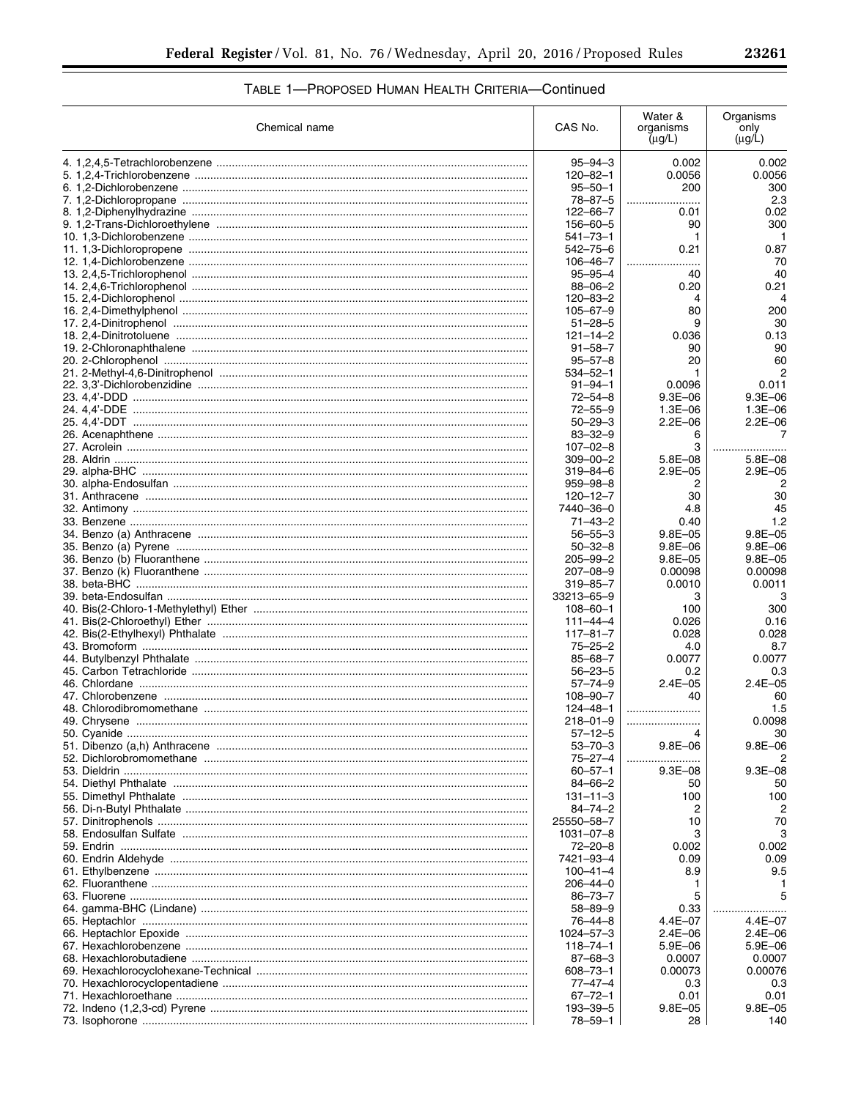# TABLE 1-PROPOSED HUMAN HEALTH CRITERIA-Continued

| Chemical name | CAS No.                         | Water &<br>organisms<br>$(\mu g/L)$ | Organisms<br>only<br>$(\mu g/L)$ |
|---------------|---------------------------------|-------------------------------------|----------------------------------|
|               | $95 - 94 - 3$                   | 0.002                               | 0.002                            |
|               | $120 - 82 - 1$                  | 0.0056                              | 0.0056                           |
|               | $95 - 50 - 1$                   | 200                                 | 300                              |
|               | $78 - 87 - 5$                   | .                                   | 2.3                              |
|               | $122 - 66 - 7$                  | 0.01                                | 0.02                             |
|               | 156-60-5                        | 90                                  | 300                              |
|               | $541 - 73 - 1$                  | 1                                   | $\mathbf{1}$                     |
|               | 542-75-6<br>$106 - 46 - 7$      | 0.21                                | 0.87<br>70                       |
|               | $95 - 95 - 4$                   | .<br>40                             | 40                               |
|               | $88 - 06 - 2$                   | 0.20                                | 0.21                             |
|               | $120 - 83 - 2$                  | 4                                   | 4                                |
|               | $105 - 67 - 9$                  | 80                                  | 200                              |
|               | $51 - 28 - 5$                   | 9                                   | 30                               |
|               | $121 - 14 - 2$                  | 0.036                               | 0.13                             |
|               | $91 - 58 - 7$                   | 90                                  | 90                               |
|               | $95 - 57 - 8$                   | 20                                  | 60                               |
|               | $534 - 52 - 1$<br>$91 - 94 - 1$ | 1<br>0.0096                         | 2<br>0.011                       |
|               | $72 - 54 - 8$                   | $9.3E - 06$                         | $9.3E - 06$                      |
|               | $72 - 55 - 9$                   | 1.3E-06                             | 1.3E-06                          |
|               | $50 - 29 - 3$                   | $2.2E - 06$                         | $2.2E - 06$                      |
|               | $83 - 32 - 9$                   | 6                                   | 7                                |
|               | $107 - 02 - 8$                  | 3                                   |                                  |
|               | $309 - 00 - 2$                  | $5.8E - 08$                         | $5.8E - 08$                      |
|               | $319 - 84 - 6$                  | $2.9E - 05$                         | $2.9E - 05$                      |
|               | $959 - 98 - 8$                  | 2                                   |                                  |
|               | $120 - 12 - 7$                  | 30                                  | 30                               |
|               | 7440-36-0                       | 4.8                                 | 45                               |
|               | $71 - 43 - 2$<br>$56 - 55 - 3$  | 0.40<br>$9.8E - 05$                 | 1.2<br>$9.8E - 05$               |
|               | $50 - 32 - 8$                   | $9.8E - 06$                         | $9.8E - 06$                      |
|               | $205 - 99 - 2$                  | $9.8E - 05$                         | $9.8E - 05$                      |
|               | $207 - 08 - 9$                  | 0.00098                             | 0.00098                          |
|               | $319 - 85 - 7$                  | 0.0010                              | 0.0011                           |
|               | 33213-65-9                      | 3                                   | 3                                |
|               | $108 - 60 - 1$                  | 100                                 | 300                              |
|               | $111 - 44 - 4$                  | 0.026                               | 0.16                             |
|               | $117 - 81 - 7$                  | 0.028                               | 0.028                            |
|               | $75 - 25 - 2$                   | 4.0                                 | 8.7                              |
|               | $85 - 68 - 7$<br>$56 - 23 - 5$  | 0.0077<br>0.2                       | 0.0077<br>0.3                    |
|               | $57 - 74 - 9$                   | $2.4E - 05$                         | $2.4E - 05$                      |
|               | $108 - 90 - 7$                  | 40                                  | 60                               |
|               | $124 - 48 - 1$                  |                                     | 1.5                              |
|               | 218-01-9                        |                                     | 0.0098                           |
|               | $57 - 12 - 5$                   |                                     | 30                               |
|               | $53 - 70 - 3$                   | $9.8E - 06$                         | $9.8E - 06$                      |
|               | $75 - 27 - 4$                   |                                     |                                  |
|               | $60 - 57 - 1$                   | $9.3E - 08$                         | $9.3E - 08$                      |
|               | $84 - 66 - 2$                   | 50                                  | 50                               |
|               | $131 - 11 - 3$<br>$84 - 74 - 2$ | 100                                 | 100                              |
|               | 25550-58-7                      | 2<br>10                             | 70                               |
|               | 1031-07-8                       | З                                   |                                  |
|               | $72 - 20 - 8$                   | 0.002                               | 0.002                            |
|               | 7421-93-4                       | 0.09                                | 0.09                             |
|               | $100 - 41 - 4$                  | 8.9                                 | 9.5                              |
|               | $206 - 44 - 0$                  | ı                                   |                                  |
|               | $86 - 73 - 7$                   | 5                                   |                                  |
|               | $58 - 89 - 9$                   | 0.33                                |                                  |
|               | 76-44-8                         | 4.4E-07                             | $4.4E - 07$                      |
|               | $1024 - 57 - 3$                 | $2.4E - 06$                         | $2.4E - 06$                      |
|               | $118 - 74 - 1$                  | $5.9E - 06$                         | 5.9E-06                          |
|               | $87 - 68 - 3$<br>608-73-1       | 0.0007<br>0.00073                   | 0.0007<br>0.00076                |
|               | 77-47-4                         | 0.3                                 | 0.3                              |
|               | $67 - 72 - 1$                   | 0.01                                | 0.01                             |
|               | 193-39-5                        | $9.8E - 05$                         | $9.8E - 05$                      |
|               | 78–59–1                         | 28                                  | 140                              |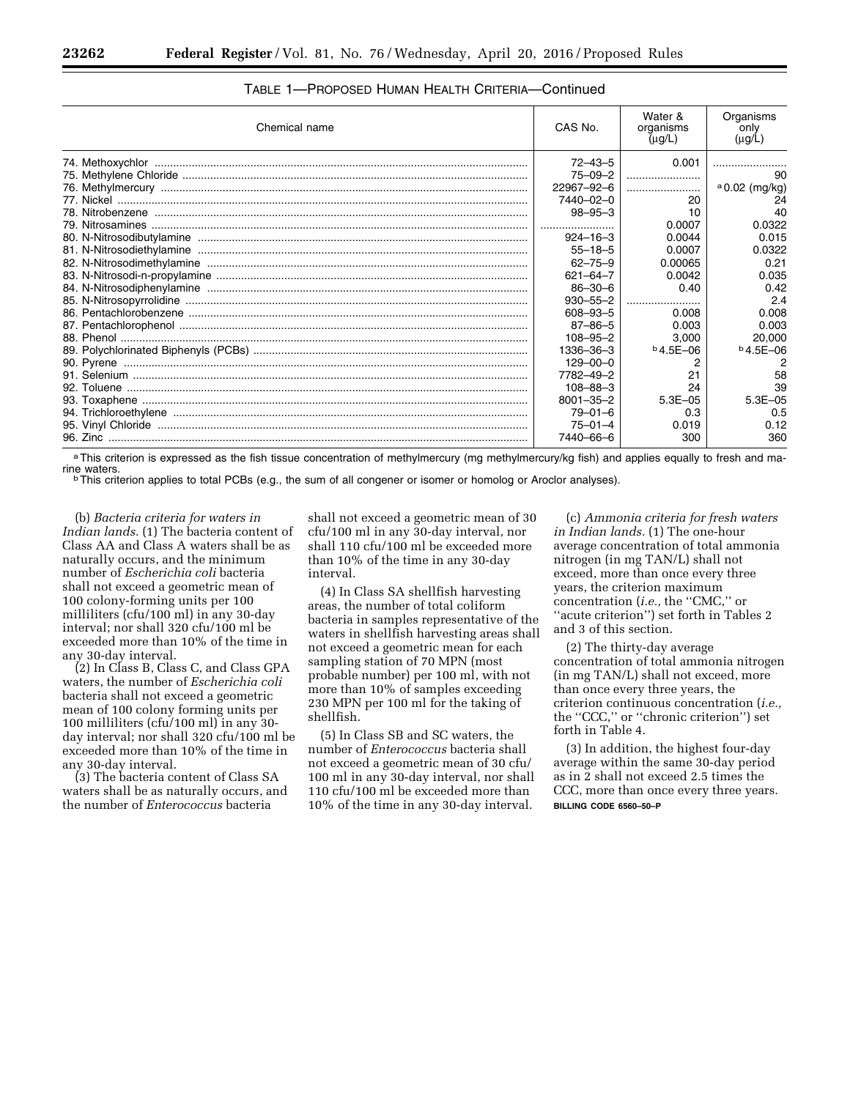| Chemical name | CAS No.         | Water &<br>organisms<br>$(\mu g/L)$ | Organisms<br>only<br>$(\mu g/L)$ |
|---------------|-----------------|-------------------------------------|----------------------------------|
|               | $72 - 43 - 5$   | 0.001                               |                                  |
|               | $75 - 09 - 2$   |                                     | 90                               |
|               | 22967-92-6      |                                     | $a$ 0.02 (mg/kg)                 |
|               | 7440-02-0       | 20                                  | 24                               |
|               | $98 - 95 - 3$   | 10                                  | 40                               |
|               |                 | 0.0007                              | 0.0322                           |
|               | $924 - 16 - 3$  | 0.0044                              | 0.015                            |
|               | $55 - 18 - 5$   | 0.0007                              | 0.0322                           |
|               | $62 - 75 - 9$   | 0.00065                             | 0.21                             |
|               | $621 - 64 - 7$  | 0.0042                              | 0.035                            |
|               | $86 - 30 - 6$   | 0.40                                | 0.42                             |
|               | $930 - 55 - 2$  |                                     | 2.4                              |
|               | $608 - 93 - 5$  | 0.008                               | 0.008                            |
|               | $87 - 86 - 5$   | 0.003                               | 0.003                            |
|               | $108 - 95 - 2$  | 3,000                               | 20,000                           |
|               | 1336-36-3       | $b$ 4.5E-06                         | $b$ 4.5E-06                      |
|               | $129 - 00 - 0$  |                                     |                                  |
|               | 7782-49-2       | 21                                  | 58                               |
|               | $108 - 88 - 3$  | 24                                  | 39                               |
|               | $8001 - 35 - 2$ | $5.3E - 05$                         | $5.3E - 0.5$                     |
|               | $79 - 01 - 6$   | 0.3                                 | 0.5                              |
|               | $75 - 01 - 4$   | 0.019                               | 0.12                             |
|               | 7440-66-6       | 300                                 | 360                              |

# TABLE 1—PROPOSED HUMAN HEALTH CRITERIA—Continued

a This criterion is expressed as the fish tissue concentration of methylmercury (mg methylmercury/kg fish) and applies equally to fresh and ma-<br>rine waters.

 $\overline{D}$  This criterion applies to total PCBs (e.g., the sum of all congener or isomer or homolog or Aroclor analyses).

(b) *Bacteria criteria for waters in Indian lands.* (1) The bacteria content of Class AA and Class A waters shall be as naturally occurs, and the minimum number of *Escherichia coli* bacteria shall not exceed a geometric mean of 100 colony-forming units per 100 milliliters (cfu/100 ml) in any 30-day interval; nor shall 320 cfu/100 ml be exceeded more than 10% of the time in any 30-day interval.

(2) In Class B, Class C, and Class GPA waters, the number of *Escherichia coli*  bacteria shall not exceed a geometric mean of 100 colony forming units per 100 milliliters (cfu/100 ml) in any 30 day interval; nor shall 320 cfu/100 ml be exceeded more than 10% of the time in any 30-day interval.

(3) The bacteria content of Class SA waters shall be as naturally occurs, and the number of *Enterococcus* bacteria

shall not exceed a geometric mean of 30 cfu/100 ml in any 30-day interval, nor shall 110 cfu/100 ml be exceeded more than 10% of the time in any 30-day interval.

(4) In Class SA shellfish harvesting areas, the number of total coliform bacteria in samples representative of the waters in shellfish harvesting areas shall not exceed a geometric mean for each sampling station of 70 MPN (most probable number) per 100 ml, with not more than 10% of samples exceeding 230 MPN per 100 ml for the taking of shellfish.

(5) In Class SB and SC waters, the number of *Enterococcus* bacteria shall not exceed a geometric mean of 30 cfu/ 100 ml in any 30-day interval, nor shall 110 cfu/100 ml be exceeded more than 10% of the time in any 30-day interval.

(c) *Ammonia criteria for fresh waters in Indian lands.* (1) The one-hour average concentration of total ammonia nitrogen (in mg TAN/L) shall not exceed, more than once every three years, the criterion maximum concentration (*i.e.,* the ''CMC,'' or ''acute criterion'') set forth in Tables 2 and 3 of this section.

(2) The thirty-day average concentration of total ammonia nitrogen (in mg TAN/L) shall not exceed, more than once every three years, the criterion continuous concentration (*i.e.,*  the ''CCC,'' or ''chronic criterion'') set forth in Table 4.

(3) In addition, the highest four-day average within the same 30-day period as in 2 shall not exceed 2.5 times the CCC, more than once every three years. **BILLING CODE 6560–50–P**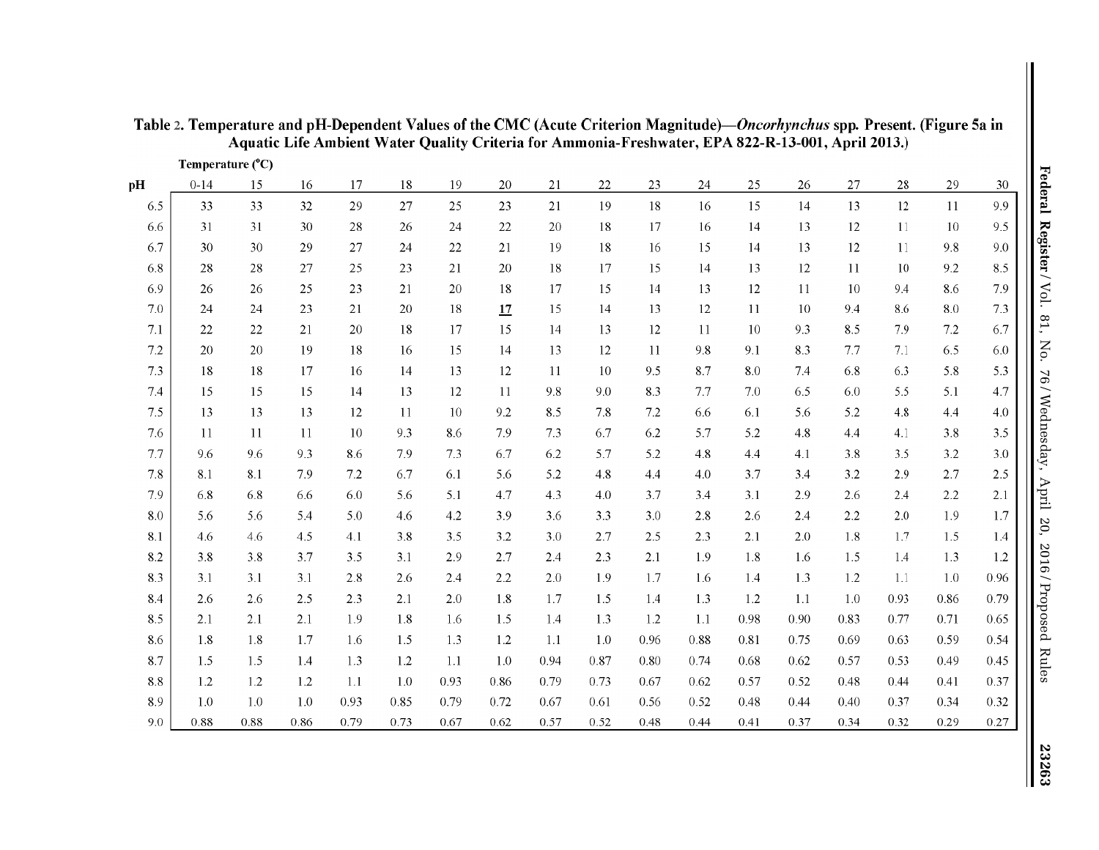|     | Temperature $(^{\circ}C)$ |         |         |      |      |         |      |      |         |      |          |      |      |         | ,    |         |         |
|-----|---------------------------|---------|---------|------|------|---------|------|------|---------|------|----------|------|------|---------|------|---------|---------|
| pH  | $0 - 14$                  | 15      | 16      | 17   | 18   | 19      | 20   | 21   | 22      | 23   | 24       | 25   | 26   | 27      | 28   | 29      | 30      |
| 6.5 | 33                        | 33      | 32      | 29   | 27   | 25      | 23   | 21   | 19      | 18   | 16       | 15   | 14   | 13      | 12   | 11      | 9.9     |
| 6.6 | 31                        | 31      | 30      | 28   | 26   | 24      | 22   | 20   | 18      | 17   | 16       | 14   | 13   | 12      | 11   | $10\,$  | 9.5     |
| 6.7 | 30                        | 30      | 29      | 27   | 24   | 22      | 21   | 19   | 18      | 16   | 15       | 14   | 13   | 12      | 11   | 9.8     | 9.0     |
| 6.8 | 28                        | 28      | 27      | 25   | 23   | 21      | 20   | 18   | 17      | 15   | 14       | 13   | 12   | 11      | 10   | 9.2     | 8.5     |
| 6.9 | 26                        | 26      | 25      | 23   | 21   | 20      | 18   | 17   | 15      | 14   | 13       | 12   | 11   | 10      | 9.4  | 8.6     | 7.9     |
| 7.0 | 24                        | 24      | 23      | 21   | 20   | 18      | 17   | 15   | 14      | 13   | 12       | 11   | 10   | 9.4     | 8.6  | 8.0     | 7.3     |
| 7.1 | 22                        | 22      | 21      | 20   | 18   | 17      | 15   | 14   | 13      | 12   | 11       | 10   | 9.3  | 8.5     | 7.9  | 7.2     | 6.7     |
| 7.2 | 20                        | 20      | 19      | 18   | 16   | 15      | 14   | 13   | 12      | 11   | 9.8      | 9.1  | 8.3  | 7.7     | 7.1  | 6.5     | 6.0     |
| 7.3 | 18                        | $18\,$  | 17      | 16   | 14   | 13      | 12   | 11   | 10      | 9.5  | 8.7      | 8.0  | 7.4  | 6.8     | 6.3  | 5.8     | 5.3     |
| 7.4 | 15                        | 15      | 15      | 14   | 13   | 12      | 11   | 9.8  | 9.0     | 83   | 77       | 7.0  | 6.5  | 6.0     | 5.5  | 5.1     | 4.7     |
| 7.5 | 13                        | 13      | 13      | 12   | 11   | $10\,$  | 9.2  | 8.5  | $7.8\,$ | 7.2  | 6.6      | 6.1  | 5.6  | 5.2     | 4.8  | 4.4     | 4.0     |
| 7.6 | 11                        | 11      | 11      | 10   | 9.3  | 8.6     | 7.9  | 7.3  | 6.7     | 6.2  | 5.7      | 5.2  | 4.8  | 4.4     | 4.1  | 3.8     | 3.5     |
| 7.7 | 9.6                       | 9.6     | 9.3     | 8.6  | 7.9  | 7.3     | 6.7  | 6.2  | 5.7     | 5.2  | 4.8      | 4.4  | 4.1  | 3.8     | 3.5  | 3.2     | $3.0\,$ |
| 7.8 | 8.1                       | 8.1     | 7.9     | 7.2  | 6.7  | 6.1     | 5.6  | 5.2  | 4.8     | 4.4  | 4.0      | 3.7  | 3.4  | 3.2     | 2.9  | 2.7     | 2.5     |
| 7.9 | 6.8                       | 6.8     | 6.6     | 6.0  | 5.6  | 5.1     | 4.7  | 4.3  | 4.0     | 3.7  | 3.4      | 3.1  | 2.9  | 2.6     | 2.4  | $2.2\,$ | 2.1     |
| 8.0 | 5.6                       | 5.6     | 5.4     | 5.0  | 4.6  | $4.2\,$ | 3.9  | 3.6  | 3.3     | 3.0  | 2.8      | 2.6  | 2.4  | $2.2\,$ | 2.0  | 1.9     | $1.7\,$ |
| 8.1 | 46                        | 4.6     | 4.5     | 4.1  | 3.8  | 3.5     | 3.2  | 3.0  | 2.7     | 2.5  | 23       | 2.1  | 2.0  | 1.8     | 1.7  | 1.5     | 1.4     |
| 8.2 | 3.8                       | $3.8\,$ | 3.7     | 3.5  | 3.1  | 2.9     | 2.7  | 2.4  | 2.3     | 2.1  | 1.9      | 1.8  | 1.6  | 1.5     | 1.4  | 1.3     | 1.2     |
| 8.3 | 3.1                       | 3.1     | 3.1     | 2.8  | 2.6  | 2.4     | 2.2  | 2.0  | 1.9     | 1.7  | 1.6      | 1.4  | 1.3  | 1.2     | 1.1  | 1.0     | 0.96    |
| 8.4 | 2.6                       | 2.6     | 2.5     | 2.3  | 2.1  | 2.0     | 1.8  | 1.7  | 1.5     | 1.4  | 1.3      | 1.2  | 1.1  | 1.0     | 0.93 | 0.86    | 0.79    |
| 8.5 | 2.1                       | 2.1     | 2.1     | 1.9  | 1.8  | 16      | 1.5  | 1.4  | 1.3     | 1.2  | $1.1\,$  | 0.98 | 0.90 | 0.83    | 0.77 | 0.71    | 0.65    |
| 8.6 | 1.8                       | 1.8     | 1.7     | 1.6  | 1.5  | 1.3     | 1.2  | 1.1  | 1.0     | 0.96 | 0.88     | 0.81 | 0.75 | 0.69    | 0.63 | 0.59    | 0.54    |
| 8.7 | 1.5                       | 1.5     | 1.4     | 1.3  | 1.2  | 1.1     | 1.0  | 0.94 | 0.87    | 0.80 | $0.74\,$ | 0.68 | 0.62 | 0.57    | 0.53 | 0.49    | 0.45    |
| 8.8 | 1.2                       | 1.2     | 1.2     | 1.1  | 1.0  | 0.93    | 0.86 | 0.79 | 0.73    | 0.67 | 0.62     | 0.57 | 0.52 | 0.48    | 0.44 | 0.41    | 0.37    |
| 8.9 | 1.0                       | 1.0     | $1.0\,$ | 0.93 | 0.85 | 0.79    | 0.72 | 0.67 | 0.61    | 0.56 | 0.52     | 0.48 | 0.44 | 0.40    | 0.37 | 0.34    | 0.32    |
| 9.0 | 0.88                      | 0.88    | 0.86    | 0.79 | 0.73 | 0.67    | 0.62 | 0.57 | 0.52    | 0.48 | 0.44     | 0.41 | 0.37 | 0.34    | 0.32 | 0.29    | 0.27    |

Table 2. Temperature and pH-Dependent Values of the CMC (Acute Criterion Magnitude)-*Oncorhynchus* spp. Present. (Figure 5a in **Aquatic Life Ambient Water Quality Criteria for Ammonia-Freshwater, EPA 822-R-13-001, April2013.)**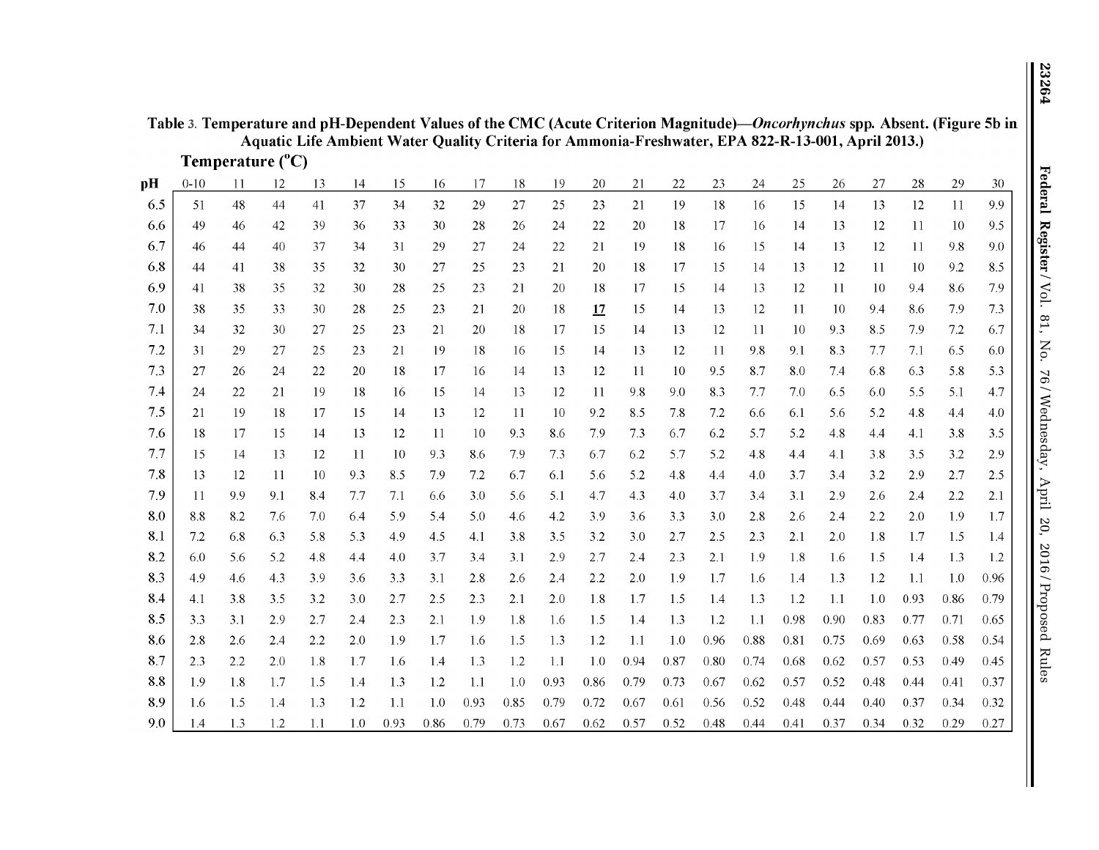| Table 3. Temperature and pH-Dependent Values of the CMC (Acute Criterion Magnitude)—Oncorhynchus spp. Absent. (Figure 5b in |  |
|-----------------------------------------------------------------------------------------------------------------------------|--|
| Aquatic Life Ambient Water Quality Criteria for Ammonia-Freshwater, EPA 822-R-13-001, April 2013.)                          |  |

| Temperature $(^{\circ}C)$ |  |
|---------------------------|--|

| pH  | $0 - 10$ | 11  | 12  | 13  | 14  | 15   | 16   | 17   | 18   | 19   | 20   | 21   | $22\,$ | 23   | 24   | 25   | 26   | 27   | 28   | 29   | 30   |
|-----|----------|-----|-----|-----|-----|------|------|------|------|------|------|------|--------|------|------|------|------|------|------|------|------|
| 6.5 | 51       | 48  | 44  | 41  | 37  | 34   | 32   | 29   | 27   | 25   | 23   | 21   | 19     | 18   | 16   | 15   | 14   | 13   | 12   | 11   | 9.9  |
| 6.6 | 49       | 46  | 42  | 39  | 36  | 33   | 30   | 28   | 26   | 24   | 22   | 20   | 18     | 17   | 16   | 14   | 13   | 12   | 11   | 10   | 9.5  |
| 6.7 | 46       | 44  | 40  | 37  | 34  | 31   | 29   | 27   | 24   | 22   | 21   | 19   | 18     | 16   | 15   | 14   | 13   | 12   | 11   | 9.8  | 9.0  |
| 6.8 | 44       | 41  | 38  | 35  | 32  | 30   | 27   | 25   | 23   | 21   | 20   | 18   | 17     | 15   | 14   | 13   | 12   | 11   | 10   | 9.2  | 8.5  |
| 6.9 | 41       | 38  | 35  | 32  | 30  | 28   | 25   | 23   | 21   | 20   | 18   | 17   | 15     | 14   | 13   | 12   | 11   | 10   | 9.4  | 8.6  | 7.9  |
| 7.0 | 38       | 35  | 33  | 30  | 28  | 25   | 23   | 21   | 20   | 18   | 17   | 15   | 14     | 13   | 12   | 11   | 10   | 9.4  | 8.6  | 7.9  | 7.3  |
| 7.1 | 34       | 32  | 30  | 27  | 25  | 23   | 21   | 20   | 18   | 17   | 15   | 14   | 13     | 12   | 11   | 10   | 9.3  | 8.5  | 7.9  | 7.2  | 6.7  |
| 7.2 | 31       | 29  | 27  | 25  | 23  | 21   | 19   | 18   | 16   | 15   | 14   | 13   | 12     | -11  | 9.8  | 9.1  | 8.3  | 7.7  | 7.1  | 6.5  | 6.0  |
| 7.3 | 27       | 26  | 24  | 22  | 20  | 18   | 17   | 16   | 14   | 13   | 12   | 11   | 10     | 9.5  | 8.7  | 8.0  | 7.4  | 6.8  | 6.3  | 5.8  | 5.3  |
| 7.4 | 24       | 22  | 21  | 19  | 18  | 16   | 15   | 14   | 13   | 12   | -11  | 9.8  | 9.0    | 8.3  | 7.7  | 7.0  | 6.5  | 6.0  | 5.5  | 5.1  | 4.7  |
| 7.5 | 21       | 19  | 18  | 17  | 15  | 14   | 13   | 12   | 11   | 10   | 9.2  | 8.5  | 7.8    | 7.2  | 6.6  | 6.1  | 5.6  | 5.2  | 4.8  | 4.4  | 4.0  |
| 7.6 | 18       | 17  | 15  | 14  | 13  | 12   | 11   | 10   | 9.3  | 8.6  | 7.9  | 73   | 6.7    | 6.2  | 5.7  | 5.2  | 48   | 4.4  | 4.1  | 3.8  | 3.5  |
| 7.7 | 15       | 14  | 13  | 12  | 11  | 10   | 9.3  | 8.6  | 7.9  | 7.3  | 6.7  | 6.2  | 5.7    | 5.2  | 4.8  | 4.4  | 4.1  | 3.8  | 3.5  | 3.2  | 2.9  |
| 7.8 | 13       | 12  | 11  | 10  | 9.3 | 8.5  | 79   | 7.2  | 6.7  | 6.1  | 5.6  | 5.2  | 4.8    | 4.4  | 4.0  | 3.7  | 3.4  | 3.2  | 2.9  | 2.7  | 2.5  |
| 7.9 | 11       | 9.9 | 9.1 | 8.4 | 7.7 | 7.1  | 6.6  | 3.0  | 5.6  | 5.1  | 4.7  | 4.3  | 4.0    | 3.7  | 3.4  | 3.1  | 2.9  | 2.6  | 2.4  | 2.2  | 2.1  |
| 8.0 | 8.8      | 8.2 | 7.6 | 7.0 | 6.4 | 5.9  | 5.4  | 5.0  | 4.6  | 4.2  | 3.9  | 3.6  | 3.3    | 3.0  | 2.8  | 2.6  | 2.4  | 2.2  | 2.0  | 1.9  | 1.7  |
| 8.1 | 7.2      | 6.8 | 6.3 | 5.8 | 5.3 | 4.9  | 4.5  | 4.1  | 3.8  | 3.5  | 3.2  | 3.0  | 2.7    | 2.5  | 2.3  | 2.1  | 2.0  | 1.8  | 1.7  | 1.5  | 1.4  |
| 8.2 | 6.0      | 5.6 | 5.2 | 4.8 | 4.4 | 4.0  | 3.7  | 3.4  | 3.1  | 2.9  | 2.7  | 2.4  | 2.3    | 2.1  | 1.9  | 1.8  | 1.6  | 1.5  | 1.4  | 1.3  | 1.2  |
| 8.3 | 4.9      | 4.6 | 4.3 | 3.9 | 3.6 | 3.3  | 3.1  | 2.8  | 2.6  | 2.4  | 2.2  | 20   | 1.9    | 1.7  | 1.6  | 1.4  | 1.3  | 1.2  | 1.1  | 1.0  | 0.96 |
| 8.4 | 4.1      | 3.8 | 3.5 | 3.2 | 3.0 | 2.7  | 2.5  | 2.3  | 2.1  | 2.0  | 1.8  | 1.7  | 1.5    | 1.4  | 1.3  | 1.2  | 1.1  | 1.0  | 0.93 | 0.86 | 0.79 |
| 8.5 | 3.3      | 3.1 | 2.9 | 2.7 | 2.4 | 2.3  | 2.1  | 1.9  | 1.8  | 1.6  | 1.5  | 1.4  | 1.3    | 1.2  | 1.1  | 0.98 | 0.90 | 0.83 | 0.77 | 0.71 | 0.65 |
| 8.6 | 2.8      | 2.6 | 2.4 | 2.2 | 2.0 | 1.9  | 1.7  | 1.6  | 1.5  | 1.3  | 1.2  | 1.1  | 1.0    | 0.96 | 0.88 | 0.81 | 0.75 | 0.69 | 0.63 | 0.58 | 0.54 |
| 8.7 | 2.3      | 2.2 | 2.0 | 1.8 | 1.7 | 1.6  | 1.4  | 1.3  | 1.2  | 1.1  | 1.0  | 0.94 | 0.87   | 0.80 | 0.74 | 0.68 | 0.62 | 0.57 | 0.53 | 0.49 | 0.45 |
| 8.8 | 1.9      | 18  | 1.7 | 1.5 | 1.4 | 1.3  | 1.2  | 1.1  | 1.0  | 0.93 | 0.86 | 0.79 | 0.73   | 0.67 | 0.62 | 0.57 | 0.52 | 0.48 | 0.44 | 0.41 | 0.37 |
| 8.9 | 1.6      | 1.5 | 1.4 | 1.3 | 1.2 | 1.1  | 1.0  | 0.93 | 0.85 | 0.79 | 0.72 | 0.67 | 0.61   | 0.56 | 0.52 | 0.48 | 0.44 | 0.40 | 0.37 | 0.34 | 0.32 |
| 9.0 | 1.4      | 1.3 | 1.2 | 1.1 | 1.0 | 0.93 | 0.86 | 0.79 | 0.73 | 0.67 | 0.62 | 0.57 | 0.52   | 0.48 | 0.44 | 0.41 | 0.37 | 0.34 | 0.32 | 0.29 | 0.27 |
|     |          |     |     |     |     |      |      |      |      |      |      |      |        |      |      |      |      |      |      |      |      |
|     |          |     |     |     |     |      |      |      |      |      |      |      |        |      |      |      |      |      |      |      |      |

23264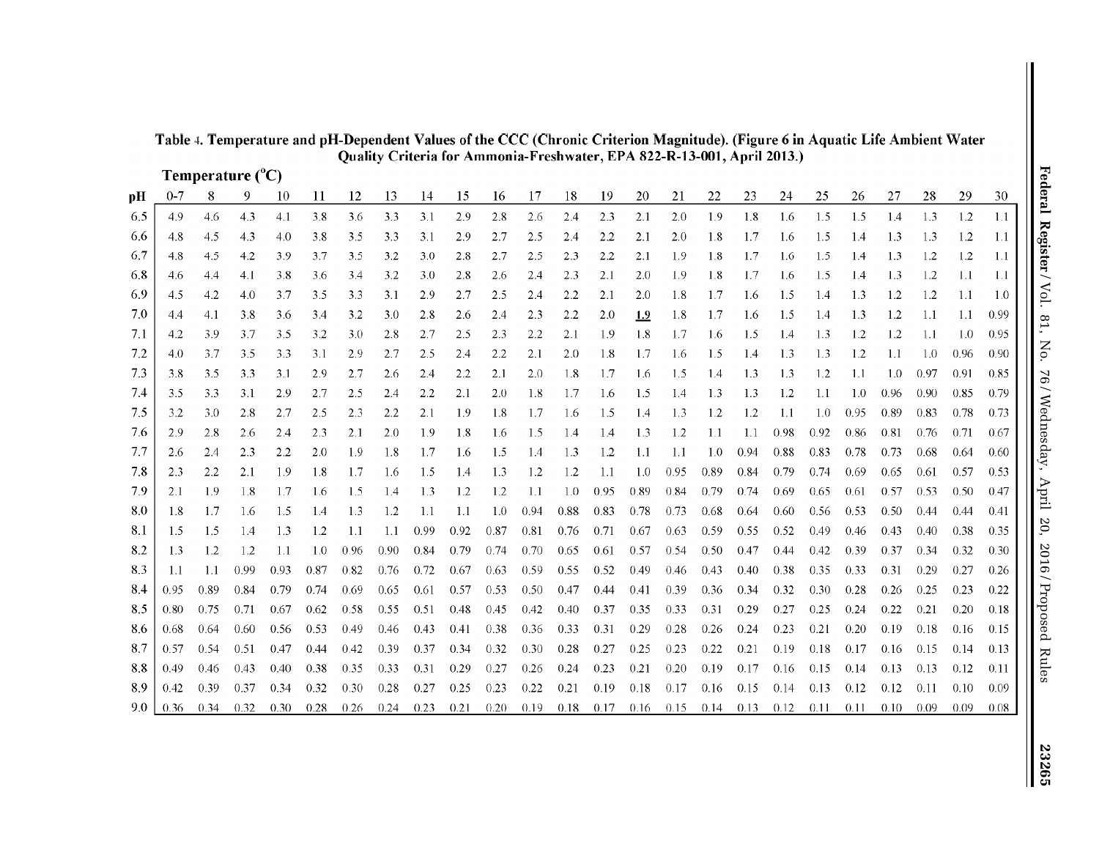|     |         |                  |      |      |      |      |      | Quality Criteria for Ammonia-Freshwater, EPA 822-R-13-001, April 2013.) |      |      |      |      |      |      |      |      |      |      |         |      |      |      |      |      |
|-----|---------|------------------|------|------|------|------|------|-------------------------------------------------------------------------|------|------|------|------|------|------|------|------|------|------|---------|------|------|------|------|------|
|     |         | Temperature (°C) |      |      |      |      |      |                                                                         |      |      |      |      |      |      |      |      |      |      |         |      |      |      |      |      |
| pН  | $0 - 7$ | 8                | 9    | 10   | 11   | 12   | 13   | 14                                                                      | 15   | 16   | 17   | 18   | 19   | 20   | 21   | 22   | 23   | 24   | 25      | 26   | 27   | 28   | 29   | 30   |
| 6.5 | 4.9     | 4.6              | 4.3  | 4.1  | 3.8  | 3.6  | 3.3  | 3.1                                                                     | 29   | 2.8  | 2.6  | 2.4  | 2.3  | 2.1  | 2.0  | 1.9  | 1.8  | 1.6  | 1.5     | 1.5  | 1.4  | 1.3  | 1.2  | 1.1  |
| 6.6 | 4.8     | 4.5              | 4.3  | 4.0  | 3.8  | 3.5  | 3.3  | 3.1                                                                     | 2.9  | 2.7  | 2.5  | 2.4  | 2.2  | 2.1  | 2.0  | 1.8  | 1.7  | 1.6  | 1.5     | 1.4  | 1.3  | 1.3  | 1.2  | 1.1  |
| 6.7 | 4.8     | 4.5              | 4.2  | 39   | 3.7  | 3.5  | 3.2  | 3.0                                                                     | 2.8  | 2.7  | 2.5  | 2.3  | 2.2  | 2.1  | 1.9  | 1.8  | 1.7  | 1.6  | 1.5     | 1.4  | 1.3  | 1.2  | 1.2  | 1.1  |
| 6.8 | 4.6     | 4.4              | 4.1  | 3.8  | 3.6  | 3.4  | 3.2  | 3.0                                                                     | 2.8  | 2.6  | 2.4  | 2.3  | 2.1  | 2.0  | 1.9  | 1.8  | 1.7  | 1.6  | 1.5     | 1.4  | 1.3  | 1.2  | 1.1  | 1.1  |
| 6.9 | 4.5     | 4.2              | 4.0  | 3.7  | 3.5  | 3.3  | 3.1  | 2.9                                                                     | 2.7  | 2.5  | 2.4  | 2.2  | 2.1  | 2.0  | 1.8  | 1.7  | 1.6  | 1.5  | $1.4\,$ | 1.3  | 1.2  | 1.2  | 1.1  | 1.0  |
| 7.0 | 4.4     | 4.1              | 3.8  | 3.6  | 3.4  | 3.2  | 3.0  | 2.8                                                                     | 2.6  | 2.4  | 2.3  | 2.2  | 2.0  | 1.9  | 1.8  | 1.7  | 1.6  | 1.5  | 1.4     | 1.3  | 1.2  | 1.1  | 1.1  | 0.99 |
| 7.1 | 4.2     | 3.9              | 3.7  | 3.5  | 3.2  | 3.0  | 2.8  | 2.7                                                                     | 2.5  | 2.3  | 2.2  | 2.1  | 1.9  | 1.8  | 1.7  | 1.6  | 1.5  | 1.4  | 1.3     | 1.2  | 1.2  | 1.1  | 1.0  | 0.95 |
| 7.2 | 4.0     | 3.7              | 3.5  | 3.3  | 3.1  | 2.9  | 2.7  | 2.5                                                                     | 2.4  | 2.2  | 2.1  | 2.0  | 1.8  | 1.7  | 1.6  | 1.5  | 1.4  | 1.3  | 1.3     | 1.2  | 1.1  | 1.0  | 0.96 | 0.90 |
| 7.3 | 3.8     | 3.5              | 3.3  | 3.1  | 2.9  | 2.7  | 2.6  | 2.4                                                                     | 2.2  | 2.1  | 2.0  | 1.8  | 1.7  | 1.6  | 1.5  | 1.4  | 1.3  | 1.3  | 1.2     | 1.1  | 1.0  | 0.97 | 0.91 | 0.85 |
| 7.4 | 3.5     | 3.3              | 3.1  | 29   | 2.7  | 2.5  | 2.4  | 2.2                                                                     | 2.1  | 20   | 1.8  | 1.7  | 1.6  | 1.5  | 1.4  | 1.3  | 1.3  | 1.2  | 1.1     | 1.0  | 0.96 | 0.90 | 0.85 | 0.79 |
| 7.5 | 3.2     | 3.0              | 2.8  | 2.7  | 2.5  | 2.3  | 2.2  | 2.1                                                                     | 1.9  | 1.8  | 1.7  | 1.6  | 1.5  | 1.4  | 1.3  | 1.2  | 1.2  | 1.1  | 1.0     | 0.95 | 0.89 | 0.83 | 0.78 | 0.73 |
| 7.6 | 2.9     | 2.8              | 2.6  | 2.4  | 2.3  | 2.1  | 2.0  | 1.9                                                                     | 1.8  | 1.6  | 1.5  | 1.4  | 1.4  | 1.3  | 1.2  | 1.1  | 1.1  | 0.98 | 0.92    | 0.86 | 0.81 | 0.76 | 0.71 | 0.67 |
| 7.7 | 2.6     | 2.4              | 2.3  | 2.2  | 2.0  | 1.9  | 1.8  | 1.7                                                                     | 1.6  | 1.5  | 1.4  | 1.3  | 1.2  | 1.1  | 1.1  | 1.0  | 0.94 | 0.88 | 0.83    | 0.78 | 0.73 | 0.68 | 0.64 | 0.60 |
| 7.8 | 2.3     | 2.2              | 2.1  | 1.9  | 1.8  | 1.7  | 1.6  | 1.5                                                                     | 1.4  | 1.3  | 1.2  | 1.2  | 1.1  | 1.0  | 0.95 | 0.89 | 0.84 | 0.79 | 0.74    | 0.69 | 0.65 | 0.61 | 0.57 | 0.53 |
| 7.9 | 2.1     | 1.9              | 1.8  | 1.7  | 1.6  | 1.5  | 1.4  | 1.3                                                                     | 1.2  | 1.2  | 1.1  | 1.0  | 0.95 | 0.89 | 0.84 | 0.79 | 0.74 | 0.69 | 0.65    | 0.61 | 0.57 | 0.53 | 0.50 | 0.47 |
| 8.0 | 1.8     | 1.7              | 1.6  | 1.5  | 1.4  | 1.3  | 1.2  | 1.1                                                                     | -1.1 | 1.0  | 0.94 | 0.88 | 0.83 | 0.78 | 0.73 | 0.68 | 0.64 | 0.60 | 0.56    | 0.53 | 0.50 | 0.44 | 0.44 | 0.41 |
| 8.1 | 1.5     | 1.5              | 1.4  | 1.3  | 1.2  | 1.1  | 1.1  | 0.99                                                                    | 0.92 | 0.87 | 0.81 | 0.76 | 0.71 | 0.67 | 0.63 | 0.59 | 0.55 | 0.52 | 0.49    | 0.46 | 0.43 | 0.40 | 0.38 | 0.35 |
| 8.2 | 1.3     | 1.2              | 1.2  | 1.1  | 1.0  | 0.96 | 0.90 | 0.84                                                                    | 0.79 | 0.74 | 0.70 | 0.65 | 0.61 | 0.57 | 0.54 | 0.50 | 0.47 | 0.44 | 0.42    | 0.39 | 0.37 | 0.34 | 0.32 | 0.30 |
| 8.3 | -1.1    | 1.1              | 0.99 | 0.93 | 0.87 | 0.82 | 0.76 | 0.72                                                                    | 0.67 | 0.63 | 0.59 | 0.55 | 0.52 | 0.49 | 0.46 | 0.43 | 0.40 | 0.38 | 0.35    | 0.33 | 0.31 | 0.29 | 0.27 | 0.26 |
| 8.4 | 0.95    | 0.89             | 0.84 | 0.79 | 0.74 | 0.69 | 0.65 | 0.61                                                                    | 0.57 | 0.53 | 0.50 | 0.47 | 0.44 | 0.41 | 0.39 | 0.36 | 0.34 | 0.32 | 0.30    | 0.28 | 0.26 | 0.25 | 0.23 | 0.22 |
| 8.5 | 0.80    | 0.75             | 0.71 | 0.67 | 0.62 | 0.58 | 0.55 | 0.51                                                                    | 0.48 | 0.45 | 0.42 | 0.40 | 0.37 | 0.35 | 0.33 | 0.31 | 0.29 | 0.27 | 0.25    | 0.24 | 0.22 | 0.21 | 0.20 | 0.18 |
| 8.6 | 0.68    | 0.64             | 0.60 | 0.56 | 0.53 | 0.49 | 0.46 | 0.43                                                                    | 0.41 | 0.38 | 0.36 | 0.33 | 0.31 | 0.29 | 0.28 | 0.26 | 0.24 | 0.23 | 0.21    | 0.20 | 0.19 | 0.18 | 0.16 | 0.15 |
| 8.7 | 0.57    | 0.54             | 0.51 | 0.47 | 0.44 | 0.42 | 0.39 | 0.37                                                                    | 0.34 | 0.32 | 0.30 | 0.28 | 0.27 | 0.25 | 0.23 | 0.22 | 0.21 | 0.19 | 0.18    | 0.17 | 0.16 | 0.15 | 0.14 | 0.13 |
| 8.8 | 0.49    | 0.46             | 0.43 | 0.40 | 0.38 | 0.35 | 0.33 | 0.31                                                                    | 0.29 | 0.27 | 0.26 | 0.24 | 0.23 | 0.21 | 0.20 | 0.19 | 0.17 | 0.16 | 0.15    | 0.14 | 0.13 | 0.13 | 0.12 | 0.11 |
| 8.9 | 0.42    | 0.39             | 0.37 | 0.34 | 0.32 | 0.30 | 0.28 | 0.27                                                                    | 0.25 | 0.23 | 0.22 | 0.21 | 0.19 | 0.18 | 0.17 | 0.16 | 0.15 | 0.14 | 0.13    | 0.12 | 0.12 | 0.11 | 0.10 | 0.09 |
| 9.0 | 0.36    | 0.34             | 0.32 | 0.30 | 0.28 | 0.26 | 0.24 | 0.23                                                                    | 0.21 | 0.20 | 0.19 | 0.18 | 0.17 | 0.16 | 0.15 | 0.14 | 0.13 | 0.12 | 0.11    | 0.11 | 0.10 | 0.09 | 0.09 | 0.08 |

# **Table 4. Temperature and pH-Dependent Values ofthe CCC (Chronic Criterion Magnitude). (Figure 6 in Aquatic Life Ambient Water Quality Criteria for Ammonia-Freshwater, EPA 822-R-13-001, April 2013.)**

23265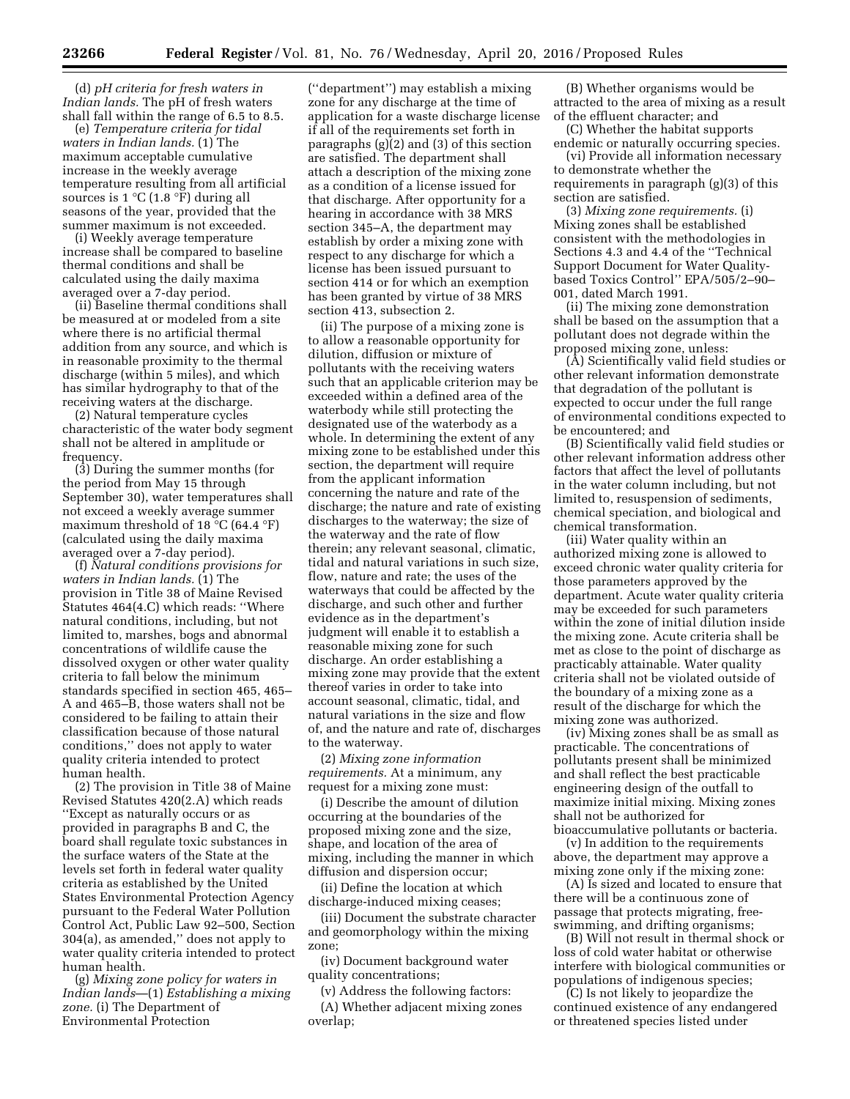(d) *pH criteria for fresh waters in Indian lands.* The pH of fresh waters shall fall within the range of 6.5 to 8.5.

(e) *Temperature criteria for tidal waters in Indian lands.* (1) The maximum acceptable cumulative increase in the weekly average temperature resulting from all artificial sources is  $1 \textdegree C$  (1.8  $\textdegree F$ ) during all seasons of the year, provided that the summer maximum is not exceeded.

(i) Weekly average temperature increase shall be compared to baseline thermal conditions and shall be calculated using the daily maxima averaged over a 7-day period.

(ii) Baseline thermal conditions shall be measured at or modeled from a site where there is no artificial thermal addition from any source, and which is in reasonable proximity to the thermal discharge (within 5 miles), and which has similar hydrography to that of the receiving waters at the discharge.

(2) Natural temperature cycles characteristic of the water body segment shall not be altered in amplitude or frequency.

(3) During the summer months (for the period from May 15 through September 30), water temperatures shall not exceed a weekly average summer maximum threshold of 18 °C (64.4 °F) (calculated using the daily maxima averaged over a 7-day period).

(f) *Natural conditions provisions for waters in Indian lands.* (1) The provision in Title 38 of Maine Revised Statutes 464(4.C) which reads: ''Where natural conditions, including, but not limited to, marshes, bogs and abnormal concentrations of wildlife cause the dissolved oxygen or other water quality criteria to fall below the minimum standards specified in section 465, 465– A and 465–B, those waters shall not be considered to be failing to attain their classification because of those natural conditions,'' does not apply to water quality criteria intended to protect human health.

(2) The provision in Title 38 of Maine Revised Statutes 420(2.A) which reads ''Except as naturally occurs or as provided in paragraphs B and C, the board shall regulate toxic substances in the surface waters of the State at the levels set forth in federal water quality criteria as established by the United States Environmental Protection Agency pursuant to the Federal Water Pollution Control Act, Public Law 92–500, Section 304(a), as amended,'' does not apply to water quality criteria intended to protect human health.

(g) *Mixing zone policy for waters in Indian lands*—(1) *Establishing a mixing zone.* (i) The Department of Environmental Protection

(''department'') may establish a mixing zone for any discharge at the time of application for a waste discharge license if all of the requirements set forth in paragraphs (g)(2) and (3) of this section are satisfied. The department shall attach a description of the mixing zone as a condition of a license issued for that discharge. After opportunity for a hearing in accordance with 38 MRS section 345–A, the department may establish by order a mixing zone with respect to any discharge for which a license has been issued pursuant to section 414 or for which an exemption has been granted by virtue of 38 MRS section 413, subsection 2.

(ii) The purpose of a mixing zone is to allow a reasonable opportunity for dilution, diffusion or mixture of pollutants with the receiving waters such that an applicable criterion may be exceeded within a defined area of the waterbody while still protecting the designated use of the waterbody as a whole. In determining the extent of any mixing zone to be established under this section, the department will require from the applicant information concerning the nature and rate of the discharge; the nature and rate of existing discharges to the waterway; the size of the waterway and the rate of flow therein; any relevant seasonal, climatic, tidal and natural variations in such size, flow, nature and rate; the uses of the waterways that could be affected by the discharge, and such other and further evidence as in the department's judgment will enable it to establish a reasonable mixing zone for such discharge. An order establishing a mixing zone may provide that the extent thereof varies in order to take into account seasonal, climatic, tidal, and natural variations in the size and flow of, and the nature and rate of, discharges to the waterway.

(2) *Mixing zone information requirements.* At a minimum, any request for a mixing zone must:

(i) Describe the amount of dilution occurring at the boundaries of the proposed mixing zone and the size, shape, and location of the area of mixing, including the manner in which diffusion and dispersion occur;

(ii) Define the location at which discharge-induced mixing ceases;

(iii) Document the substrate character and geomorphology within the mixing zone;

(iv) Document background water quality concentrations;

(v) Address the following factors: (A) Whether adjacent mixing zones overlap;

(B) Whether organisms would be attracted to the area of mixing as a result of the effluent character; and

(C) Whether the habitat supports endemic or naturally occurring species.

(vi) Provide all information necessary to demonstrate whether the requirements in paragraph (g)(3) of this section are satisfied.

(3) *Mixing zone requirements.* (i) Mixing zones shall be established consistent with the methodologies in Sections 4.3 and 4.4 of the ''Technical Support Document for Water Qualitybased Toxics Control'' EPA/505/2–90– 001, dated March 1991.

(ii) The mixing zone demonstration shall be based on the assumption that a pollutant does not degrade within the proposed mixing zone, unless:

(A) Scientifically valid field studies or other relevant information demonstrate that degradation of the pollutant is expected to occur under the full range of environmental conditions expected to be encountered; and

(B) Scientifically valid field studies or other relevant information address other factors that affect the level of pollutants in the water column including, but not limited to, resuspension of sediments, chemical speciation, and biological and chemical transformation.

(iii) Water quality within an authorized mixing zone is allowed to exceed chronic water quality criteria for those parameters approved by the department. Acute water quality criteria may be exceeded for such parameters within the zone of initial dilution inside the mixing zone. Acute criteria shall be met as close to the point of discharge as practicably attainable. Water quality criteria shall not be violated outside of the boundary of a mixing zone as a result of the discharge for which the mixing zone was authorized.

(iv) Mixing zones shall be as small as practicable. The concentrations of pollutants present shall be minimized and shall reflect the best practicable engineering design of the outfall to maximize initial mixing. Mixing zones shall not be authorized for

bioaccumulative pollutants or bacteria. (v) In addition to the requirements above, the department may approve a mixing zone only if the mixing zone:

(A) Is sized and located to ensure that there will be a continuous zone of passage that protects migrating, freeswimming, and drifting organisms;

(B) Will not result in thermal shock or loss of cold water habitat or otherwise interfere with biological communities or populations of indigenous species;

(C) Is not likely to jeopardize the continued existence of any endangered or threatened species listed under